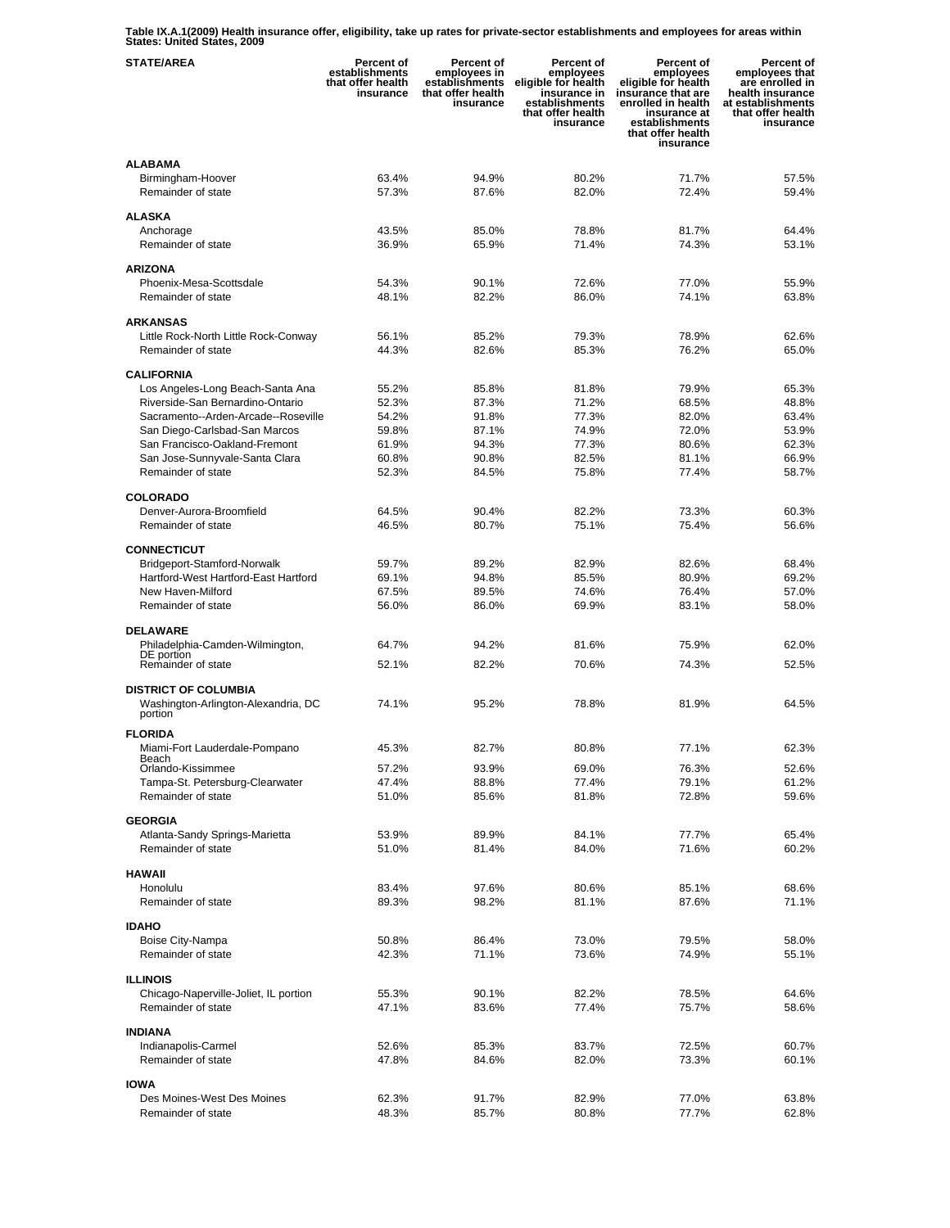**Table IX.A.1(2009) Health insurance offer, eligibility, take up rates for private-sector establishments and employees for areas within States: United States, 2009** 

| <b>STATE/AREA</b>                                               | Percent of<br>establishments<br>that offer health<br>insurance | Percent of<br>employees in<br>establishments<br>that offer health<br>insurance | Percent of<br>employees<br>eligible for health<br>insurance in<br>establishments<br>that offer health<br>insurance | <b>Percent of</b><br>employees<br>eligible for health<br>insurance that are<br>enrolled in health<br>insurance at<br>establishments<br>that offer health<br>insurance | <b>Percent of</b><br>employees that<br>are enrolled in<br>health insurance<br>at establishments<br>that offer health<br>insurance |
|-----------------------------------------------------------------|----------------------------------------------------------------|--------------------------------------------------------------------------------|--------------------------------------------------------------------------------------------------------------------|-----------------------------------------------------------------------------------------------------------------------------------------------------------------------|-----------------------------------------------------------------------------------------------------------------------------------|
| <b>ALABAMA</b><br>Birmingham-Hoover<br>Remainder of state       | 63.4%<br>57.3%                                                 | 94.9%<br>87.6%                                                                 | 80.2%<br>82.0%                                                                                                     | 71.7%<br>72.4%                                                                                                                                                        | 57.5%<br>59.4%                                                                                                                    |
| <b>ALASKA</b>                                                   |                                                                |                                                                                |                                                                                                                    |                                                                                                                                                                       |                                                                                                                                   |
| Anchorage<br>Remainder of state                                 | 43.5%<br>36.9%                                                 | 85.0%<br>65.9%                                                                 | 78.8%<br>71.4%                                                                                                     | 81.7%<br>74.3%                                                                                                                                                        | 64.4%<br>53.1%                                                                                                                    |
| <b>ARIZONA</b>                                                  |                                                                |                                                                                |                                                                                                                    |                                                                                                                                                                       |                                                                                                                                   |
| Phoenix-Mesa-Scottsdale                                         | 54.3%                                                          | 90.1%                                                                          | 72.6%                                                                                                              | 77.0%                                                                                                                                                                 | 55.9%                                                                                                                             |
| Remainder of state                                              | 48.1%                                                          | 82.2%                                                                          | 86.0%                                                                                                              | 74.1%                                                                                                                                                                 | 63.8%                                                                                                                             |
| <b>ARKANSAS</b><br>Little Rock-North Little Rock-Conway         | 56.1%                                                          | 85.2%                                                                          | 79.3%                                                                                                              | 78.9%                                                                                                                                                                 | 62.6%                                                                                                                             |
| Remainder of state                                              | 44.3%                                                          | 82.6%                                                                          | 85.3%                                                                                                              | 76.2%                                                                                                                                                                 | 65.0%                                                                                                                             |
|                                                                 |                                                                |                                                                                |                                                                                                                    |                                                                                                                                                                       |                                                                                                                                   |
| <b>CALIFORNIA</b><br>Los Angeles-Long Beach-Santa Ana           | 55.2%                                                          | 85.8%                                                                          | 81.8%                                                                                                              | 79.9%                                                                                                                                                                 | 65.3%                                                                                                                             |
| Riverside-San Bernardino-Ontario                                | 52.3%                                                          | 87.3%                                                                          | 71.2%                                                                                                              | 68.5%                                                                                                                                                                 | 48.8%                                                                                                                             |
| Sacramento--Arden-Arcade--Roseville                             | 54.2%                                                          | 91.8%                                                                          | 77.3%                                                                                                              | 82.0%                                                                                                                                                                 | 63.4%                                                                                                                             |
| San Diego-Carlsbad-San Marcos                                   | 59.8%                                                          | 87.1%                                                                          | 74.9%                                                                                                              | 72.0%                                                                                                                                                                 | 53.9%                                                                                                                             |
| San Francisco-Oakland-Fremont<br>San Jose-Sunnyvale-Santa Clara | 61.9%<br>60.8%                                                 | 94.3%<br>90.8%                                                                 | 77.3%<br>82.5%                                                                                                     | 80.6%<br>81.1%                                                                                                                                                        | 62.3%<br>66.9%                                                                                                                    |
| Remainder of state                                              | 52.3%                                                          | 84.5%                                                                          | 75.8%                                                                                                              | 77.4%                                                                                                                                                                 | 58.7%                                                                                                                             |
|                                                                 |                                                                |                                                                                |                                                                                                                    |                                                                                                                                                                       |                                                                                                                                   |
| <b>COLORADO</b><br>Denver-Aurora-Broomfield                     | 64.5%                                                          | 90.4%                                                                          | 82.2%                                                                                                              | 73.3%                                                                                                                                                                 | 60.3%                                                                                                                             |
| Remainder of state                                              | 46.5%                                                          | 80.7%                                                                          | 75.1%                                                                                                              | 75.4%                                                                                                                                                                 | 56.6%                                                                                                                             |
| <b>CONNECTICUT</b>                                              |                                                                |                                                                                |                                                                                                                    |                                                                                                                                                                       |                                                                                                                                   |
| Bridgeport-Stamford-Norwalk                                     | 59.7%                                                          | 89.2%                                                                          | 82.9%                                                                                                              | 82.6%                                                                                                                                                                 | 68.4%                                                                                                                             |
| Hartford-West Hartford-East Hartford                            | 69.1%                                                          | 94.8%                                                                          | 85.5%                                                                                                              | 80.9%                                                                                                                                                                 | 69.2%                                                                                                                             |
| New Haven-Milford                                               | 67.5%                                                          | 89.5%                                                                          | 74.6%                                                                                                              | 76.4%                                                                                                                                                                 | 57.0%                                                                                                                             |
| Remainder of state                                              | 56.0%                                                          | 86.0%                                                                          | 69.9%                                                                                                              | 83.1%                                                                                                                                                                 | 58.0%                                                                                                                             |
| <b>DELAWARE</b><br>Philadelphia-Camden-Wilmington,              | 64.7%                                                          | 94.2%                                                                          | 81.6%                                                                                                              | 75.9%                                                                                                                                                                 | 62.0%                                                                                                                             |
| DE portion<br>Remainder of state                                | 52.1%                                                          | 82.2%                                                                          | 70.6%                                                                                                              | 74.3%                                                                                                                                                                 | 52.5%                                                                                                                             |
| <b>DISTRICT OF COLUMBIA</b>                                     |                                                                |                                                                                |                                                                                                                    |                                                                                                                                                                       |                                                                                                                                   |
| Washington-Arlington-Alexandria, DC<br>portion                  | 74.1%                                                          | 95.2%                                                                          | 78.8%                                                                                                              | 81.9%                                                                                                                                                                 | 64.5%                                                                                                                             |
| <b>FLORIDA</b>                                                  |                                                                |                                                                                |                                                                                                                    |                                                                                                                                                                       |                                                                                                                                   |
| Miami-Fort Lauderdale-Pompano<br>Beach                          | 45.3%                                                          | 82.7%                                                                          | 80.8%                                                                                                              | 77.1%                                                                                                                                                                 | 62.3%                                                                                                                             |
| Orlando-Kissimmee                                               | 57.2%                                                          | 93.9%                                                                          | 69.0%                                                                                                              | 76.3%                                                                                                                                                                 | 52.6%                                                                                                                             |
| Tampa-St. Petersburg-Clearwater<br>Remainder of state           | 47.4%<br>51.0%                                                 | 88.8%<br>85.6%                                                                 | 77.4%<br>81.8%                                                                                                     | 79.1%<br>72.8%                                                                                                                                                        | 61.2%                                                                                                                             |
|                                                                 |                                                                |                                                                                |                                                                                                                    |                                                                                                                                                                       | 59.6%                                                                                                                             |
| <b>GEORGIA</b>                                                  |                                                                |                                                                                |                                                                                                                    |                                                                                                                                                                       |                                                                                                                                   |
| Atlanta-Sandy Springs-Marietta<br>Remainder of state            | 53.9%<br>51.0%                                                 | 89.9%<br>81.4%                                                                 | 84.1%<br>84.0%                                                                                                     | 77.7%<br>71.6%                                                                                                                                                        | 65.4%<br>60.2%                                                                                                                    |
|                                                                 |                                                                |                                                                                |                                                                                                                    |                                                                                                                                                                       |                                                                                                                                   |
| <b>HAWAII</b><br>Honolulu                                       | 83.4%                                                          | 97.6%                                                                          | 80.6%                                                                                                              | 85.1%                                                                                                                                                                 | 68.6%                                                                                                                             |
| Remainder of state                                              | 89.3%                                                          | 98.2%                                                                          | 81.1%                                                                                                              | 87.6%                                                                                                                                                                 | 71.1%                                                                                                                             |
| <b>IDAHO</b>                                                    |                                                                |                                                                                |                                                                                                                    |                                                                                                                                                                       |                                                                                                                                   |
| Boise City-Nampa                                                | 50.8%                                                          | 86.4%                                                                          | 73.0%                                                                                                              | 79.5%                                                                                                                                                                 | 58.0%                                                                                                                             |
| Remainder of state                                              | 42.3%                                                          | 71.1%                                                                          | 73.6%                                                                                                              | 74.9%                                                                                                                                                                 | 55.1%                                                                                                                             |
| <b>ILLINOIS</b>                                                 |                                                                |                                                                                |                                                                                                                    |                                                                                                                                                                       |                                                                                                                                   |
| Chicago-Naperville-Joliet, IL portion                           | 55.3%                                                          | 90.1%                                                                          | 82.2%                                                                                                              | 78.5%                                                                                                                                                                 | 64.6%                                                                                                                             |
| Remainder of state                                              | 47.1%                                                          | 83.6%                                                                          | 77.4%                                                                                                              | 75.7%                                                                                                                                                                 | 58.6%                                                                                                                             |
| <b>INDIANA</b>                                                  |                                                                |                                                                                |                                                                                                                    |                                                                                                                                                                       |                                                                                                                                   |
| Indianapolis-Carmel                                             | 52.6%                                                          | 85.3%                                                                          | 83.7%                                                                                                              | 72.5%                                                                                                                                                                 | 60.7%                                                                                                                             |
| Remainder of state                                              | 47.8%                                                          | 84.6%                                                                          | 82.0%                                                                                                              | 73.3%                                                                                                                                                                 | 60.1%                                                                                                                             |
| <b>IOWA</b>                                                     |                                                                |                                                                                |                                                                                                                    |                                                                                                                                                                       |                                                                                                                                   |
| Des Moines-West Des Moines                                      | 62.3%                                                          | 91.7%                                                                          | 82.9%                                                                                                              | 77.0%                                                                                                                                                                 | 63.8%                                                                                                                             |
| Remainder of state                                              | 48.3%                                                          | 85.7%                                                                          | 80.8%                                                                                                              | 77.7%                                                                                                                                                                 | 62.8%                                                                                                                             |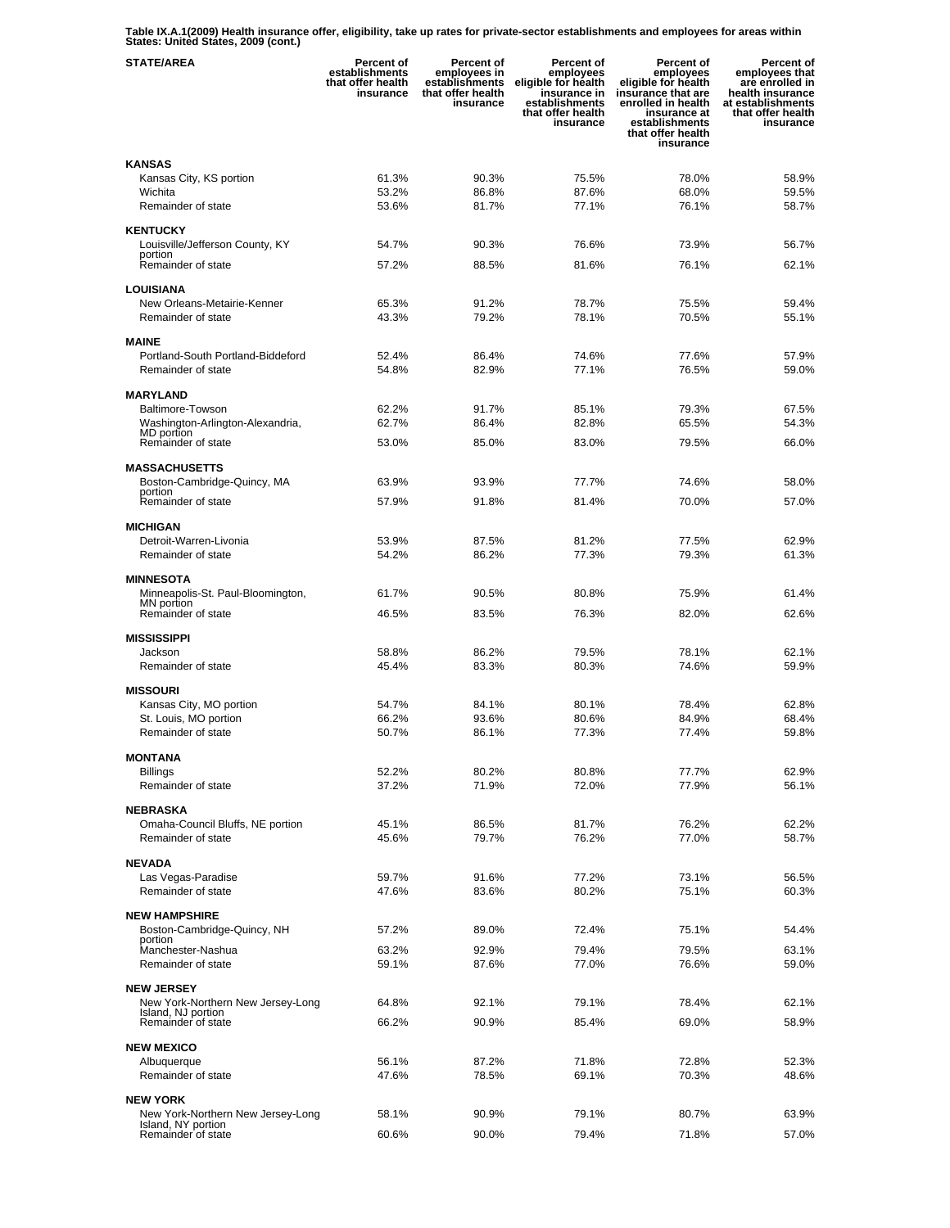**Table IX.A.1(2009) Health insurance offer, eligibility, take up rates for private-sector establishments and employees for areas within States: United States, 2009 (cont.)** 

| <b>STATE/AREA</b>                                       | <b>Percent of</b><br>establishments<br>that offer health<br>insurance | <b>Percent of</b><br>employees in<br>establishments<br>that offer health<br>insurance | Percent of<br>employees<br>eligible for health<br>insurance in<br>establishments<br>that offer health<br>insurance | <b>Percent of</b><br>employees<br>eligible for health<br>insurance that are<br>enrolled in health<br>insurance at<br>establishments<br>that offer health<br>insurance | Percent of<br>employees that<br>are enrolled in<br>health insurance<br>at establishments<br>that offer health<br>insurance |
|---------------------------------------------------------|-----------------------------------------------------------------------|---------------------------------------------------------------------------------------|--------------------------------------------------------------------------------------------------------------------|-----------------------------------------------------------------------------------------------------------------------------------------------------------------------|----------------------------------------------------------------------------------------------------------------------------|
| <b>KANSAS</b>                                           |                                                                       |                                                                                       |                                                                                                                    |                                                                                                                                                                       |                                                                                                                            |
| Kansas City, KS portion                                 | 61.3%                                                                 | 90.3%                                                                                 | 75.5%                                                                                                              | 78.0%                                                                                                                                                                 | 58.9%                                                                                                                      |
| Wichita                                                 | 53.2%                                                                 | 86.8%                                                                                 | 87.6%                                                                                                              | 68.0%                                                                                                                                                                 | 59.5%                                                                                                                      |
| Remainder of state                                      | 53.6%                                                                 | 81.7%                                                                                 | 77.1%                                                                                                              | 76.1%                                                                                                                                                                 | 58.7%                                                                                                                      |
| <b>KENTUCKY</b>                                         |                                                                       |                                                                                       |                                                                                                                    |                                                                                                                                                                       |                                                                                                                            |
| Louisville/Jefferson County, KY                         | 54.7%                                                                 | 90.3%                                                                                 | 76.6%                                                                                                              | 73.9%                                                                                                                                                                 | 56.7%                                                                                                                      |
| portion<br>Remainder of state                           | 57.2%                                                                 | 88.5%                                                                                 | 81.6%                                                                                                              | 76.1%                                                                                                                                                                 | 62.1%                                                                                                                      |
|                                                         |                                                                       |                                                                                       |                                                                                                                    |                                                                                                                                                                       |                                                                                                                            |
| <b>LOUISIANA</b>                                        |                                                                       |                                                                                       |                                                                                                                    |                                                                                                                                                                       |                                                                                                                            |
| New Orleans-Metairie-Kenner                             | 65.3%                                                                 | 91.2%                                                                                 | 78.7%                                                                                                              | 75.5%                                                                                                                                                                 | 59.4%                                                                                                                      |
| Remainder of state                                      | 43.3%                                                                 | 79.2%                                                                                 | 78.1%                                                                                                              | 70.5%                                                                                                                                                                 | 55.1%                                                                                                                      |
| <b>MAINE</b>                                            |                                                                       |                                                                                       |                                                                                                                    |                                                                                                                                                                       |                                                                                                                            |
| Portland-South Portland-Biddeford                       | 52.4%                                                                 | 86.4%                                                                                 | 74.6%                                                                                                              | 77.6%                                                                                                                                                                 | 57.9%                                                                                                                      |
| Remainder of state                                      | 54.8%                                                                 | 82.9%                                                                                 | 77.1%                                                                                                              | 76.5%                                                                                                                                                                 | 59.0%                                                                                                                      |
| <b>MARYLAND</b>                                         |                                                                       |                                                                                       |                                                                                                                    |                                                                                                                                                                       |                                                                                                                            |
| Baltimore-Towson                                        | 62.2%                                                                 | 91.7%                                                                                 | 85.1%                                                                                                              | 79.3%                                                                                                                                                                 | 67.5%                                                                                                                      |
| Washington-Arlington-Alexandria,                        | 62.7%                                                                 | 86.4%                                                                                 | 82.8%                                                                                                              | 65.5%                                                                                                                                                                 | 54.3%                                                                                                                      |
| MD portion<br>Remainder of state                        | 53.0%                                                                 | 85.0%                                                                                 | 83.0%                                                                                                              | 79.5%                                                                                                                                                                 | 66.0%                                                                                                                      |
|                                                         |                                                                       |                                                                                       |                                                                                                                    |                                                                                                                                                                       |                                                                                                                            |
| MASSACHUSETTS                                           |                                                                       |                                                                                       |                                                                                                                    |                                                                                                                                                                       |                                                                                                                            |
| Boston-Cambridge-Quincy, MA<br>portion                  | 63.9%                                                                 | 93.9%                                                                                 | 77.7%                                                                                                              | 74.6%                                                                                                                                                                 | 58.0%                                                                                                                      |
| Remainder of state                                      | 57.9%                                                                 | 91.8%                                                                                 | 81.4%                                                                                                              | 70.0%                                                                                                                                                                 | 57.0%                                                                                                                      |
| <b>MICHIGAN</b>                                         |                                                                       |                                                                                       |                                                                                                                    |                                                                                                                                                                       |                                                                                                                            |
| Detroit-Warren-Livonia                                  | 53.9%                                                                 | 87.5%                                                                                 | 81.2%                                                                                                              | 77.5%                                                                                                                                                                 | 62.9%                                                                                                                      |
| Remainder of state                                      | 54.2%                                                                 | 86.2%                                                                                 | 77.3%                                                                                                              | 79.3%                                                                                                                                                                 | 61.3%                                                                                                                      |
|                                                         |                                                                       |                                                                                       |                                                                                                                    |                                                                                                                                                                       |                                                                                                                            |
| <b>MINNESOTA</b>                                        |                                                                       |                                                                                       |                                                                                                                    |                                                                                                                                                                       |                                                                                                                            |
| Minneapolis-St. Paul-Bloomington,<br>MN portion         | 61.7%                                                                 | 90.5%                                                                                 | 80.8%                                                                                                              | 75.9%                                                                                                                                                                 | 61.4%                                                                                                                      |
| Remainder of state                                      | 46.5%                                                                 | 83.5%                                                                                 | 76.3%                                                                                                              | 82.0%                                                                                                                                                                 | 62.6%                                                                                                                      |
| <b>MISSISSIPPI</b>                                      |                                                                       |                                                                                       |                                                                                                                    |                                                                                                                                                                       |                                                                                                                            |
| Jackson                                                 | 58.8%                                                                 | 86.2%                                                                                 | 79.5%                                                                                                              | 78.1%                                                                                                                                                                 | 62.1%                                                                                                                      |
| Remainder of state                                      | 45.4%                                                                 | 83.3%                                                                                 | 80.3%                                                                                                              | 74.6%                                                                                                                                                                 | 59.9%                                                                                                                      |
| <b>MISSOURI</b>                                         |                                                                       |                                                                                       |                                                                                                                    |                                                                                                                                                                       |                                                                                                                            |
| Kansas City, MO portion                                 | 54.7%                                                                 | 84.1%                                                                                 | 80.1%                                                                                                              | 78.4%                                                                                                                                                                 | 62.8%                                                                                                                      |
| St. Louis, MO portion                                   | 66.2%                                                                 | 93.6%                                                                                 | 80.6%                                                                                                              | 84.9%                                                                                                                                                                 | 68.4%                                                                                                                      |
| Remainder of state                                      | 50.7%                                                                 | 86.1%                                                                                 | 77.3%                                                                                                              | 77.4%                                                                                                                                                                 | 59.8%                                                                                                                      |
|                                                         |                                                                       |                                                                                       |                                                                                                                    |                                                                                                                                                                       |                                                                                                                            |
| <b>MONTANA</b><br><b>Billings</b>                       | 52.2%                                                                 | 80.2%                                                                                 | 80.8%                                                                                                              | 77.7%                                                                                                                                                                 | 62.9%                                                                                                                      |
| Remainder of state                                      | 37.2%                                                                 | 71.9%                                                                                 | 72.0%                                                                                                              | 77.9%                                                                                                                                                                 | 56.1%                                                                                                                      |
|                                                         |                                                                       |                                                                                       |                                                                                                                    |                                                                                                                                                                       |                                                                                                                            |
| <b>NEBRASKA</b>                                         |                                                                       |                                                                                       |                                                                                                                    |                                                                                                                                                                       | 62.2%                                                                                                                      |
| Omaha-Council Bluffs, NE portion<br>Remainder of state  | 45.1%<br>45.6%                                                        | 86.5%<br>79.7%                                                                        | 81.7%<br>76.2%                                                                                                     | 76.2%<br>77.0%                                                                                                                                                        | 58.7%                                                                                                                      |
|                                                         |                                                                       |                                                                                       |                                                                                                                    |                                                                                                                                                                       |                                                                                                                            |
| <b>NEVADA</b>                                           |                                                                       |                                                                                       |                                                                                                                    |                                                                                                                                                                       |                                                                                                                            |
| Las Vegas-Paradise                                      | 59.7%                                                                 | 91.6%                                                                                 | 77.2%                                                                                                              | 73.1%                                                                                                                                                                 | 56.5%                                                                                                                      |
| Remainder of state                                      | 47.6%                                                                 | 83.6%                                                                                 | 80.2%                                                                                                              | 75.1%                                                                                                                                                                 | 60.3%                                                                                                                      |
| <b>NEW HAMPSHIRE</b>                                    |                                                                       |                                                                                       |                                                                                                                    |                                                                                                                                                                       |                                                                                                                            |
| Boston-Cambridge-Quincy, NH                             | 57.2%                                                                 | 89.0%                                                                                 | 72.4%                                                                                                              | 75.1%                                                                                                                                                                 | 54.4%                                                                                                                      |
| portion<br>Manchester-Nashua                            | 63.2%                                                                 | 92.9%                                                                                 | 79.4%                                                                                                              | 79.5%                                                                                                                                                                 | 63.1%                                                                                                                      |
| Remainder of state                                      | 59.1%                                                                 | 87.6%                                                                                 | 77.0%                                                                                                              | 76.6%                                                                                                                                                                 | 59.0%                                                                                                                      |
|                                                         |                                                                       |                                                                                       |                                                                                                                    |                                                                                                                                                                       |                                                                                                                            |
| <b>NEW JERSEY</b><br>New York-Northern New Jersey-Long  | 64.8%                                                                 | 92.1%                                                                                 | 79.1%                                                                                                              | 78.4%                                                                                                                                                                 | 62.1%                                                                                                                      |
| Island, NJ portion                                      |                                                                       |                                                                                       |                                                                                                                    |                                                                                                                                                                       |                                                                                                                            |
| Remainder of state                                      | 66.2%                                                                 | 90.9%                                                                                 | 85.4%                                                                                                              | 69.0%                                                                                                                                                                 | 58.9%                                                                                                                      |
| <b>NEW MEXICO</b>                                       |                                                                       |                                                                                       |                                                                                                                    |                                                                                                                                                                       |                                                                                                                            |
| Albuquerque                                             | 56.1%                                                                 | 87.2%                                                                                 | 71.8%                                                                                                              | 72.8%                                                                                                                                                                 | 52.3%                                                                                                                      |
| Remainder of state                                      | 47.6%                                                                 | 78.5%                                                                                 | 69.1%                                                                                                              | 70.3%                                                                                                                                                                 | 48.6%                                                                                                                      |
| <b>NEW YORK</b>                                         |                                                                       |                                                                                       |                                                                                                                    |                                                                                                                                                                       |                                                                                                                            |
| New York-Northern New Jersey-Long<br>Island, NY portion | 58.1%                                                                 | 90.9%                                                                                 | 79.1%                                                                                                              | 80.7%                                                                                                                                                                 | 63.9%                                                                                                                      |
| Remainder of state                                      | 60.6%                                                                 | 90.0%                                                                                 | 79.4%                                                                                                              | 71.8%                                                                                                                                                                 | 57.0%                                                                                                                      |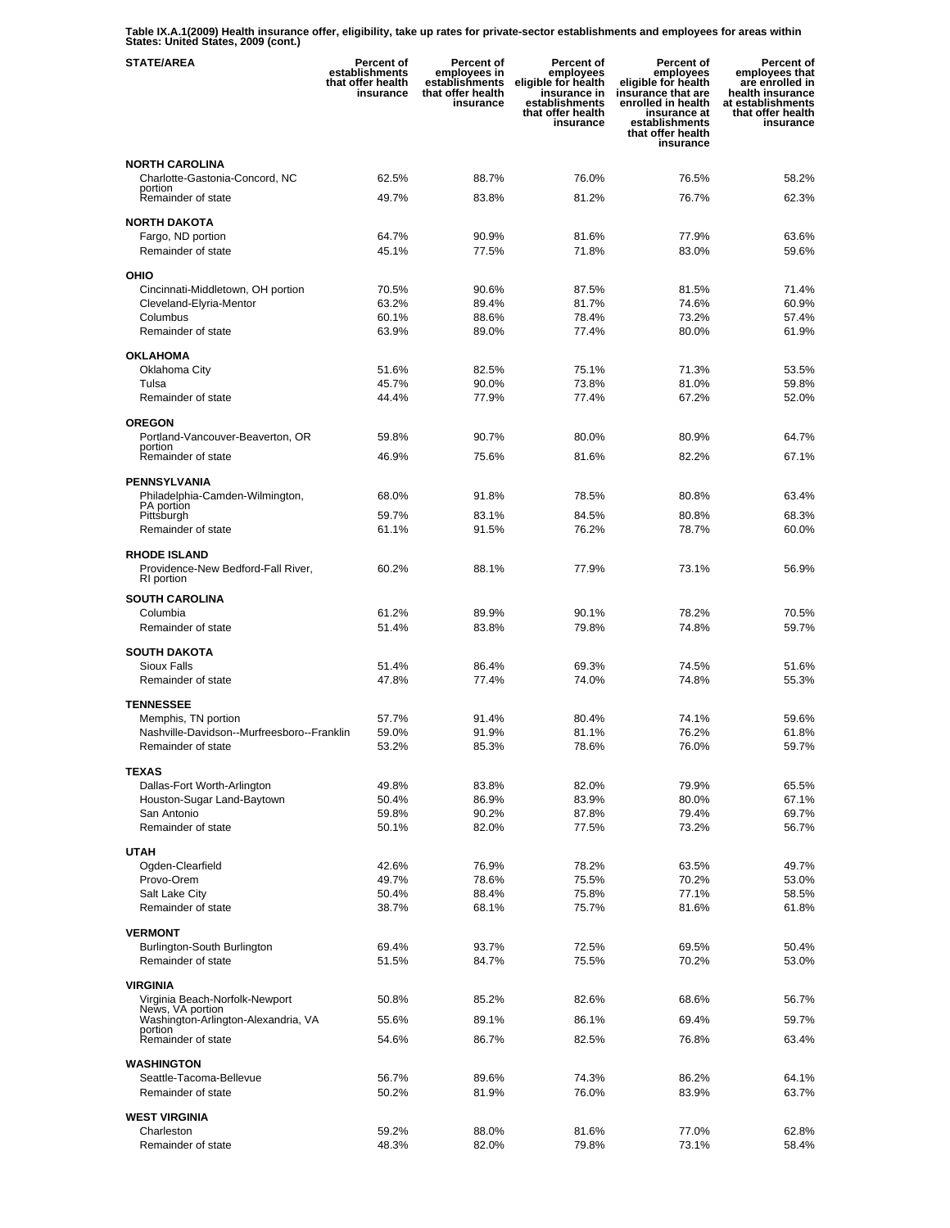**Table IX.A.1(2009) Health insurance offer, eligibility, take up rates for private-sector establishments and employees for areas within States: United States, 2009 (cont.)** 

| <b>STATE/AREA</b>                                         | Percent of<br>establishments<br>that offer health<br>insurance | Percent of<br>employees in<br>establishments<br>that offer health<br>insurance | Percent of<br>employees<br>eligible for health<br>insurance in<br>establishments<br>that offer health<br>insurance | <b>Percent of</b><br>employees<br>eligible for health<br>insurance that are<br>enrolled in health<br>insurance at<br>establishments<br>that offer health<br>insurance | Percent of<br>employees that<br>are enrolled in<br>health insurance<br>at establishments<br>that offer health<br>insurance |
|-----------------------------------------------------------|----------------------------------------------------------------|--------------------------------------------------------------------------------|--------------------------------------------------------------------------------------------------------------------|-----------------------------------------------------------------------------------------------------------------------------------------------------------------------|----------------------------------------------------------------------------------------------------------------------------|
| <b>NORTH CAROLINA</b>                                     |                                                                |                                                                                |                                                                                                                    |                                                                                                                                                                       |                                                                                                                            |
| Charlotte-Gastonia-Concord, NC<br>portion                 | 62.5%                                                          | 88.7%                                                                          | 76.0%                                                                                                              | 76.5%                                                                                                                                                                 | 58.2%                                                                                                                      |
| Remainder of state                                        | 49.7%                                                          | 83.8%                                                                          | 81.2%                                                                                                              | 76.7%                                                                                                                                                                 | 62.3%                                                                                                                      |
| <b>NORTH DAKOTA</b>                                       |                                                                |                                                                                |                                                                                                                    |                                                                                                                                                                       |                                                                                                                            |
| Fargo, ND portion                                         | 64.7%                                                          | 90.9%                                                                          | 81.6%                                                                                                              | 77.9%                                                                                                                                                                 | 63.6%                                                                                                                      |
| Remainder of state                                        | 45.1%                                                          | 77.5%                                                                          | 71.8%                                                                                                              | 83.0%                                                                                                                                                                 | 59.6%                                                                                                                      |
| OHIO                                                      |                                                                |                                                                                |                                                                                                                    |                                                                                                                                                                       |                                                                                                                            |
| Cincinnati-Middletown, OH portion                         | 70.5%                                                          | 90.6%                                                                          | 87.5%                                                                                                              | 81.5%                                                                                                                                                                 | 71.4%                                                                                                                      |
| Cleveland-Elyria-Mentor<br>Columbus                       | 63.2%<br>60.1%                                                 | 89.4%<br>88.6%                                                                 | 81.7%<br>78.4%                                                                                                     | 74.6%<br>73.2%                                                                                                                                                        | 60.9%<br>57.4%                                                                                                             |
| Remainder of state                                        | 63.9%                                                          | 89.0%                                                                          | 77.4%                                                                                                              | 80.0%                                                                                                                                                                 | 61.9%                                                                                                                      |
| <b>OKLAHOMA</b>                                           |                                                                |                                                                                |                                                                                                                    |                                                                                                                                                                       |                                                                                                                            |
| Oklahoma City                                             | 51.6%                                                          | 82.5%                                                                          | 75.1%                                                                                                              | 71.3%                                                                                                                                                                 | 53.5%                                                                                                                      |
| Tulsa                                                     | 45.7%                                                          | 90.0%                                                                          | 73.8%                                                                                                              | 81.0%                                                                                                                                                                 | 59.8%                                                                                                                      |
| Remainder of state                                        | 44.4%                                                          | 77.9%                                                                          | 77.4%                                                                                                              | 67.2%                                                                                                                                                                 | 52.0%                                                                                                                      |
| <b>OREGON</b>                                             |                                                                |                                                                                |                                                                                                                    |                                                                                                                                                                       |                                                                                                                            |
| Portland-Vancouver-Beaverton, OR<br>portion               | 59.8%                                                          | 90.7%                                                                          | 80.0%                                                                                                              | 80.9%                                                                                                                                                                 | 64.7%                                                                                                                      |
| Remainder of state                                        | 46.9%                                                          | 75.6%                                                                          | 81.6%                                                                                                              | 82.2%                                                                                                                                                                 | 67.1%                                                                                                                      |
| <b>PENNSYLVANIA</b>                                       |                                                                |                                                                                |                                                                                                                    |                                                                                                                                                                       |                                                                                                                            |
| Philadelphia-Camden-Wilmington,                           | 68.0%                                                          | 91.8%                                                                          | 78.5%                                                                                                              | 80.8%                                                                                                                                                                 | 63.4%                                                                                                                      |
| PA portion<br>Pittsburgh                                  | 59.7%                                                          | 83.1%                                                                          | 84.5%                                                                                                              | 80.8%                                                                                                                                                                 | 68.3%                                                                                                                      |
| Remainder of state                                        | 61.1%                                                          | 91.5%                                                                          | 76.2%                                                                                                              | 78.7%                                                                                                                                                                 | 60.0%                                                                                                                      |
| <b>RHODE ISLAND</b>                                       |                                                                |                                                                                |                                                                                                                    |                                                                                                                                                                       |                                                                                                                            |
| Providence-New Bedford-Fall River,                        | 60.2%                                                          | 88.1%                                                                          | 77.9%                                                                                                              | 73.1%                                                                                                                                                                 | 56.9%                                                                                                                      |
| RI portion                                                |                                                                |                                                                                |                                                                                                                    |                                                                                                                                                                       |                                                                                                                            |
| <b>SOUTH CAROLINA</b><br>Columbia                         | 61.2%                                                          | 89.9%                                                                          | 90.1%                                                                                                              | 78.2%                                                                                                                                                                 | 70.5%                                                                                                                      |
| Remainder of state                                        | 51.4%                                                          | 83.8%                                                                          | 79.8%                                                                                                              | 74.8%                                                                                                                                                                 | 59.7%                                                                                                                      |
| <b>SOUTH DAKOTA</b>                                       |                                                                |                                                                                |                                                                                                                    |                                                                                                                                                                       |                                                                                                                            |
| <b>Sioux Falls</b>                                        | 51.4%                                                          | 86.4%                                                                          | 69.3%                                                                                                              | 74.5%                                                                                                                                                                 | 51.6%                                                                                                                      |
| Remainder of state                                        | 47.8%                                                          | 77.4%                                                                          | 74.0%                                                                                                              | 74.8%                                                                                                                                                                 | 55.3%                                                                                                                      |
| <b>TENNESSEE</b>                                          |                                                                |                                                                                |                                                                                                                    |                                                                                                                                                                       |                                                                                                                            |
| Memphis, TN portion                                       | 57.7%                                                          | 91.4%                                                                          | 80.4%                                                                                                              | 74.1%                                                                                                                                                                 | 59.6%                                                                                                                      |
| Nashville-Davidson--Murfreesboro--Franklin                | 59.0%                                                          | 91.9%                                                                          | 81.1%                                                                                                              | 76.2%                                                                                                                                                                 | 61.8%                                                                                                                      |
| Remainder of state                                        | 53.2%                                                          | 85.3%                                                                          | 78.6%                                                                                                              | 76.0%                                                                                                                                                                 | 59.7%                                                                                                                      |
| <b>TEXAS</b>                                              |                                                                |                                                                                |                                                                                                                    |                                                                                                                                                                       |                                                                                                                            |
| Dallas-Fort Worth-Arlington<br>Houston-Sugar Land-Baytown | 49.8%<br>50.4%                                                 | 83.8%<br>86.9%                                                                 | 82.0%<br>83.9%                                                                                                     | 79.9%<br>80.0%                                                                                                                                                        | 65.5%<br>67.1%                                                                                                             |
| San Antonio                                               | 59.8%                                                          | 90.2%                                                                          | 87.8%                                                                                                              | 79.4%                                                                                                                                                                 | 69.7%                                                                                                                      |
| Remainder of state                                        | 50.1%                                                          | 82.0%                                                                          | 77.5%                                                                                                              | 73.2%                                                                                                                                                                 | 56.7%                                                                                                                      |
| <b>UTAH</b>                                               |                                                                |                                                                                |                                                                                                                    |                                                                                                                                                                       |                                                                                                                            |
| Ogden-Clearfield                                          | 42.6%                                                          | 76.9%                                                                          | 78.2%                                                                                                              | 63.5%                                                                                                                                                                 | 49.7%                                                                                                                      |
| Provo-Orem                                                | 49.7%                                                          | 78.6%                                                                          | 75.5%                                                                                                              | 70.2%                                                                                                                                                                 | 53.0%                                                                                                                      |
| Salt Lake City<br>Remainder of state                      | 50.4%<br>38.7%                                                 | 88.4%<br>68.1%                                                                 | 75.8%<br>75.7%                                                                                                     | 77.1%<br>81.6%                                                                                                                                                        | 58.5%<br>61.8%                                                                                                             |
|                                                           |                                                                |                                                                                |                                                                                                                    |                                                                                                                                                                       |                                                                                                                            |
| <b>VERMONT</b><br>Burlington-South Burlington             | 69.4%                                                          | 93.7%                                                                          | 72.5%                                                                                                              | 69.5%                                                                                                                                                                 | 50.4%                                                                                                                      |
| Remainder of state                                        | 51.5%                                                          | 84.7%                                                                          | 75.5%                                                                                                              | 70.2%                                                                                                                                                                 | 53.0%                                                                                                                      |
|                                                           |                                                                |                                                                                |                                                                                                                    |                                                                                                                                                                       |                                                                                                                            |
| VIRGINIA<br>Virginia Beach-Norfolk-Newport                | 50.8%                                                          | 85.2%                                                                          | 82.6%                                                                                                              | 68.6%                                                                                                                                                                 | 56.7%                                                                                                                      |
| News, VA portion<br>Washington-Arlington-Alexandria, VA   | 55.6%                                                          | 89.1%                                                                          | 86.1%                                                                                                              | 69.4%                                                                                                                                                                 | 59.7%                                                                                                                      |
| portion<br>Remainder of state                             | 54.6%                                                          | 86.7%                                                                          | 82.5%                                                                                                              | 76.8%                                                                                                                                                                 | 63.4%                                                                                                                      |
|                                                           |                                                                |                                                                                |                                                                                                                    |                                                                                                                                                                       |                                                                                                                            |
| <b>WASHINGTON</b>                                         |                                                                |                                                                                |                                                                                                                    |                                                                                                                                                                       |                                                                                                                            |
| Seattle-Tacoma-Bellevue<br>Remainder of state             | 56.7%<br>50.2%                                                 | 89.6%<br>81.9%                                                                 | 74.3%<br>76.0%                                                                                                     | 86.2%<br>83.9%                                                                                                                                                        | 64.1%<br>63.7%                                                                                                             |
|                                                           |                                                                |                                                                                |                                                                                                                    |                                                                                                                                                                       |                                                                                                                            |
| <b>WEST VIRGINIA</b><br>Charleston                        | 59.2%                                                          | 88.0%                                                                          | 81.6%                                                                                                              | 77.0%                                                                                                                                                                 | 62.8%                                                                                                                      |
| Remainder of state                                        | 48.3%                                                          | 82.0%                                                                          | 79.8%                                                                                                              | 73.1%                                                                                                                                                                 | 58.4%                                                                                                                      |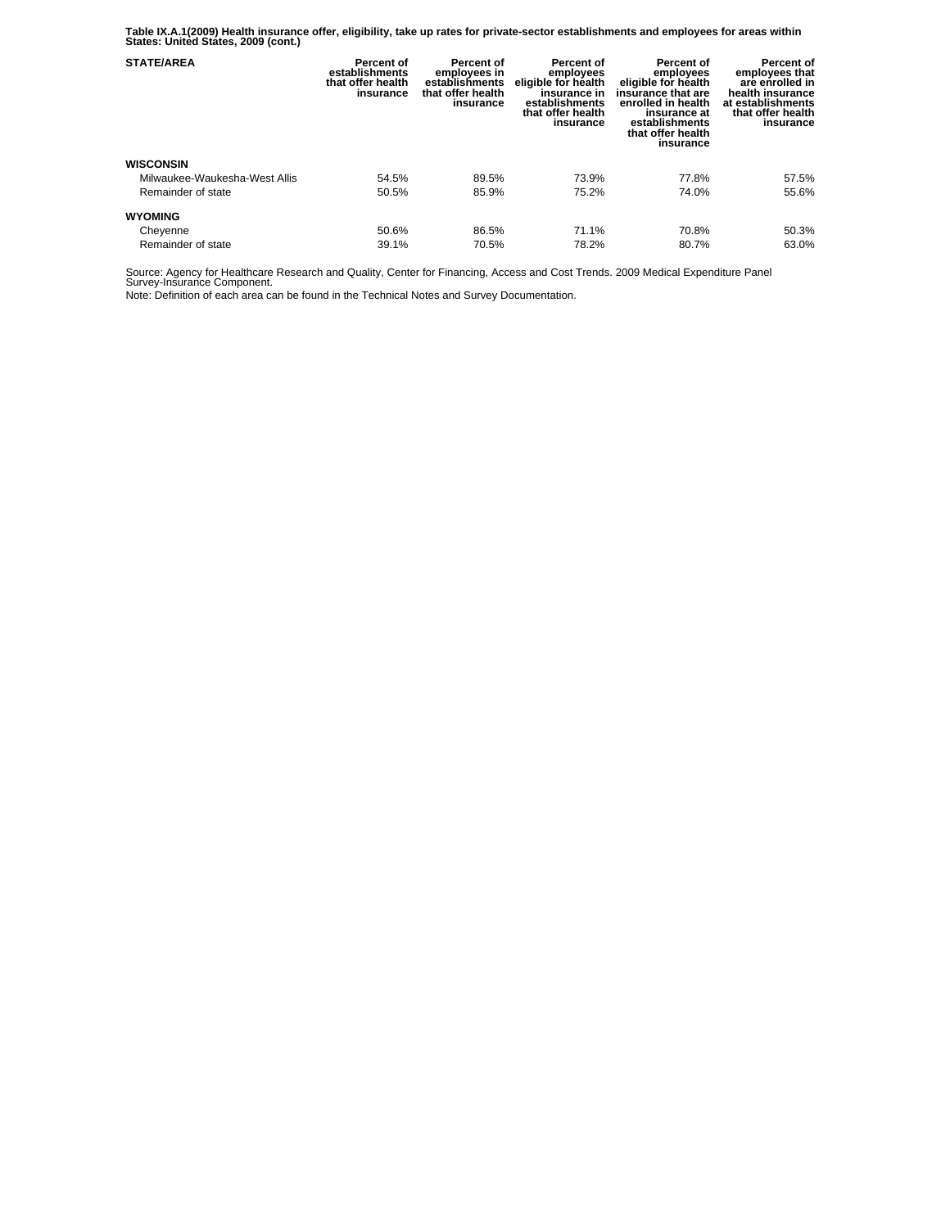**Table IX.A.1(2009) Health insurance offer, eligibility, take up rates for private-sector establishments and employees for areas within States: United States, 2009 (cont.)** 

| <b>STATE/AREA</b>             | Percent of<br>establishments<br>that offer health<br>insurance | Percent of<br>employees in<br>establishments<br>that offer health<br>insurance | Percent of<br>employees<br>eligible for health<br>insurance in<br>establishments<br>that offer health<br>insurance | Percent of<br>employees<br>eligible for health<br>insurance that are<br>enrolled in health<br>insurance at<br>establishments<br>that offer health<br>insurance | Percent of<br>employees that<br>are enrolled in<br>health insurance<br>at establishments<br>that offer health<br>insurance |
|-------------------------------|----------------------------------------------------------------|--------------------------------------------------------------------------------|--------------------------------------------------------------------------------------------------------------------|----------------------------------------------------------------------------------------------------------------------------------------------------------------|----------------------------------------------------------------------------------------------------------------------------|
| <b>WISCONSIN</b>              |                                                                |                                                                                |                                                                                                                    |                                                                                                                                                                |                                                                                                                            |
| Milwaukee-Waukesha-West Allis | 54.5%                                                          | 89.5%                                                                          | 73.9%                                                                                                              | 77.8%                                                                                                                                                          | 57.5%                                                                                                                      |
| Remainder of state            | 50.5%                                                          | 85.9%                                                                          | 75.2%                                                                                                              | 74.0%                                                                                                                                                          | 55.6%                                                                                                                      |
| <b>WYOMING</b>                |                                                                |                                                                                |                                                                                                                    |                                                                                                                                                                |                                                                                                                            |
| Cheyenne                      | 50.6%                                                          | 86.5%                                                                          | 71.1%                                                                                                              | 70.8%                                                                                                                                                          | 50.3%                                                                                                                      |
| Remainder of state            | 39.1%                                                          | 70.5%                                                                          | 78.2%                                                                                                              | 80.7%                                                                                                                                                          | 63.0%                                                                                                                      |

Source: Agency for Healthcare Research and Quality, Center for Financing, Access and Cost Trends. 2009 Medical Expenditure Panel Survey-Insurance Component.

Note: Definition of each area can be found in the Technical Notes and Survey Documentation.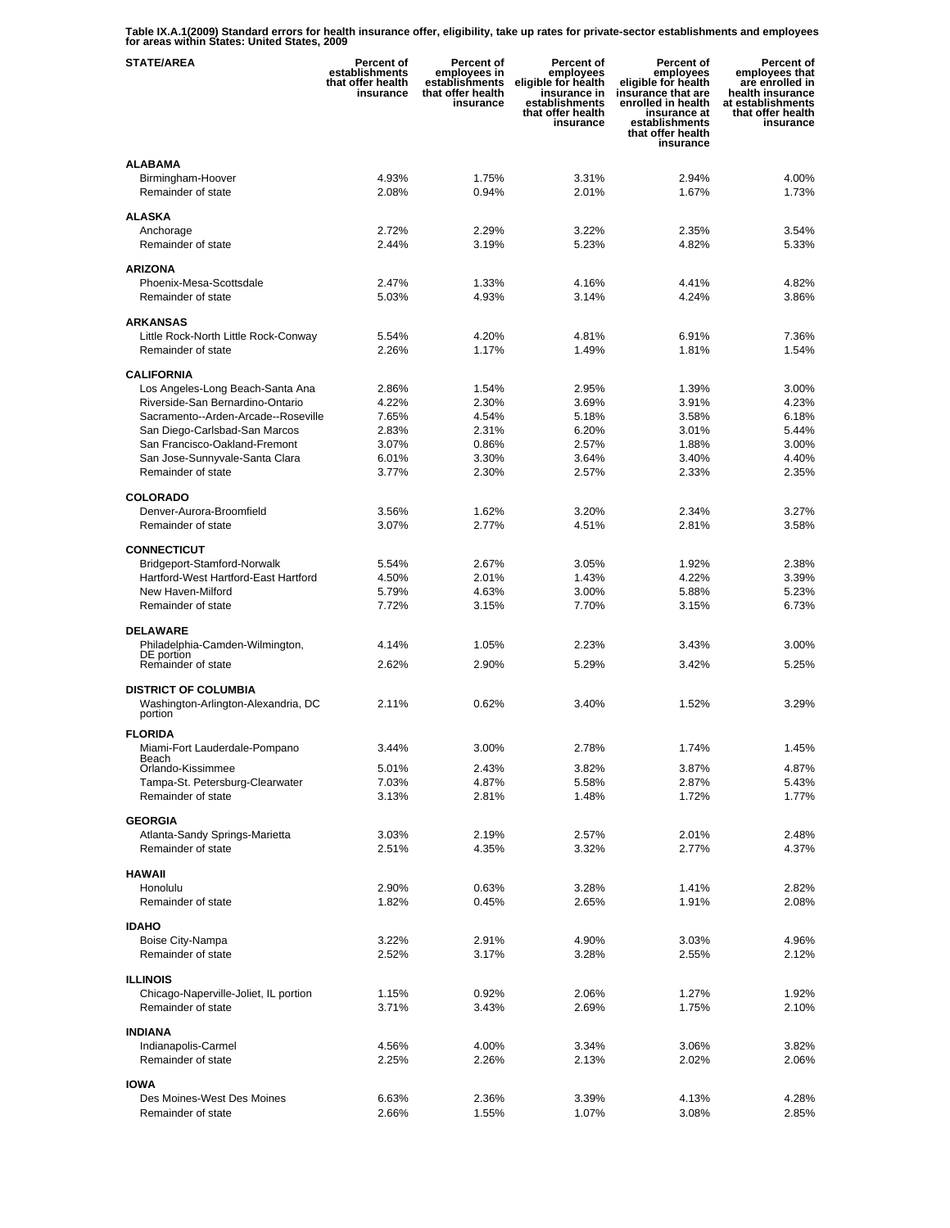**Table IX.A.1(2009) Standard errors for health insurance offer, eligibility, take up rates for private-sector establishments and employees for areas within States: United States, 2009** 

| <b>STATE/AREA</b>                                                  | <b>Percent of</b><br>establishments<br>that offer health<br>insurance | Percent of<br>employees in<br>establishments<br>that offer health<br>insurance | Percent of<br>employees<br>eligible for health<br>insurance in<br>establishments<br>that offer health<br>insurance | <b>Percent of</b><br>employees<br>eligible for health<br>insurance that are<br>enrolled in health<br>insurance at<br>establishments<br>that offer health<br>insurance | Percent of<br>employees that<br>are enrolled in<br>health insurance<br>at establishments<br>that offer health<br>insurance |
|--------------------------------------------------------------------|-----------------------------------------------------------------------|--------------------------------------------------------------------------------|--------------------------------------------------------------------------------------------------------------------|-----------------------------------------------------------------------------------------------------------------------------------------------------------------------|----------------------------------------------------------------------------------------------------------------------------|
| <b>ALABAMA</b>                                                     |                                                                       |                                                                                |                                                                                                                    |                                                                                                                                                                       |                                                                                                                            |
| Birmingham-Hoover                                                  | 4.93%                                                                 | 1.75%                                                                          | 3.31%                                                                                                              | 2.94%                                                                                                                                                                 | 4.00%                                                                                                                      |
| Remainder of state                                                 | 2.08%                                                                 | 0.94%                                                                          | 2.01%                                                                                                              | 1.67%                                                                                                                                                                 | 1.73%                                                                                                                      |
|                                                                    |                                                                       |                                                                                |                                                                                                                    |                                                                                                                                                                       |                                                                                                                            |
| <b>ALASKA</b>                                                      |                                                                       |                                                                                |                                                                                                                    |                                                                                                                                                                       |                                                                                                                            |
| Anchorage<br>Remainder of state                                    | 2.72%<br>2.44%                                                        | 2.29%<br>3.19%                                                                 | 3.22%<br>5.23%                                                                                                     | 2.35%<br>4.82%                                                                                                                                                        | 3.54%<br>5.33%                                                                                                             |
|                                                                    |                                                                       |                                                                                |                                                                                                                    |                                                                                                                                                                       |                                                                                                                            |
| <b>ARIZONA</b>                                                     |                                                                       |                                                                                |                                                                                                                    |                                                                                                                                                                       |                                                                                                                            |
| Phoenix-Mesa-Scottsdale                                            | 2.47%                                                                 | 1.33%                                                                          | 4.16%                                                                                                              | 4.41%                                                                                                                                                                 | 4.82%                                                                                                                      |
| Remainder of state                                                 | 5.03%                                                                 | 4.93%                                                                          | 3.14%                                                                                                              | 4.24%                                                                                                                                                                 | 3.86%                                                                                                                      |
|                                                                    |                                                                       |                                                                                |                                                                                                                    |                                                                                                                                                                       |                                                                                                                            |
| <b>ARKANSAS</b>                                                    |                                                                       |                                                                                |                                                                                                                    |                                                                                                                                                                       |                                                                                                                            |
| Little Rock-North Little Rock-Conway<br>Remainder of state         | 5.54%<br>2.26%                                                        | 4.20%<br>1.17%                                                                 | 4.81%<br>1.49%                                                                                                     | 6.91%<br>1.81%                                                                                                                                                        | 7.36%<br>1.54%                                                                                                             |
|                                                                    |                                                                       |                                                                                |                                                                                                                    |                                                                                                                                                                       |                                                                                                                            |
| <b>CALIFORNIA</b>                                                  |                                                                       |                                                                                |                                                                                                                    |                                                                                                                                                                       |                                                                                                                            |
| Los Angeles-Long Beach-Santa Ana                                   | 2.86%                                                                 | 1.54%                                                                          | 2.95%                                                                                                              | 1.39%                                                                                                                                                                 | 3.00%                                                                                                                      |
| Riverside-San Bernardino-Ontario                                   | 4.22%                                                                 | 2.30%                                                                          | 3.69%                                                                                                              | 3.91%                                                                                                                                                                 | 4.23%                                                                                                                      |
| Sacramento--Arden-Arcade--Roseville                                | 7.65%                                                                 | 4.54%                                                                          | 5.18%                                                                                                              | 3.58%                                                                                                                                                                 | 6.18%                                                                                                                      |
| San Diego-Carlsbad-San Marcos                                      | 2.83%                                                                 | 2.31%                                                                          | 6.20%                                                                                                              | 3.01%                                                                                                                                                                 | 5.44%                                                                                                                      |
| San Francisco-Oakland-Fremont                                      | 3.07%                                                                 | 0.86%                                                                          | 2.57%                                                                                                              | 1.88%                                                                                                                                                                 | 3.00%                                                                                                                      |
| San Jose-Sunnyvale-Santa Clara                                     | 6.01%                                                                 | 3.30%                                                                          | 3.64%                                                                                                              | 3.40%                                                                                                                                                                 | 4.40%                                                                                                                      |
| Remainder of state                                                 | 3.77%                                                                 | 2.30%                                                                          | 2.57%                                                                                                              | 2.33%                                                                                                                                                                 | 2.35%                                                                                                                      |
| <b>COLORADO</b>                                                    |                                                                       |                                                                                |                                                                                                                    |                                                                                                                                                                       |                                                                                                                            |
| Denver-Aurora-Broomfield                                           | 3.56%                                                                 | 1.62%                                                                          | 3.20%                                                                                                              | 2.34%                                                                                                                                                                 | 3.27%                                                                                                                      |
| Remainder of state                                                 | 3.07%                                                                 | 2.77%                                                                          | 4.51%                                                                                                              | 2.81%                                                                                                                                                                 | 3.58%                                                                                                                      |
|                                                                    |                                                                       |                                                                                |                                                                                                                    |                                                                                                                                                                       |                                                                                                                            |
| <b>CONNECTICUT</b>                                                 |                                                                       |                                                                                |                                                                                                                    |                                                                                                                                                                       |                                                                                                                            |
| Bridgeport-Stamford-Norwalk                                        | 5.54%                                                                 | 2.67%                                                                          | 3.05%                                                                                                              | 1.92%                                                                                                                                                                 | 2.38%                                                                                                                      |
| Hartford-West Hartford-East Hartford<br>New Haven-Milford          | 4.50%<br>5.79%                                                        | 2.01%<br>4.63%                                                                 | 1.43%<br>3.00%                                                                                                     | 4.22%<br>5.88%                                                                                                                                                        | 3.39%<br>5.23%                                                                                                             |
| Remainder of state                                                 | 7.72%                                                                 | 3.15%                                                                          | 7.70%                                                                                                              | 3.15%                                                                                                                                                                 | 6.73%                                                                                                                      |
|                                                                    |                                                                       |                                                                                |                                                                                                                    |                                                                                                                                                                       |                                                                                                                            |
| <b>DELAWARE</b>                                                    |                                                                       |                                                                                |                                                                                                                    |                                                                                                                                                                       |                                                                                                                            |
| Philadelphia-Camden-Wilmington,                                    | 4.14%                                                                 | 1.05%                                                                          | 2.23%                                                                                                              | 3.43%                                                                                                                                                                 | 3.00%                                                                                                                      |
| DE portion<br>Remainder of state                                   | 2.62%                                                                 | 2.90%                                                                          | 5.29%                                                                                                              | 3.42%                                                                                                                                                                 | 5.25%                                                                                                                      |
|                                                                    |                                                                       |                                                                                |                                                                                                                    |                                                                                                                                                                       |                                                                                                                            |
| <b>DISTRICT OF COLUMBIA</b><br>Washington-Arlington-Alexandria, DC | 2.11%                                                                 | 0.62%                                                                          | 3.40%                                                                                                              | 1.52%                                                                                                                                                                 | 3.29%                                                                                                                      |
| portion                                                            |                                                                       |                                                                                |                                                                                                                    |                                                                                                                                                                       |                                                                                                                            |
| <b>FLORIDA</b>                                                     |                                                                       |                                                                                |                                                                                                                    |                                                                                                                                                                       |                                                                                                                            |
| Miami-Fort Lauderdale-Pompano<br>Beach                             | 3.44%                                                                 | 3.00%                                                                          | 2.78%                                                                                                              | 1.74%                                                                                                                                                                 | 1.45%                                                                                                                      |
| Orlando-Kissimmee                                                  | 5.01%                                                                 | 2.43%                                                                          | 3.82%                                                                                                              | 3.87%                                                                                                                                                                 | 4.87%                                                                                                                      |
| Tampa-St. Petersburg-Clearwater                                    | 7.03%                                                                 | 4.87%                                                                          | 5.58%                                                                                                              | 2.87%                                                                                                                                                                 | 5.43%                                                                                                                      |
| Remainder of state                                                 | 3.13%                                                                 | 2.81%                                                                          | 1.48%                                                                                                              | 1.72%                                                                                                                                                                 | 1.77%                                                                                                                      |
| <b>GEORGIA</b>                                                     |                                                                       |                                                                                |                                                                                                                    |                                                                                                                                                                       |                                                                                                                            |
| Atlanta-Sandy Springs-Marietta                                     | 3.03%                                                                 | 2.19%                                                                          | 2.57%                                                                                                              | 2.01%                                                                                                                                                                 | 2.48%                                                                                                                      |
| Remainder of state                                                 | 2.51%                                                                 | 4.35%                                                                          | 3.32%                                                                                                              | 2.77%                                                                                                                                                                 | 4.37%                                                                                                                      |
|                                                                    |                                                                       |                                                                                |                                                                                                                    |                                                                                                                                                                       |                                                                                                                            |
| <b>HAWAII</b>                                                      |                                                                       |                                                                                |                                                                                                                    |                                                                                                                                                                       |                                                                                                                            |
| Honolulu                                                           | 2.90%                                                                 | 0.63%                                                                          | 3.28%                                                                                                              | 1.41%                                                                                                                                                                 | 2.82%                                                                                                                      |
| Remainder of state                                                 | 1.82%                                                                 | 0.45%                                                                          | 2.65%                                                                                                              | 1.91%                                                                                                                                                                 | 2.08%                                                                                                                      |
| <b>IDAHO</b>                                                       |                                                                       |                                                                                |                                                                                                                    |                                                                                                                                                                       |                                                                                                                            |
| Boise City-Nampa                                                   | 3.22%                                                                 | 2.91%                                                                          | 4.90%                                                                                                              | 3.03%                                                                                                                                                                 | 4.96%                                                                                                                      |
| Remainder of state                                                 | 2.52%                                                                 | 3.17%                                                                          | 3.28%                                                                                                              | 2.55%                                                                                                                                                                 | 2.12%                                                                                                                      |
|                                                                    |                                                                       |                                                                                |                                                                                                                    |                                                                                                                                                                       |                                                                                                                            |
| <b>ILLINOIS</b>                                                    |                                                                       |                                                                                |                                                                                                                    |                                                                                                                                                                       |                                                                                                                            |
| Chicago-Naperville-Joliet, IL portion                              | 1.15%                                                                 | 0.92%                                                                          | 2.06%                                                                                                              | 1.27%                                                                                                                                                                 | 1.92%                                                                                                                      |
| Remainder of state                                                 | 3.71%                                                                 | 3.43%                                                                          | 2.69%                                                                                                              | 1.75%                                                                                                                                                                 | 2.10%                                                                                                                      |
| <b>INDIANA</b>                                                     |                                                                       |                                                                                |                                                                                                                    |                                                                                                                                                                       |                                                                                                                            |
| Indianapolis-Carmel                                                | 4.56%                                                                 | 4.00%                                                                          | 3.34%                                                                                                              | 3.06%                                                                                                                                                                 | 3.82%                                                                                                                      |
| Remainder of state                                                 | 2.25%                                                                 | 2.26%                                                                          | 2.13%                                                                                                              | 2.02%                                                                                                                                                                 | 2.06%                                                                                                                      |
|                                                                    |                                                                       |                                                                                |                                                                                                                    |                                                                                                                                                                       |                                                                                                                            |
| <b>IOWA</b>                                                        |                                                                       |                                                                                |                                                                                                                    |                                                                                                                                                                       |                                                                                                                            |
| Des Moines-West Des Moines                                         | 6.63%                                                                 | 2.36%                                                                          | 3.39%                                                                                                              | 4.13%                                                                                                                                                                 | 4.28%                                                                                                                      |
| Remainder of state                                                 | 2.66%                                                                 | 1.55%                                                                          | 1.07%                                                                                                              | 3.08%                                                                                                                                                                 | 2.85%                                                                                                                      |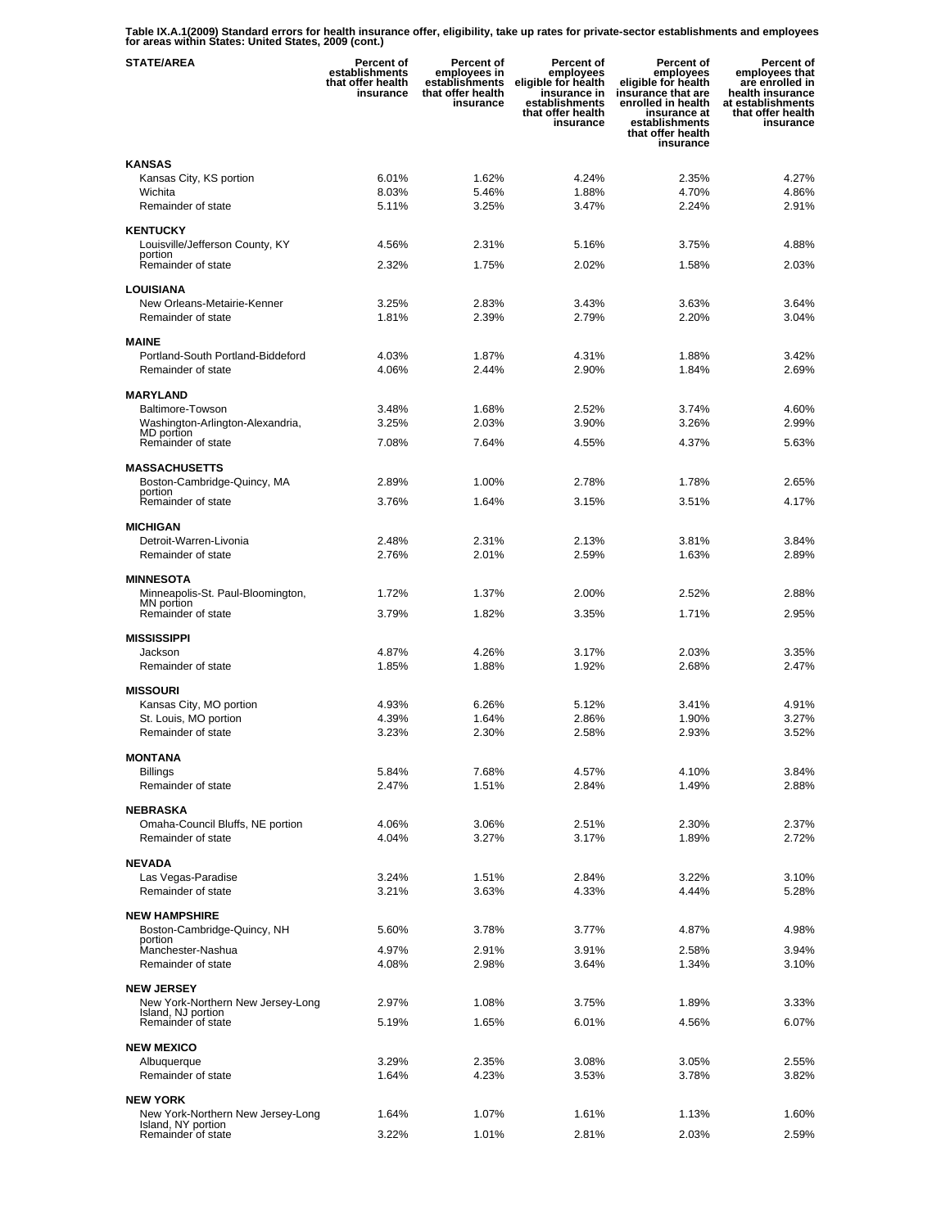**Table IX.A.1(2009) Standard errors for health insurance offer, eligibility, take up rates for private-sector establishments and employees for areas within States: United States, 2009 (cont.)** 

| <b>STATE/AREA</b>                                     | Percent of<br>establishments<br>that offer health<br>insurance | Percent of<br>employees in<br>establishments<br>that offer health<br>insurance | Percent of<br>employees<br>eligible for health<br>insurance in<br>establishments<br>that offer health<br>insurance | <b>Percent of</b><br>employees<br>eligible for health<br>insurance that are<br>enrolled in health<br>insurance at<br>establishments<br>that offer health<br>insurance | Percent of<br>employees that<br>are enrolled in<br>health insurance<br>at establishments<br>that offer health<br>insurance |
|-------------------------------------------------------|----------------------------------------------------------------|--------------------------------------------------------------------------------|--------------------------------------------------------------------------------------------------------------------|-----------------------------------------------------------------------------------------------------------------------------------------------------------------------|----------------------------------------------------------------------------------------------------------------------------|
| KANSAS                                                |                                                                |                                                                                |                                                                                                                    |                                                                                                                                                                       |                                                                                                                            |
| Kansas City, KS portion                               | 6.01%                                                          | 1.62%                                                                          | 4.24%                                                                                                              | 2.35%                                                                                                                                                                 | 4.27%                                                                                                                      |
| Wichita                                               | 8.03%                                                          | 5.46%                                                                          | 1.88%                                                                                                              | 4.70%                                                                                                                                                                 | 4.86%                                                                                                                      |
| Remainder of state                                    | 5.11%                                                          | 3.25%                                                                          | 3.47%                                                                                                              | 2.24%                                                                                                                                                                 | 2.91%                                                                                                                      |
| <b>KENTUCKY</b>                                       |                                                                |                                                                                |                                                                                                                    |                                                                                                                                                                       |                                                                                                                            |
| Louisville/Jefferson County, KY                       | 4.56%                                                          | 2.31%                                                                          | 5.16%                                                                                                              | 3.75%                                                                                                                                                                 | 4.88%                                                                                                                      |
| portion<br>Remainder of state                         | 2.32%                                                          | 1.75%                                                                          | 2.02%                                                                                                              | 1.58%                                                                                                                                                                 | 2.03%                                                                                                                      |
|                                                       |                                                                |                                                                                |                                                                                                                    |                                                                                                                                                                       |                                                                                                                            |
| <b>LOUISIANA</b>                                      |                                                                |                                                                                |                                                                                                                    |                                                                                                                                                                       |                                                                                                                            |
| New Orleans-Metairie-Kenner<br>Remainder of state     | 3.25%<br>1.81%                                                 | 2.83%<br>2.39%                                                                 | 3.43%<br>2.79%                                                                                                     | 3.63%<br>2.20%                                                                                                                                                        | 3.64%<br>3.04%                                                                                                             |
|                                                       |                                                                |                                                                                |                                                                                                                    |                                                                                                                                                                       |                                                                                                                            |
| <b>MAINE</b>                                          |                                                                |                                                                                |                                                                                                                    |                                                                                                                                                                       |                                                                                                                            |
| Portland-South Portland-Biddeford                     | 4.03%                                                          | 1.87%                                                                          | 4.31%                                                                                                              | 1.88%                                                                                                                                                                 | 3.42%                                                                                                                      |
| Remainder of state                                    | 4.06%                                                          | 2.44%                                                                          | 2.90%                                                                                                              | 1.84%                                                                                                                                                                 | 2.69%                                                                                                                      |
| <b>MARYLAND</b>                                       |                                                                |                                                                                |                                                                                                                    |                                                                                                                                                                       |                                                                                                                            |
| Baltimore-Towson                                      | 3.48%                                                          | 1.68%                                                                          | 2.52%                                                                                                              | 3.74%                                                                                                                                                                 | 4.60%                                                                                                                      |
| Washington-Arlington-Alexandria,                      | 3.25%                                                          | 2.03%                                                                          | 3.90%                                                                                                              | 3.26%                                                                                                                                                                 | 2.99%                                                                                                                      |
| MD portion<br>Remainder of state                      | 7.08%                                                          | 7.64%                                                                          | 4.55%                                                                                                              | 4.37%                                                                                                                                                                 | 5.63%                                                                                                                      |
|                                                       |                                                                |                                                                                |                                                                                                                    |                                                                                                                                                                       |                                                                                                                            |
| <b>MASSACHUSETTS</b>                                  |                                                                |                                                                                |                                                                                                                    |                                                                                                                                                                       |                                                                                                                            |
| Boston-Cambridge-Quincy, MA<br>portion                | 2.89%                                                          | 1.00%                                                                          | 2.78%                                                                                                              | 1.78%                                                                                                                                                                 | 2.65%                                                                                                                      |
| Remainder of state                                    | 3.76%                                                          | 1.64%                                                                          | 3.15%                                                                                                              | 3.51%                                                                                                                                                                 | 4.17%                                                                                                                      |
| <b>MICHIGAN</b>                                       |                                                                |                                                                                |                                                                                                                    |                                                                                                                                                                       |                                                                                                                            |
| Detroit-Warren-Livonia                                | 2.48%                                                          | 2.31%                                                                          | 2.13%                                                                                                              | 3.81%                                                                                                                                                                 | 3.84%                                                                                                                      |
| Remainder of state                                    | 2.76%                                                          | 2.01%                                                                          | 2.59%                                                                                                              | 1.63%                                                                                                                                                                 | 2.89%                                                                                                                      |
|                                                       |                                                                |                                                                                |                                                                                                                    |                                                                                                                                                                       |                                                                                                                            |
| <b>MINNESOTA</b><br>Minneapolis-St. Paul-Bloomington, | 1.72%                                                          | 1.37%                                                                          | 2.00%                                                                                                              | 2.52%                                                                                                                                                                 | 2.88%                                                                                                                      |
| MN portion                                            |                                                                |                                                                                |                                                                                                                    |                                                                                                                                                                       |                                                                                                                            |
| Remainder of state                                    | 3.79%                                                          | 1.82%                                                                          | 3.35%                                                                                                              | 1.71%                                                                                                                                                                 | 2.95%                                                                                                                      |
| <b>MISSISSIPPI</b>                                    |                                                                |                                                                                |                                                                                                                    |                                                                                                                                                                       |                                                                                                                            |
| Jackson                                               | 4.87%                                                          | 4.26%                                                                          | 3.17%                                                                                                              | 2.03%                                                                                                                                                                 | 3.35%                                                                                                                      |
| Remainder of state                                    | 1.85%                                                          | 1.88%                                                                          | 1.92%                                                                                                              | 2.68%                                                                                                                                                                 | 2.47%                                                                                                                      |
| <b>MISSOURI</b>                                       |                                                                |                                                                                |                                                                                                                    |                                                                                                                                                                       |                                                                                                                            |
| Kansas City, MO portion                               | 4.93%                                                          | 6.26%                                                                          | 5.12%                                                                                                              | 3.41%                                                                                                                                                                 | 4.91%                                                                                                                      |
| St. Louis, MO portion                                 | 4.39%                                                          | 1.64%                                                                          | 2.86%                                                                                                              | 1.90%                                                                                                                                                                 | 3.27%                                                                                                                      |
| Remainder of state                                    | 3.23%                                                          | 2.30%                                                                          | 2.58%                                                                                                              | 2.93%                                                                                                                                                                 | 3.52%                                                                                                                      |
| <b>MONTANA</b>                                        |                                                                |                                                                                |                                                                                                                    |                                                                                                                                                                       |                                                                                                                            |
| <b>Billings</b>                                       | 5.84%                                                          | 7.68%                                                                          | 4.57%                                                                                                              | 4.10%                                                                                                                                                                 | 3.84%                                                                                                                      |
| Remainder of state                                    | 2.47%                                                          | 1.51%                                                                          | 2.84%                                                                                                              | 1.49%                                                                                                                                                                 | 2.88%                                                                                                                      |
| <b>NEBRASKA</b>                                       |                                                                |                                                                                |                                                                                                                    |                                                                                                                                                                       |                                                                                                                            |
| Omaha-Council Bluffs, NE portion                      | 4.06%                                                          | 3.06%                                                                          | 2.51%                                                                                                              | 2.30%                                                                                                                                                                 | 2.37%                                                                                                                      |
| Remainder of state                                    | 4.04%                                                          | 3.27%                                                                          | 3.17%                                                                                                              | 1.89%                                                                                                                                                                 | 2.72%                                                                                                                      |
|                                                       |                                                                |                                                                                |                                                                                                                    |                                                                                                                                                                       |                                                                                                                            |
| <b>NEVADA</b>                                         |                                                                |                                                                                |                                                                                                                    |                                                                                                                                                                       |                                                                                                                            |
| Las Vegas-Paradise<br>Remainder of state              | 3.24%<br>3.21%                                                 | 1.51%<br>3.63%                                                                 | 2.84%<br>4.33%                                                                                                     | 3.22%<br>4.44%                                                                                                                                                        | 3.10%<br>5.28%                                                                                                             |
|                                                       |                                                                |                                                                                |                                                                                                                    |                                                                                                                                                                       |                                                                                                                            |
| <b>NEW HAMPSHIRE</b>                                  |                                                                |                                                                                |                                                                                                                    |                                                                                                                                                                       |                                                                                                                            |
| Boston-Cambridge-Quincy, NH<br>portion                | 5.60%                                                          | 3.78%                                                                          | 3.77%                                                                                                              | 4.87%                                                                                                                                                                 | 4.98%                                                                                                                      |
| Manchester-Nashua                                     | 4.97%                                                          | 2.91%                                                                          | 3.91%                                                                                                              | 2.58%                                                                                                                                                                 | 3.94%                                                                                                                      |
| Remainder of state                                    | 4.08%                                                          | 2.98%                                                                          | 3.64%                                                                                                              | 1.34%                                                                                                                                                                 | 3.10%                                                                                                                      |
| <b>NEW JERSEY</b>                                     |                                                                |                                                                                |                                                                                                                    |                                                                                                                                                                       |                                                                                                                            |
| New York-Northern New Jersey-Long                     | 2.97%                                                          | 1.08%                                                                          | 3.75%                                                                                                              | 1.89%                                                                                                                                                                 | 3.33%                                                                                                                      |
| Island, NJ portion<br>Remainder of state              | 5.19%                                                          | 1.65%                                                                          | 6.01%                                                                                                              | 4.56%                                                                                                                                                                 | 6.07%                                                                                                                      |
|                                                       |                                                                |                                                                                |                                                                                                                    |                                                                                                                                                                       |                                                                                                                            |
| <b>NEW MEXICO</b>                                     |                                                                |                                                                                |                                                                                                                    |                                                                                                                                                                       |                                                                                                                            |
| Albuquerque                                           | 3.29%                                                          | 2.35%                                                                          | 3.08%                                                                                                              | 3.05%                                                                                                                                                                 | 2.55%                                                                                                                      |
| Remainder of state                                    | 1.64%                                                          | 4.23%                                                                          | 3.53%                                                                                                              | 3.78%                                                                                                                                                                 | 3.82%                                                                                                                      |
| <b>NEW YORK</b>                                       |                                                                |                                                                                |                                                                                                                    |                                                                                                                                                                       |                                                                                                                            |
| New York-Northern New Jersey-Long                     | 1.64%                                                          | 1.07%                                                                          | 1.61%                                                                                                              | 1.13%                                                                                                                                                                 | 1.60%                                                                                                                      |
| Island, NY portion<br>Remainder of state              | 3.22%                                                          | 1.01%                                                                          | 2.81%                                                                                                              | 2.03%                                                                                                                                                                 | 2.59%                                                                                                                      |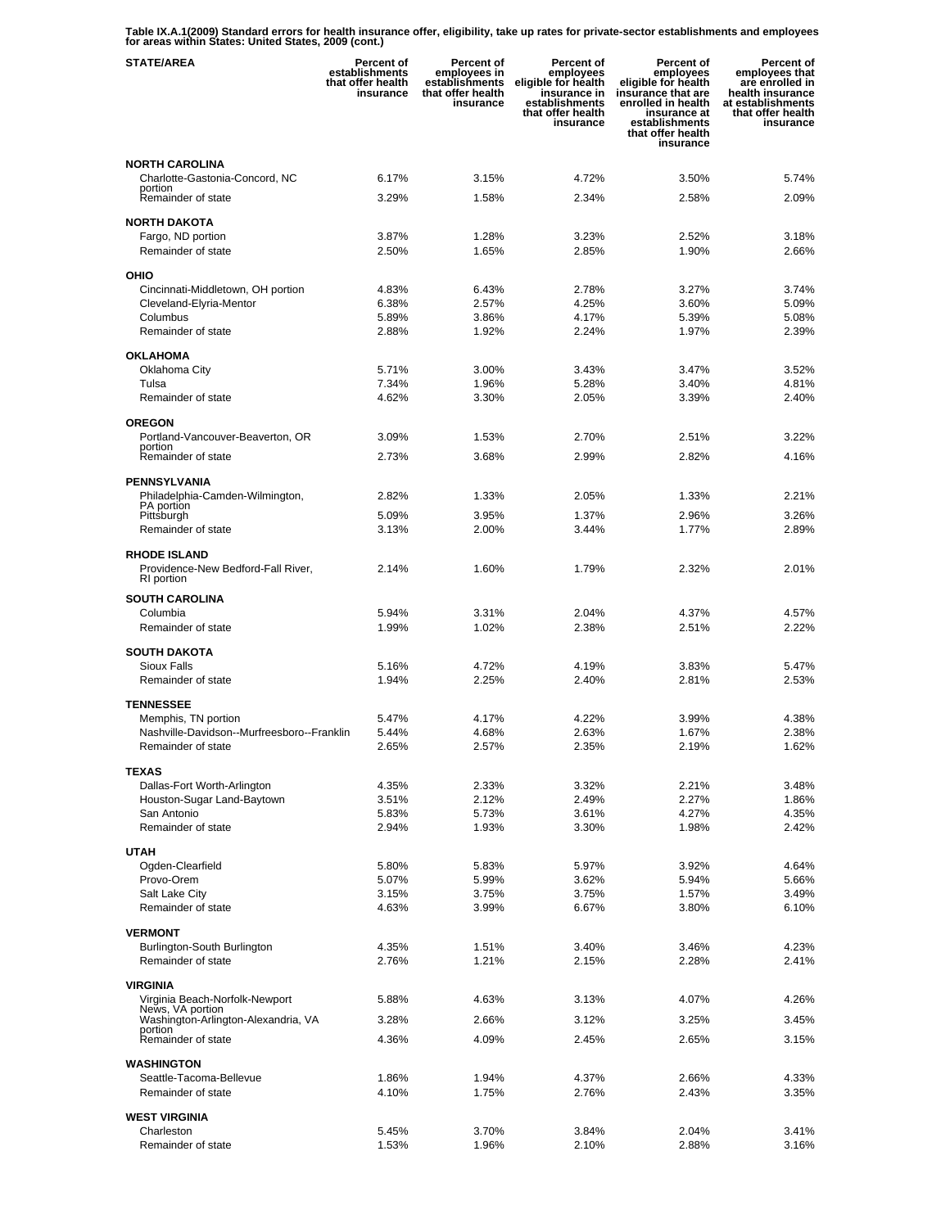**Table IX.A.1(2009) Standard errors for health insurance offer, eligibility, take up rates for private-sector establishments and employees for areas within States: United States, 2009 (cont.)** 

| <b>STATE/AREA</b>                                         | <b>Percent of</b><br>establishments<br>that offer health<br>insurance | <b>Percent of</b><br>employees in<br>establishments<br>that offer health<br>insurance | Percent of<br>employees<br>eligible for health<br>insurance in<br>establishments<br>that offer health<br>insurance | <b>Percent of</b><br>employees<br>eligible for health<br>insurance that are<br>enrolled in health<br>insurance at<br>establishments<br>that offer health<br>insurance | Percent of<br>employees that<br>are enrolled in<br>health insurance<br>at establishments<br>that offer health<br>insurance |
|-----------------------------------------------------------|-----------------------------------------------------------------------|---------------------------------------------------------------------------------------|--------------------------------------------------------------------------------------------------------------------|-----------------------------------------------------------------------------------------------------------------------------------------------------------------------|----------------------------------------------------------------------------------------------------------------------------|
| <b>NORTH CAROLINA</b>                                     |                                                                       |                                                                                       |                                                                                                                    |                                                                                                                                                                       |                                                                                                                            |
| Charlotte-Gastonia-Concord, NC<br>portion                 | 6.17%                                                                 | 3.15%                                                                                 | 4.72%                                                                                                              | 3.50%                                                                                                                                                                 | 5.74%                                                                                                                      |
| Remainder of state                                        | 3.29%                                                                 | 1.58%                                                                                 | 2.34%                                                                                                              | 2.58%                                                                                                                                                                 | 2.09%                                                                                                                      |
| <b>NORTH DAKOTA</b>                                       |                                                                       |                                                                                       |                                                                                                                    |                                                                                                                                                                       |                                                                                                                            |
| Fargo, ND portion                                         | 3.87%                                                                 | 1.28%                                                                                 | 3.23%                                                                                                              | 2.52%                                                                                                                                                                 | 3.18%                                                                                                                      |
| Remainder of state                                        | 2.50%                                                                 | 1.65%                                                                                 | 2.85%                                                                                                              | 1.90%                                                                                                                                                                 | 2.66%                                                                                                                      |
| OHIO                                                      |                                                                       |                                                                                       |                                                                                                                    |                                                                                                                                                                       |                                                                                                                            |
| Cincinnati-Middletown, OH portion                         | 4.83%                                                                 | 6.43%                                                                                 | 2.78%                                                                                                              | 3.27%                                                                                                                                                                 | 3.74%                                                                                                                      |
| Cleveland-Elyria-Mentor<br>Columbus                       | 6.38%<br>5.89%                                                        | 2.57%<br>3.86%                                                                        | 4.25%<br>4.17%                                                                                                     | 3.60%<br>5.39%                                                                                                                                                        | 5.09%<br>5.08%                                                                                                             |
| Remainder of state                                        | 2.88%                                                                 | 1.92%                                                                                 | 2.24%                                                                                                              | 1.97%                                                                                                                                                                 | 2.39%                                                                                                                      |
| <b>OKLAHOMA</b>                                           |                                                                       |                                                                                       |                                                                                                                    |                                                                                                                                                                       |                                                                                                                            |
| Oklahoma City                                             | 5.71%                                                                 | 3.00%                                                                                 | 3.43%                                                                                                              | 3.47%                                                                                                                                                                 | 3.52%                                                                                                                      |
| Tulsa                                                     | 7.34%                                                                 | 1.96%                                                                                 | 5.28%                                                                                                              | 3.40%                                                                                                                                                                 | 4.81%                                                                                                                      |
| Remainder of state                                        | 4.62%                                                                 | 3.30%                                                                                 | 2.05%                                                                                                              | 3.39%                                                                                                                                                                 | 2.40%                                                                                                                      |
| <b>OREGON</b>                                             |                                                                       |                                                                                       |                                                                                                                    |                                                                                                                                                                       |                                                                                                                            |
| Portland-Vancouver-Beaverton, OR<br>portion               | 3.09%                                                                 | 1.53%                                                                                 | 2.70%                                                                                                              | 2.51%                                                                                                                                                                 | 3.22%                                                                                                                      |
| Remainder of state                                        | 2.73%                                                                 | 3.68%                                                                                 | 2.99%                                                                                                              | 2.82%                                                                                                                                                                 | 4.16%                                                                                                                      |
| <b>PENNSYLVANIA</b>                                       |                                                                       |                                                                                       |                                                                                                                    |                                                                                                                                                                       |                                                                                                                            |
| Philadelphia-Camden-Wilmington,                           | 2.82%                                                                 | 1.33%                                                                                 | 2.05%                                                                                                              | 1.33%                                                                                                                                                                 | 2.21%                                                                                                                      |
| <b>PA</b> portion<br>Pittsburgh                           | 5.09%                                                                 | 3.95%                                                                                 | 1.37%                                                                                                              | 2.96%                                                                                                                                                                 | 3.26%                                                                                                                      |
| Remainder of state                                        | 3.13%                                                                 | 2.00%                                                                                 | 3.44%                                                                                                              | 1.77%                                                                                                                                                                 | 2.89%                                                                                                                      |
| <b>RHODE ISLAND</b>                                       |                                                                       |                                                                                       |                                                                                                                    |                                                                                                                                                                       |                                                                                                                            |
| Providence-New Bedford-Fall River,                        | 2.14%                                                                 | 1.60%                                                                                 | 1.79%                                                                                                              | 2.32%                                                                                                                                                                 | 2.01%                                                                                                                      |
| RI portion                                                |                                                                       |                                                                                       |                                                                                                                    |                                                                                                                                                                       |                                                                                                                            |
| <b>SOUTH CAROLINA</b><br>Columbia                         | 5.94%                                                                 | 3.31%                                                                                 | 2.04%                                                                                                              | 4.37%                                                                                                                                                                 | 4.57%                                                                                                                      |
| Remainder of state                                        | 1.99%                                                                 | 1.02%                                                                                 | 2.38%                                                                                                              | 2.51%                                                                                                                                                                 | 2.22%                                                                                                                      |
| <b>SOUTH DAKOTA</b>                                       |                                                                       |                                                                                       |                                                                                                                    |                                                                                                                                                                       |                                                                                                                            |
| <b>Sioux Falls</b>                                        | 5.16%                                                                 | 4.72%                                                                                 | 4.19%                                                                                                              | 3.83%                                                                                                                                                                 | 5.47%                                                                                                                      |
| Remainder of state                                        | 1.94%                                                                 | 2.25%                                                                                 | 2.40%                                                                                                              | 2.81%                                                                                                                                                                 | 2.53%                                                                                                                      |
| <b>TENNESSEE</b>                                          |                                                                       |                                                                                       |                                                                                                                    |                                                                                                                                                                       |                                                                                                                            |
| Memphis, TN portion                                       | 5.47%                                                                 | 4.17%                                                                                 | 4.22%                                                                                                              | 3.99%                                                                                                                                                                 | 4.38%                                                                                                                      |
| Nashville-Davidson--Murfreesboro--Franklin                | 5.44%                                                                 | 4.68%                                                                                 | 2.63%                                                                                                              | 1.67%                                                                                                                                                                 | 2.38%<br>1.62%                                                                                                             |
| Remainder of state                                        | 2.65%                                                                 | 2.57%                                                                                 | 2.35%                                                                                                              | 2.19%                                                                                                                                                                 |                                                                                                                            |
| <b>TEXAS</b>                                              |                                                                       |                                                                                       |                                                                                                                    |                                                                                                                                                                       |                                                                                                                            |
| Dallas-Fort Worth-Arlington<br>Houston-Sugar Land-Baytown | 4.35%<br>3.51%                                                        | 2.33%<br>2.12%                                                                        | 3.32%<br>2.49%                                                                                                     | 2.21%<br>2.27%                                                                                                                                                        | 3.48%<br>1.86%                                                                                                             |
| San Antonio                                               | 5.83%                                                                 | 5.73%                                                                                 | 3.61%                                                                                                              | 4.27%                                                                                                                                                                 | 4.35%                                                                                                                      |
| Remainder of state                                        | 2.94%                                                                 | 1.93%                                                                                 | 3.30%                                                                                                              | 1.98%                                                                                                                                                                 | 2.42%                                                                                                                      |
| <b>UTAH</b>                                               |                                                                       |                                                                                       |                                                                                                                    |                                                                                                                                                                       |                                                                                                                            |
| Ogden-Clearfield                                          | 5.80%                                                                 | 5.83%                                                                                 | 5.97%                                                                                                              | 3.92%                                                                                                                                                                 | 4.64%                                                                                                                      |
| Provo-Orem                                                | 5.07%                                                                 | 5.99%                                                                                 | 3.62%                                                                                                              | 5.94%                                                                                                                                                                 | 5.66%                                                                                                                      |
| Salt Lake City<br>Remainder of state                      | 3.15%<br>4.63%                                                        | 3.75%<br>3.99%                                                                        | 3.75%<br>6.67%                                                                                                     | 1.57%<br>3.80%                                                                                                                                                        | 3.49%<br>6.10%                                                                                                             |
|                                                           |                                                                       |                                                                                       |                                                                                                                    |                                                                                                                                                                       |                                                                                                                            |
| <b>VERMONT</b><br>Burlington-South Burlington             | 4.35%                                                                 | 1.51%                                                                                 | 3.40%                                                                                                              | 3.46%                                                                                                                                                                 | 4.23%                                                                                                                      |
| Remainder of state                                        | 2.76%                                                                 | 1.21%                                                                                 | 2.15%                                                                                                              | 2.28%                                                                                                                                                                 | 2.41%                                                                                                                      |
| VIRGINIA                                                  |                                                                       |                                                                                       |                                                                                                                    |                                                                                                                                                                       |                                                                                                                            |
| Virginia Beach-Norfolk-Newport<br>News, VA portion        | 5.88%                                                                 | 4.63%                                                                                 | 3.13%                                                                                                              | 4.07%                                                                                                                                                                 | 4.26%                                                                                                                      |
| Washington-Arlington-Alexandria, VA                       | 3.28%                                                                 | 2.66%                                                                                 | 3.12%                                                                                                              | 3.25%                                                                                                                                                                 | 3.45%                                                                                                                      |
| portion<br>Remainder of state                             | 4.36%                                                                 | 4.09%                                                                                 | 2.45%                                                                                                              | 2.65%                                                                                                                                                                 | 3.15%                                                                                                                      |
|                                                           |                                                                       |                                                                                       |                                                                                                                    |                                                                                                                                                                       |                                                                                                                            |
| <b>WASHINGTON</b><br>Seattle-Tacoma-Bellevue              | 1.86%                                                                 | 1.94%                                                                                 | 4.37%                                                                                                              | 2.66%                                                                                                                                                                 | 4.33%                                                                                                                      |
| Remainder of state                                        | 4.10%                                                                 | 1.75%                                                                                 | 2.76%                                                                                                              | 2.43%                                                                                                                                                                 | 3.35%                                                                                                                      |
| <b>WEST VIRGINIA</b>                                      |                                                                       |                                                                                       |                                                                                                                    |                                                                                                                                                                       |                                                                                                                            |
| Charleston                                                | 5.45%                                                                 | 3.70%                                                                                 | 3.84%                                                                                                              | 2.04%                                                                                                                                                                 | 3.41%                                                                                                                      |
| Remainder of state                                        | 1.53%                                                                 | 1.96%                                                                                 | 2.10%                                                                                                              | 2.88%                                                                                                                                                                 | 3.16%                                                                                                                      |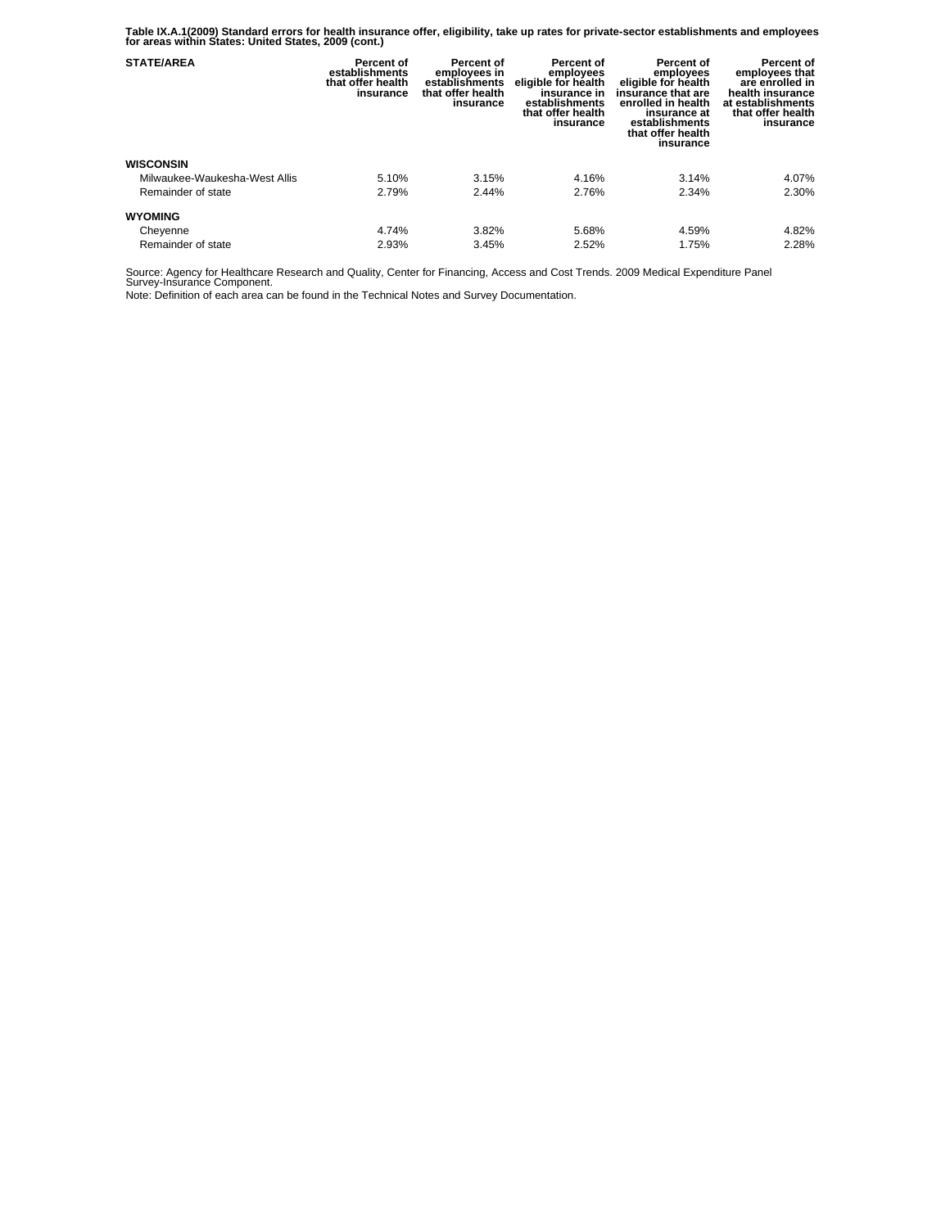**Table IX.A.1(2009) Standard errors for health insurance offer, eligibility, take up rates for private-sector establishments and employees for areas within States: United States, 2009 (cont.)** 

| <b>STATE/AREA</b>             | Percent of<br>establishments<br>that offer health<br>insurance | Percent of<br>employees in<br>establishments<br>that offer health<br>insurance | Percent of<br>employees<br>eligible for health<br>insurance in<br>establishments<br>that offer health<br>insurance | Percent of<br>employees<br>eligible for health<br>insurance that are<br>enrolled in health<br>insurance at<br>establishments<br>that offer health<br>insurance | Percent of<br>employees that<br>are enrolled in<br>health insurance<br>at establishments<br>that offer health<br>insurance |
|-------------------------------|----------------------------------------------------------------|--------------------------------------------------------------------------------|--------------------------------------------------------------------------------------------------------------------|----------------------------------------------------------------------------------------------------------------------------------------------------------------|----------------------------------------------------------------------------------------------------------------------------|
| <b>WISCONSIN</b>              |                                                                |                                                                                |                                                                                                                    |                                                                                                                                                                |                                                                                                                            |
| Milwaukee-Waukesha-West Allis | 5.10%                                                          | 3.15%                                                                          | 4.16%                                                                                                              | 3.14%                                                                                                                                                          | 4.07%                                                                                                                      |
| Remainder of state            | 2.79%                                                          | 2.44%                                                                          | 2.76%                                                                                                              | 2.34%                                                                                                                                                          | 2.30%                                                                                                                      |
| <b>WYOMING</b>                |                                                                |                                                                                |                                                                                                                    |                                                                                                                                                                |                                                                                                                            |
| Cheyenne                      | 4.74%                                                          | 3.82%                                                                          | 5.68%                                                                                                              | 4.59%                                                                                                                                                          | 4.82%                                                                                                                      |
| Remainder of state            | 2.93%                                                          | 3.45%                                                                          | 2.52%                                                                                                              | 1.75%                                                                                                                                                          | 2.28%                                                                                                                      |

Source: Agency for Healthcare Research and Quality, Center for Financing, Access and Cost Trends. 2009 Medical Expenditure Panel Survey-Insurance Component.

Note: Definition of each area can be found in the Technical Notes and Survey Documentation.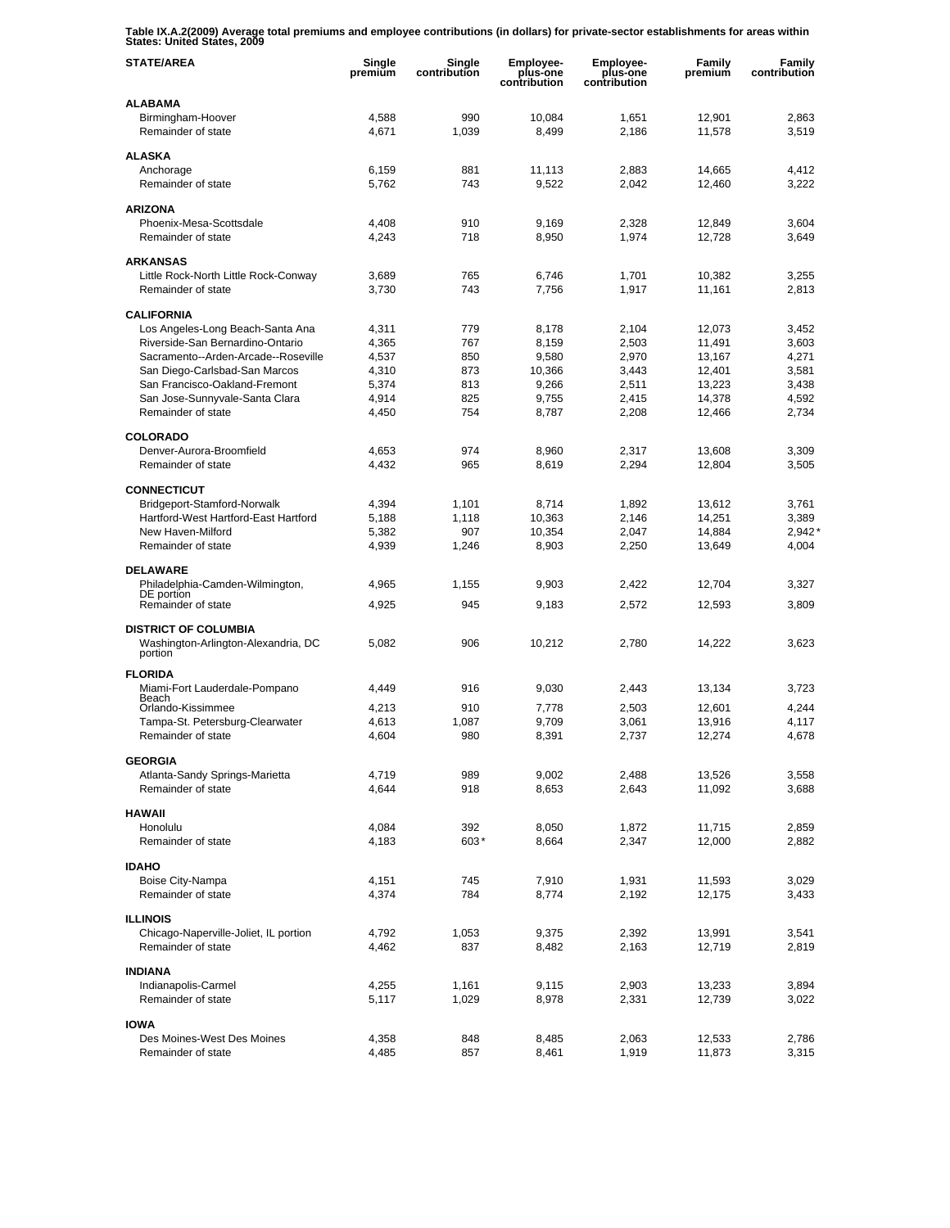**Table IX.A.2(2009) Average total premiums and employee contributions (in dollars) for private-sector establishments for areas within States: United States, 2009** 

| <b>STATE/AREA</b>                                              | Single<br>premium | Single<br>contribution | Employee-<br>plus-one<br>contribution | <b>Employee-</b><br>plus-one<br>contribution | Family<br>premium | Family<br>contribution |
|----------------------------------------------------------------|-------------------|------------------------|---------------------------------------|----------------------------------------------|-------------------|------------------------|
| <b>ALABAMA</b>                                                 |                   |                        |                                       |                                              |                   |                        |
| Birmingham-Hoover<br>Remainder of state                        | 4,588<br>4,671    | 990<br>1,039           | 10,084<br>8,499                       | 1,651<br>2,186                               | 12,901<br>11.578  | 2,863<br>3,519         |
| <b>ALASKA</b>                                                  |                   |                        |                                       |                                              |                   |                        |
| Anchorage                                                      | 6,159             | 881                    | 11,113                                | 2,883                                        | 14,665            | 4,412                  |
| Remainder of state                                             | 5,762             | 743                    | 9,522                                 | 2,042                                        | 12,460            | 3,222                  |
| <b>ARIZONA</b>                                                 |                   |                        |                                       |                                              |                   |                        |
| Phoenix-Mesa-Scottsdale                                        | 4,408             | 910                    | 9,169                                 | 2,328                                        | 12,849            | 3,604                  |
| Remainder of state                                             | 4,243             | 718                    | 8,950                                 | 1,974                                        | 12,728            | 3,649                  |
| <b>ARKANSAS</b>                                                |                   |                        |                                       |                                              |                   |                        |
| Little Rock-North Little Rock-Conway                           | 3,689             | 765                    | 6,746                                 | 1,701                                        | 10,382            | 3,255                  |
| Remainder of state                                             | 3,730             | 743                    | 7,756                                 | 1,917                                        | 11,161            | 2,813                  |
| <b>CALIFORNIA</b>                                              |                   |                        |                                       |                                              |                   |                        |
| Los Angeles-Long Beach-Santa Ana                               | 4,311             | 779                    | 8,178                                 | 2,104                                        | 12,073            | 3,452                  |
| Riverside-San Bernardino-Ontario                               | 4,365             | 767                    | 8,159                                 | 2,503                                        | 11,491            | 3,603                  |
| Sacramento--Arden-Arcade--Roseville                            | 4,537             | 850                    | 9,580                                 | 2.970                                        | 13,167            | 4,271                  |
| San Diego-Carlsbad-San Marcos<br>San Francisco-Oakland-Fremont | 4,310<br>5,374    | 873<br>813             | 10,366<br>9,266                       | 3,443<br>2.511                               | 12,401<br>13,223  | 3,581<br>3,438         |
| San Jose-Sunnyvale-Santa Clara                                 | 4,914             | 825                    | 9,755                                 | 2,415                                        | 14,378            | 4,592                  |
| Remainder of state                                             | 4,450             | 754                    | 8,787                                 | 2,208                                        | 12,466            | 2,734                  |
|                                                                |                   |                        |                                       |                                              |                   |                        |
| <b>COLORADO</b>                                                |                   |                        |                                       |                                              |                   |                        |
| Denver-Aurora-Broomfield<br>Remainder of state                 | 4.653<br>4,432    | 974<br>965             | 8,960<br>8,619                        | 2,317<br>2,294                               | 13,608<br>12,804  | 3,309<br>3,505         |
|                                                                |                   |                        |                                       |                                              |                   |                        |
| <b>CONNECTICUT</b>                                             |                   |                        |                                       |                                              |                   |                        |
| Bridgeport-Stamford-Norwalk                                    | 4,394             | 1,101                  | 8,714                                 | 1,892                                        | 13,612            | 3,761                  |
| Hartford-West Hartford-East Hartford                           | 5,188             | 1,118                  | 10,363                                | 2,146                                        | 14,251            | 3,389                  |
| New Haven-Milford<br>Remainder of state                        | 5,382<br>4,939    | 907<br>1,246           | 10,354<br>8,903                       | 2,047<br>2,250                               | 14,884<br>13,649  | 2,942'<br>4,004        |
|                                                                |                   |                        |                                       |                                              |                   |                        |
| <b>DELAWARE</b>                                                |                   |                        |                                       |                                              |                   |                        |
| Philadelphia-Camden-Wilmington,<br>DE portion                  | 4,965             | 1,155                  | 9,903                                 | 2,422                                        | 12,704            | 3,327                  |
| Remainder of state                                             | 4,925             | 945                    | 9,183                                 | 2,572                                        | 12,593            | 3,809                  |
| <b>DISTRICT OF COLUMBIA</b>                                    |                   |                        |                                       |                                              |                   |                        |
| Washington-Arlington-Alexandria, DC                            | 5,082             | 906                    | 10,212                                | 2,780                                        | 14,222            | 3,623                  |
| portion                                                        |                   |                        |                                       |                                              |                   |                        |
| <b>FLORIDA</b>                                                 |                   |                        |                                       |                                              |                   |                        |
| Miami-Fort Lauderdale-Pompano<br>Beach                         | 4,449             | 916                    | 9,030                                 | 2,443                                        | 13,134            | 3,723                  |
| Orlando-Kissimmee                                              | 4,213             | 910                    | 7,778                                 | 2,503                                        | 12,601            | 4,244                  |
| Tampa-St. Petersburg-Clearwater                                | 4,613             | 1,087                  | 9,709                                 | 3,061                                        | 13,916            | 4,117                  |
| Remainder of state                                             | 4,604             | 980                    | 8,391                                 | 2,737                                        | 12,274            | 4,678                  |
| <b>GEORGIA</b>                                                 |                   |                        |                                       |                                              |                   |                        |
| Atlanta-Sandy Springs-Marietta                                 | 4,719             | 989                    | 9,002                                 | 2,488                                        | 13,526            | 3,558                  |
| Remainder of state                                             | 4,644             | 918                    | 8,653                                 | 2,643                                        | 11,092            | 3,688                  |
| <b>HAWAII</b>                                                  |                   |                        |                                       |                                              |                   |                        |
| Honolulu                                                       | 4,084             | 392                    | 8,050                                 | 1,872                                        | 11,715            | 2,859                  |
| Remainder of state                                             | 4,183             | 603*                   | 8,664                                 | 2,347                                        | 12,000            | 2,882                  |
|                                                                |                   |                        |                                       |                                              |                   |                        |
| <b>IDAHO</b><br>Boise City-Nampa                               | 4,151             | 745                    | 7,910                                 | 1,931                                        | 11,593            | 3,029                  |
| Remainder of state                                             | 4,374             | 784                    | 8,774                                 | 2,192                                        | 12,175            | 3,433                  |
|                                                                |                   |                        |                                       |                                              |                   |                        |
| <b>ILLINOIS</b>                                                |                   |                        |                                       |                                              |                   |                        |
| Chicago-Naperville-Joliet, IL portion<br>Remainder of state    | 4,792<br>4,462    | 1,053<br>837           | 9,375<br>8,482                        | 2,392<br>2,163                               | 13,991<br>12,719  | 3,541<br>2,819         |
|                                                                |                   |                        |                                       |                                              |                   |                        |
| <b>INDIANA</b>                                                 |                   |                        |                                       |                                              |                   |                        |
| Indianapolis-Carmel                                            | 4,255             | 1,161                  | 9,115                                 | 2,903                                        | 13,233            | 3,894                  |
| Remainder of state                                             | 5,117             | 1,029                  | 8,978                                 | 2,331                                        | 12,739            | 3,022                  |
| <b>IOWA</b>                                                    |                   |                        |                                       |                                              |                   |                        |
| Des Moines-West Des Moines                                     | 4,358             | 848                    | 8,485                                 | 2,063                                        | 12,533            | 2,786                  |
| Remainder of state                                             | 4,485             | 857                    | 8,461                                 | 1,919                                        | 11,873            | 3,315                  |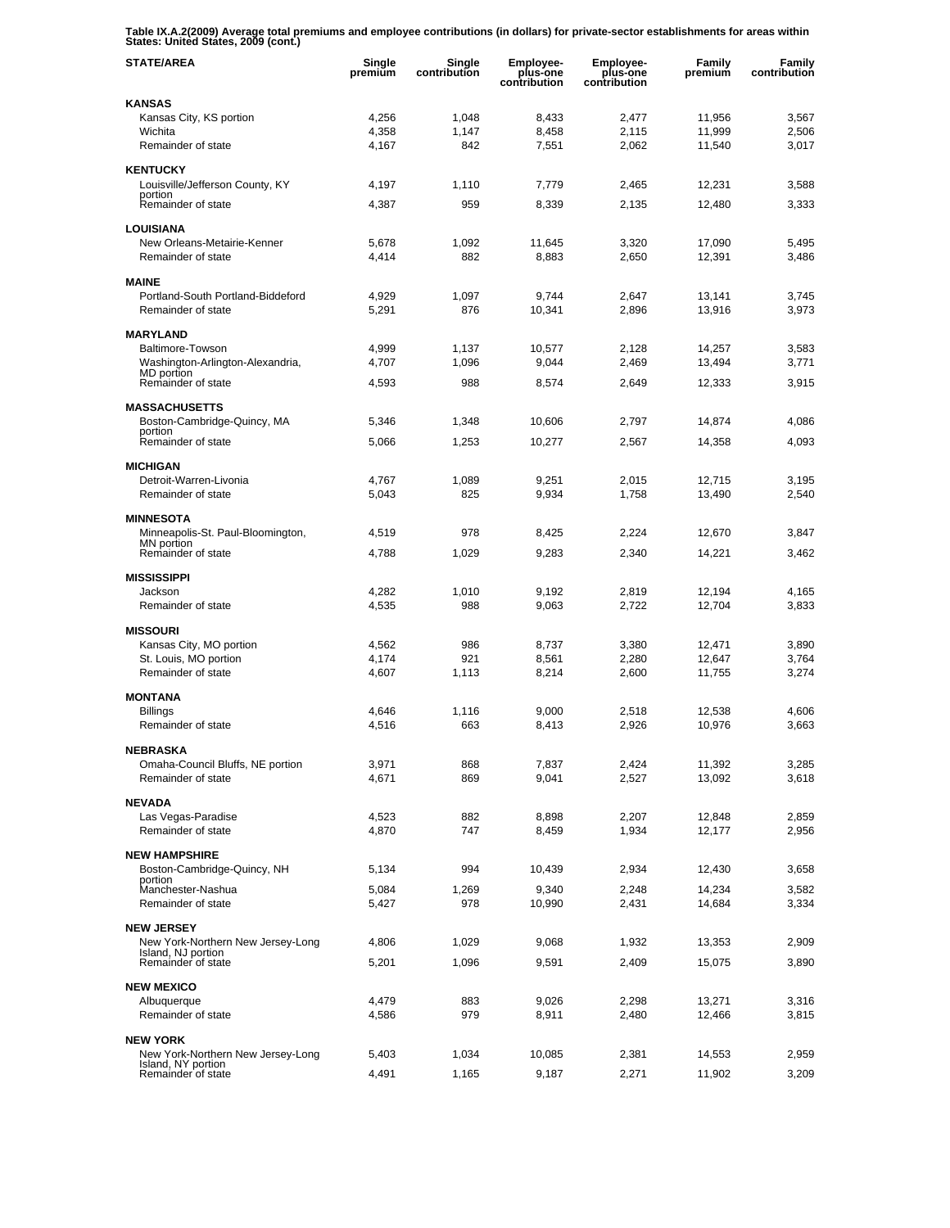**Table IX.A.2(2009) Average total premiums and employee contributions (in dollars) for private-sector establishments for areas within States: United States, 2009 (cont.)** 

| <b>STATE/AREA</b>                                       | Single<br>premium | Single<br>contribution | <b>Employee-</b><br>plus-one<br>contribution | <b>Employee-</b><br>plus-one<br>contribution | <b>Family</b><br>premium | Family<br>contribution |
|---------------------------------------------------------|-------------------|------------------------|----------------------------------------------|----------------------------------------------|--------------------------|------------------------|
| <b>KANSAS</b>                                           |                   |                        |                                              |                                              |                          |                        |
| Kansas City, KS portion                                 | 4,256             | 1,048                  | 8,433                                        | 2,477                                        | 11,956                   | 3,567                  |
| Wichita<br>Remainder of state                           | 4,358<br>4,167    | 1,147<br>842           | 8.458<br>7,551                               | 2,115<br>2,062                               | 11,999<br>11.540         | 2,506<br>3,017         |
|                                                         |                   |                        |                                              |                                              |                          |                        |
| <b>KENTUCKY</b>                                         |                   |                        |                                              |                                              |                          |                        |
| Louisville/Jefferson County, KY<br>portion              | 4,197             | 1,110                  | 7,779                                        | 2,465                                        | 12,231                   | 3,588                  |
| Remainder of state                                      | 4,387             | 959                    | 8,339                                        | 2,135                                        | 12,480                   | 3,333                  |
| <b>LOUISIANA</b>                                        |                   |                        |                                              |                                              |                          |                        |
| New Orleans-Metairie-Kenner                             | 5,678             | 1,092                  | 11,645                                       | 3,320                                        | 17,090                   | 5,495                  |
| Remainder of state                                      | 4,414             | 882                    | 8,883                                        | 2,650                                        | 12,391                   | 3,486                  |
| <b>MAINE</b>                                            |                   |                        |                                              |                                              |                          |                        |
| Portland-South Portland-Biddeford                       | 4,929             | 1,097                  | 9,744                                        | 2,647                                        | 13,141                   | 3,745                  |
| Remainder of state                                      | 5,291             | 876                    | 10,341                                       | 2,896                                        | 13,916                   | 3,973                  |
| <b>MARYLAND</b>                                         |                   |                        |                                              |                                              |                          |                        |
| Baltimore-Towson                                        | 4,999             | 1,137                  | 10,577                                       | 2,128                                        | 14,257                   | 3,583                  |
| Washington-Arlington-Alexandria,                        | 4,707             | 1,096                  | 9,044                                        | 2,469                                        | 13,494                   | 3,771                  |
| MD portion<br>Remainder of state                        | 4,593             | 988                    | 8,574                                        | 2,649                                        | 12,333                   | 3,915                  |
|                                                         |                   |                        |                                              |                                              |                          |                        |
| <b>MASSACHUSETTS</b>                                    |                   |                        |                                              |                                              |                          |                        |
| Boston-Cambridge-Quincy, MA<br>portion                  | 5,346             | 1,348                  | 10.606                                       | 2,797                                        | 14,874                   | 4,086                  |
| Remainder of state                                      | 5,066             | 1,253                  | 10,277                                       | 2,567                                        | 14,358                   | 4,093                  |
| <b>MICHIGAN</b>                                         |                   |                        |                                              |                                              |                          |                        |
| Detroit-Warren-Livonia                                  | 4,767             | 1,089                  | 9,251                                        | 2,015                                        | 12,715                   | 3,195                  |
| Remainder of state                                      | 5,043             | 825                    | 9,934                                        | 1,758                                        | 13,490                   | 2,540                  |
|                                                         |                   |                        |                                              |                                              |                          |                        |
| <b>MINNESOTA</b>                                        | 4,519             | 978                    | 8,425                                        | 2,224                                        | 12,670                   | 3,847                  |
| Minneapolis-St. Paul-Bloomington,<br>MN portion         |                   |                        |                                              |                                              |                          |                        |
| Remainder of state                                      | 4,788             | 1,029                  | 9,283                                        | 2,340                                        | 14,221                   | 3,462                  |
| <b>MISSISSIPPI</b>                                      |                   |                        |                                              |                                              |                          |                        |
| Jackson                                                 | 4,282             | 1,010                  | 9,192                                        | 2,819                                        | 12,194                   | 4,165                  |
| Remainder of state                                      | 4,535             | 988                    | 9,063                                        | 2,722                                        | 12,704                   | 3,833                  |
| <b>MISSOURI</b>                                         |                   |                        |                                              |                                              |                          |                        |
| Kansas City, MO portion                                 | 4,562             | 986                    | 8,737                                        | 3,380                                        | 12,471                   | 3,890                  |
| St. Louis, MO portion                                   | 4,174             | 921                    | 8,561                                        | 2,280                                        | 12.647                   | 3,764                  |
| Remainder of state                                      | 4,607             | 1,113                  | 8,214                                        | 2,600                                        | 11,755                   | 3,274                  |
| <b>MONTANA</b>                                          |                   |                        |                                              |                                              |                          |                        |
| Billings                                                | 4,646             | 1,116                  | 9,000                                        | 2,518                                        | 12,538                   | 4,606                  |
| Remainder of state                                      | 4,516             | 663                    | 8,413                                        | 2,926                                        | 10,976                   | 3,663                  |
| <b>NEBRASKA</b>                                         |                   |                        |                                              |                                              |                          |                        |
| Omaha-Council Bluffs, NE portion                        | 3,971             | 868                    | 7,837                                        | 2,424                                        | 11,392                   | 3,285                  |
| Remainder of state                                      | 4,671             | 869                    | 9,041                                        | 2,527                                        | 13,092                   | 3,618                  |
| <b>NEVADA</b>                                           |                   |                        |                                              |                                              |                          |                        |
| Las Vegas-Paradise                                      | 4,523             | 882                    | 8,898                                        | 2,207                                        | 12,848                   | 2,859                  |
| Remainder of state                                      | 4,870             | 747                    | 8,459                                        | 1,934                                        | 12,177                   | 2,956                  |
| <b>NEW HAMPSHIRE</b>                                    |                   |                        |                                              |                                              |                          |                        |
| Boston-Cambridge-Quincy, NH                             | 5,134             | 994                    | 10,439                                       | 2,934                                        | 12,430                   | 3,658                  |
| portion                                                 |                   |                        |                                              |                                              |                          |                        |
| Manchester-Nashua<br>Remainder of state                 | 5,084<br>5,427    | 1,269<br>978           | 9,340<br>10,990                              | 2,248<br>2,431                               | 14,234<br>14,684         | 3,582<br>3,334         |
|                                                         |                   |                        |                                              |                                              |                          |                        |
| <b>NEW JERSEY</b>                                       |                   |                        |                                              |                                              |                          |                        |
| New York-Northern New Jersey-Long<br>Island, NJ portion | 4,806             | 1,029                  | 9,068                                        | 1,932                                        | 13,353                   | 2,909                  |
| Remainder of state                                      | 5,201             | 1,096                  | 9,591                                        | 2,409                                        | 15,075                   | 3,890                  |
| <b>NEW MEXICO</b>                                       |                   |                        |                                              |                                              |                          |                        |
| Albuquerque                                             | 4,479             | 883                    | 9,026                                        | 2,298                                        | 13,271                   | 3,316                  |
| Remainder of state                                      | 4,586             | 979                    | 8,911                                        | 2,480                                        | 12,466                   | 3,815                  |
| <b>NEW YORK</b>                                         |                   |                        |                                              |                                              |                          |                        |
| New York-Northern New Jersey-Long                       | 5,403             | 1,034                  | 10,085                                       | 2,381                                        | 14,553                   | 2,959                  |
| Island, NY portion<br>Remainder of state                | 4,491             | 1,165                  | 9,187                                        | 2,271                                        | 11,902                   | 3,209                  |
|                                                         |                   |                        |                                              |                                              |                          |                        |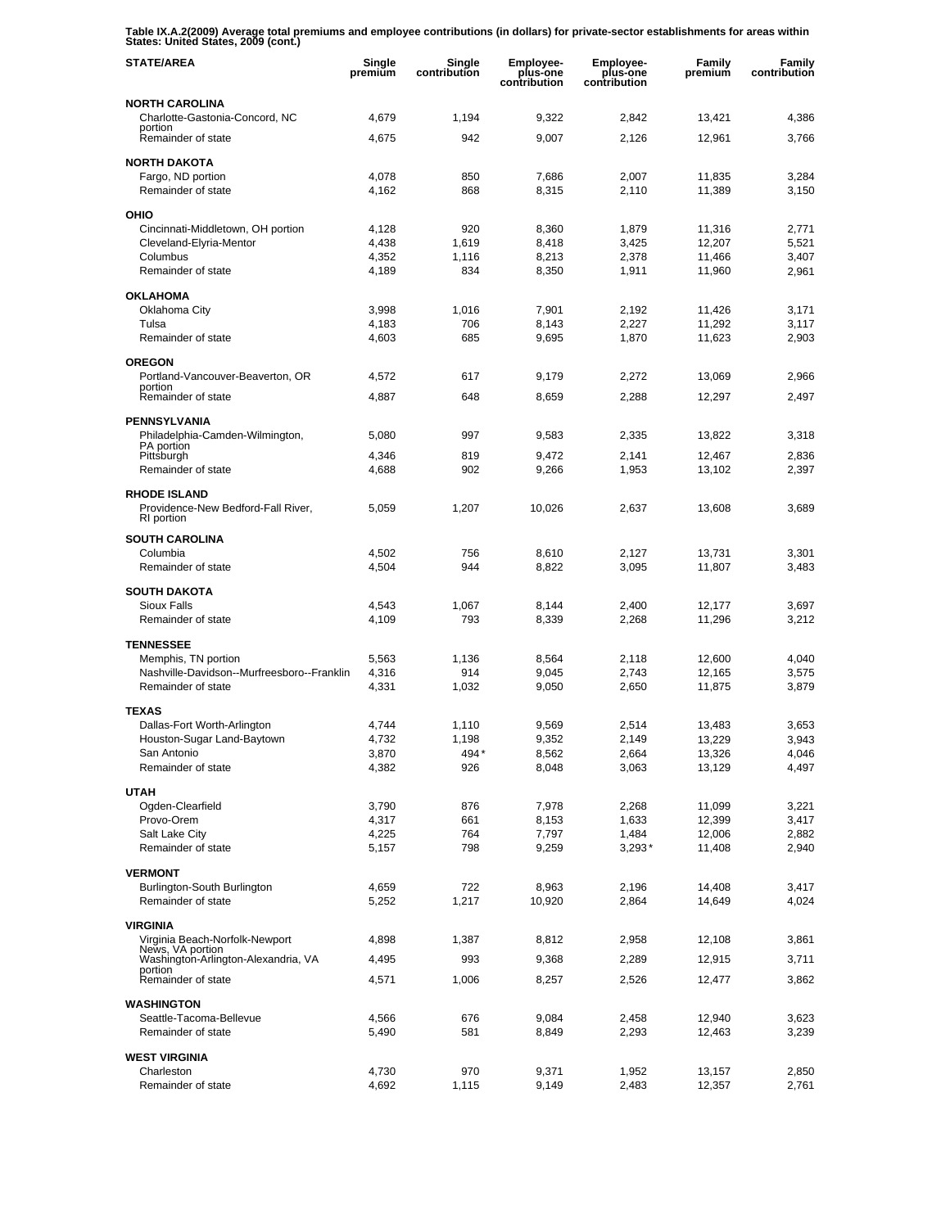**Table IX.A.2(2009) Average total premiums and employee contributions (in dollars) for private-sector establishments for areas within States: United States, 2009 (cont.)** 

| <b>STATE/AREA</b>                                            | Single<br>premium | Single<br>contribution | <b>Employee-</b><br>plus-one<br>contribution | <b>Employee-</b><br>plus-one<br>contribution | <b>Family</b><br>premium | Family<br>contribution |
|--------------------------------------------------------------|-------------------|------------------------|----------------------------------------------|----------------------------------------------|--------------------------|------------------------|
| <b>NORTH CAROLINA</b>                                        |                   |                        |                                              |                                              |                          |                        |
| Charlotte-Gastonia-Concord, NC<br>portion                    | 4,679             | 1,194                  | 9,322                                        | 2,842                                        | 13,421                   | 4,386                  |
| Remainder of state                                           | 4,675             | 942                    | 9,007                                        | 2,126                                        | 12,961                   | 3,766                  |
| <b>NORTH DAKOTA</b>                                          |                   |                        |                                              |                                              |                          |                        |
| Fargo, ND portion                                            | 4,078             | 850                    | 7,686                                        | 2,007                                        | 11,835                   | 3,284                  |
| Remainder of state                                           | 4,162             | 868                    | 8,315                                        | 2,110                                        | 11,389                   | 3,150                  |
| OHIO                                                         |                   |                        |                                              |                                              |                          |                        |
| Cincinnati-Middletown, OH portion<br>Cleveland-Elyria-Mentor | 4,128<br>4,438    | 920<br>1,619           | 8,360<br>8,418                               | 1,879<br>3,425                               | 11,316<br>12.207         | 2,771<br>5,521         |
| Columbus                                                     | 4.352             | 1,116                  | 8,213                                        | 2,378                                        | 11,466                   | 3,407                  |
| Remainder of state                                           | 4,189             | 834                    | 8,350                                        | 1,911                                        | 11,960                   | 2,961                  |
| <b>OKLAHOMA</b>                                              |                   |                        |                                              |                                              |                          |                        |
| Oklahoma City                                                | 3,998             | 1,016                  | 7,901                                        | 2,192                                        | 11,426                   | 3,171                  |
| Tulsa                                                        | 4,183             | 706                    | 8,143                                        | 2,227                                        | 11,292                   | 3,117                  |
| Remainder of state                                           | 4,603             | 685                    | 9,695                                        | 1,870                                        | 11,623                   | 2,903                  |
| <b>OREGON</b>                                                |                   |                        |                                              |                                              |                          |                        |
| Portland-Vancouver-Beaverton, OR<br>portion                  | 4,572             | 617                    | 9,179                                        | 2,272                                        | 13,069                   | 2,966                  |
| Remainder of state                                           | 4,887             | 648                    | 8,659                                        | 2,288                                        | 12,297                   | 2.497                  |
| <b>PENNSYLVANIA</b>                                          |                   |                        |                                              |                                              |                          |                        |
| Philadelphia-Camden-Wilmington,<br>PA portion                | 5,080             | 997                    | 9,583                                        | 2,335                                        | 13,822                   | 3,318                  |
| Pittsburgh                                                   | 4,346             | 819                    | 9,472                                        | 2,141                                        | 12,467                   | 2,836                  |
| Remainder of state                                           | 4,688             | 902                    | 9,266                                        | 1,953                                        | 13,102                   | 2,397                  |
| <b>RHODE ISLAND</b>                                          |                   |                        |                                              |                                              |                          |                        |
| Providence-New Bedford-Fall River,<br>RI portion             | 5,059             | 1,207                  | 10,026                                       | 2,637                                        | 13,608                   | 3,689                  |
| <b>SOUTH CAROLINA</b>                                        |                   |                        |                                              |                                              |                          |                        |
| Columbia<br>Remainder of state                               | 4,502<br>4,504    | 756<br>944             | 8,610<br>8,822                               | 2,127<br>3,095                               | 13,731<br>11,807         | 3,301<br>3,483         |
|                                                              |                   |                        |                                              |                                              |                          |                        |
| <b>SOUTH DAKOTA</b><br><b>Sioux Falls</b>                    | 4,543             | 1,067                  | 8,144                                        | 2,400                                        | 12,177                   | 3,697                  |
| Remainder of state                                           | 4,109             | 793                    | 8,339                                        | 2,268                                        | 11,296                   | 3,212                  |
|                                                              |                   |                        |                                              |                                              |                          |                        |
| <b>TENNESSEE</b><br>Memphis, TN portion                      | 5,563             | 1,136                  | 8,564                                        | 2,118                                        | 12,600                   | 4,040                  |
| Nashville-Davidson--Murfreesboro--Franklin                   | 4,316             | 914                    | 9,045                                        | 2,743                                        | 12,165                   | 3,575                  |
| Remainder of state                                           | 4,331             | 1,032                  | 9,050                                        | 2,650                                        | 11,875                   | 3,879                  |
| <b>TEXAS</b>                                                 |                   |                        |                                              |                                              |                          |                        |
| Dallas-Fort Worth-Arlington                                  | 4,744             | 1,110                  | 9,569                                        | 2,514                                        | 13,483                   | 3,653                  |
| Houston-Sugar Land-Baytown                                   | 4,732             | 1,198                  | 9,352                                        | 2,149                                        | 13,229                   | 3,943                  |
| San Antonio<br>Remainder of state                            | 3,870<br>4,382    | 494*<br>926            | 8,562<br>8,048                               | 2,664<br>3,063                               | 13,326<br>13,129         | 4,046<br>4,497         |
|                                                              |                   |                        |                                              |                                              |                          |                        |
| <b>UTAH</b><br>Ogden-Clearfield                              | 3,790             | 876                    | 7,978                                        | 2,268                                        | 11,099                   | 3,221                  |
| Provo-Orem                                                   | 4,317             | 661                    | 8,153                                        | 1,633                                        | 12,399                   | 3,417                  |
| Salt Lake City                                               | 4,225             | 764                    | 7,797                                        | 1,484                                        | 12,006                   | 2,882                  |
| Remainder of state                                           | 5,157             | 798                    | 9,259                                        | $3,293*$                                     | 11,408                   | 2,940                  |
| <b>VERMONT</b>                                               |                   |                        |                                              |                                              |                          |                        |
| Burlington-South Burlington                                  | 4,659             | 722                    | 8,963                                        | 2,196                                        | 14,408                   | 3,417                  |
| Remainder of state                                           | 5,252             | 1,217                  | 10,920                                       | 2,864                                        | 14,649                   | 4,024                  |
| <b>VIRGINIA</b>                                              |                   |                        |                                              |                                              |                          |                        |
| Virginia Beach-Norfolk-Newport<br>News, VA portion           | 4,898             | 1,387                  | 8,812                                        | 2,958                                        | 12,108                   | 3,861                  |
| Washington-Arlington-Alexandria, VA<br>portion               | 4,495             | 993                    | 9,368                                        | 2,289                                        | 12,915                   | 3,711                  |
| Remainder of state                                           | 4,571             | 1,006                  | 8,257                                        | 2,526                                        | 12,477                   | 3,862                  |
| <b>WASHINGTON</b>                                            |                   |                        |                                              |                                              |                          |                        |
| Seattle-Tacoma-Bellevue                                      | 4,566             | 676                    | 9,084                                        | 2,458                                        | 12,940                   | 3,623                  |
| Remainder of state                                           | 5,490             | 581                    | 8,849                                        | 2,293                                        | 12,463                   | 3,239                  |
| <b>WEST VIRGINIA</b>                                         |                   |                        |                                              |                                              |                          |                        |
| Charleston                                                   | 4,730             | 970                    | 9,371                                        | 1,952                                        | 13,157                   | 2,850                  |
| Remainder of state                                           | 4,692             | 1,115                  | 9,149                                        | 2,483                                        | 12,357                   | 2,761                  |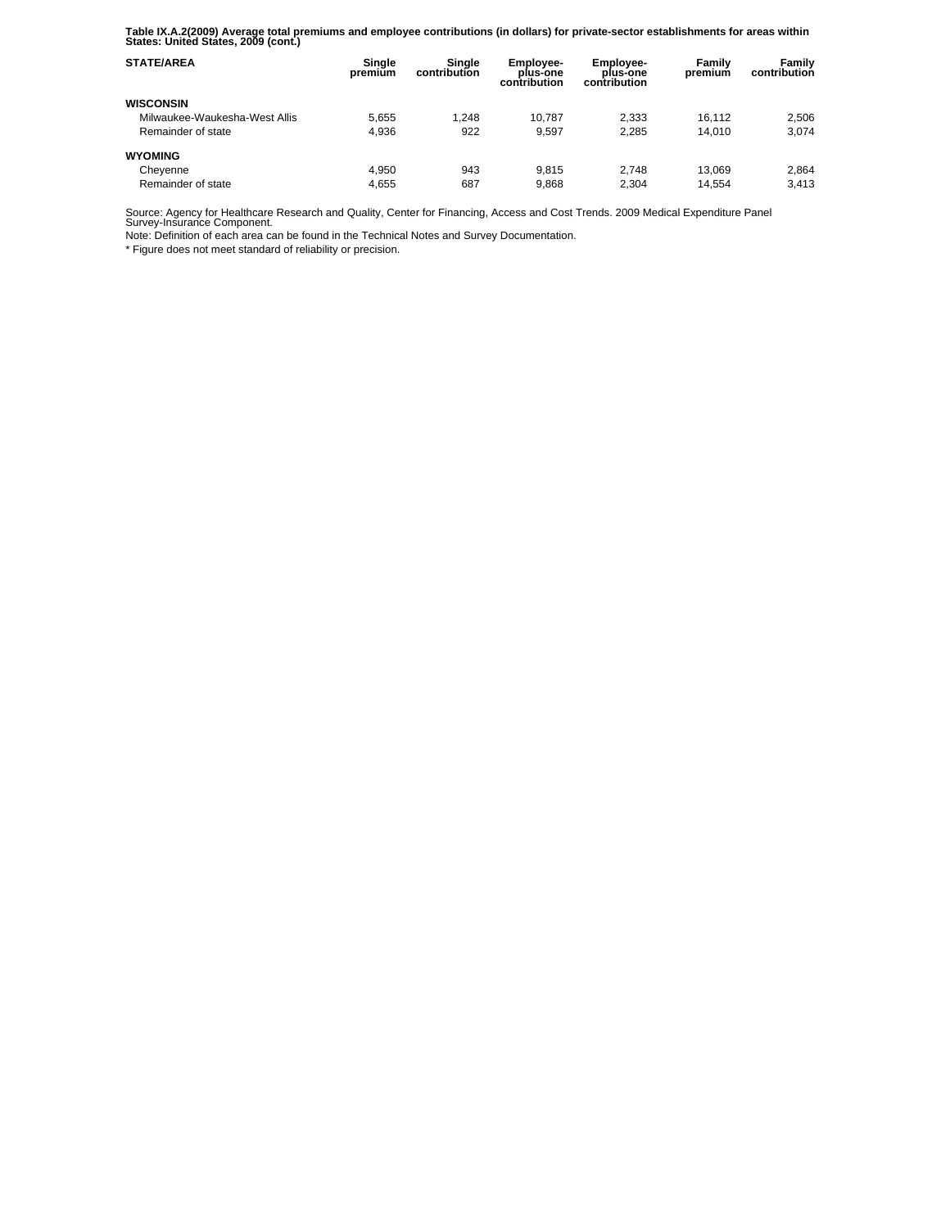**Table IX.A.2(2009) Average total premiums and employee contributions (in dollars) for private-sector establishments for areas within States: United States, 2009 (cont.)** 

| <b>STATE/AREA</b>             | Single<br>premium | Sinale<br>contribution | Employee-<br>plus-one<br>contribution | Employee-<br>plus-one<br>contribution | Family<br>premium | Family<br>contribution |
|-------------------------------|-------------------|------------------------|---------------------------------------|---------------------------------------|-------------------|------------------------|
| <b>WISCONSIN</b>              |                   |                        |                                       |                                       |                   |                        |
| Milwaukee-Waukesha-West Allis | 5.655             | 1.248                  | 10.787                                | 2.333                                 | 16.112            | 2.506                  |
| Remainder of state            | 4.936             | 922                    | 9.597                                 | 2.285                                 | 14.010            | 3.074                  |
| <b>WYOMING</b>                |                   |                        |                                       |                                       |                   |                        |
| Cheyenne                      | 4.950             | 943                    | 9.815                                 | 2.748                                 | 13.069            | 2.864                  |
| Remainder of state            | 4.655             | 687                    | 9.868                                 | 2.304                                 | 14.554            | 3.413                  |

Source: Agency for Healthcare Research and Quality, Center for Financing, Access and Cost Trends. 2009 Medical Expenditure Panel Survey-Insurance Component.

Note: Definition of each area can be found in the Technical Notes and Survey Documentation.

\* Figure does not meet standard of reliability or precision.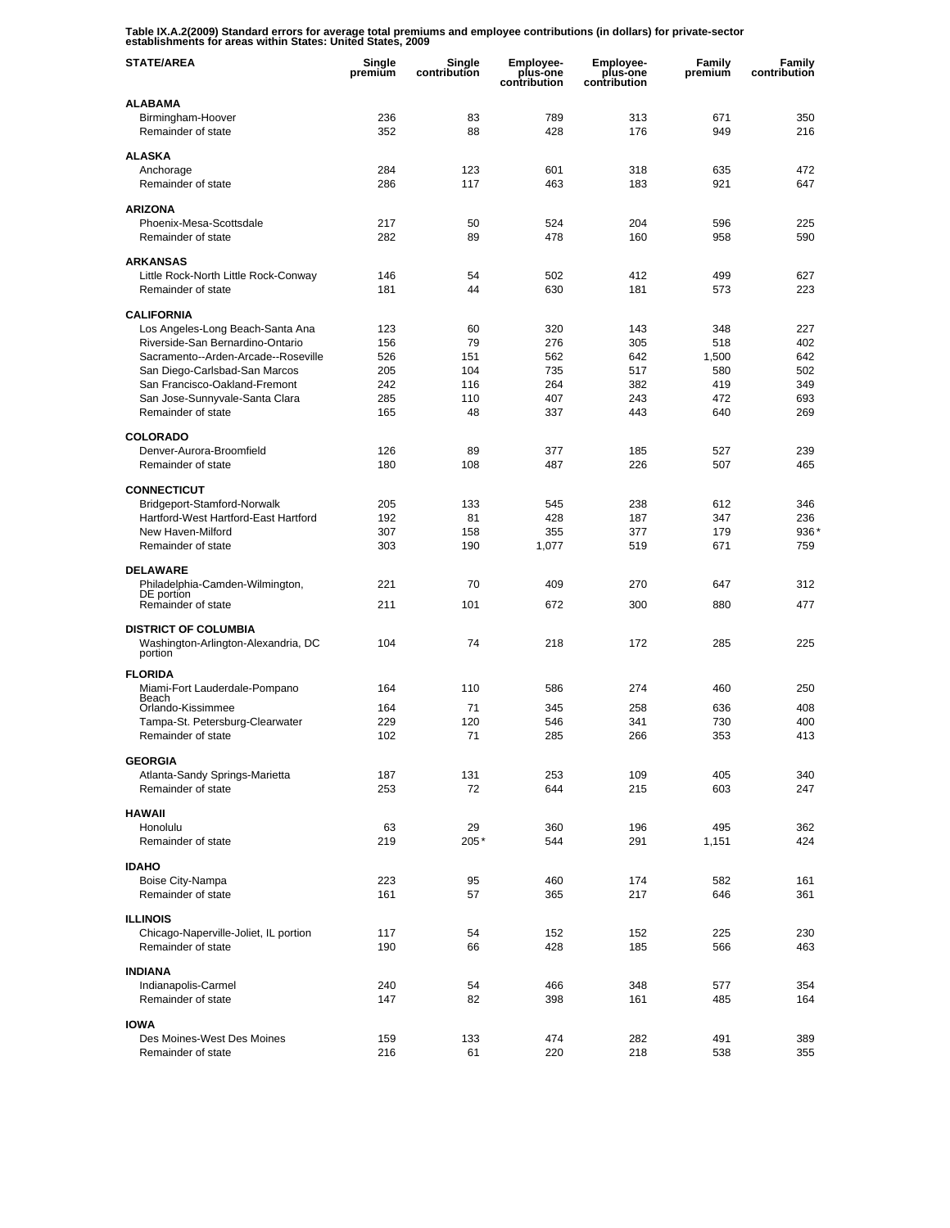**Table IX.A.2(2009) Standard errors for average total premiums and employee contributions (in dollars) for private-sector establishments for areas within States: United States, 2009** 

| <b>STATE/AREA</b>                                                    | Single<br>premium | Single<br>contribution | <b>Employee-</b><br>plus-one<br>contribution | <b>Employee-</b><br>plus-one<br>contribution | Family<br>premium | Family<br>contribution |
|----------------------------------------------------------------------|-------------------|------------------------|----------------------------------------------|----------------------------------------------|-------------------|------------------------|
| <b>ALABAMA</b>                                                       |                   |                        |                                              |                                              |                   |                        |
| Birmingham-Hoover                                                    | 236               | 83                     | 789                                          | 313                                          | 671               | 350                    |
| Remainder of state                                                   | 352               | 88                     | 428                                          | 176                                          | 949               | 216                    |
| <b>ALASKA</b>                                                        |                   |                        |                                              |                                              |                   |                        |
| Anchorage                                                            | 284               | 123                    | 601                                          | 318                                          | 635               | 472                    |
| Remainder of state                                                   | 286               | 117                    | 463                                          | 183                                          | 921               | 647                    |
| <b>ARIZONA</b>                                                       |                   |                        |                                              |                                              |                   |                        |
| Phoenix-Mesa-Scottsdale                                              | 217               | 50                     | 524                                          | 204                                          | 596               | 225                    |
| Remainder of state                                                   | 282               | 89                     | 478                                          | 160                                          | 958               | 590                    |
|                                                                      |                   |                        |                                              |                                              |                   |                        |
| <b>ARKANSAS</b><br>Little Rock-North Little Rock-Conway              | 146               | 54                     | 502                                          | 412                                          | 499               | 627                    |
| Remainder of state                                                   | 181               | 44                     | 630                                          | 181                                          | 573               | 223                    |
|                                                                      |                   |                        |                                              |                                              |                   |                        |
| <b>CALIFORNIA</b>                                                    |                   |                        |                                              |                                              |                   |                        |
| Los Angeles-Long Beach-Santa Ana<br>Riverside-San Bernardino-Ontario | 123<br>156        | 60<br>79               | 320<br>276                                   | 143<br>305                                   | 348<br>518        | 227<br>402             |
| Sacramento--Arden-Arcade--Roseville                                  | 526               | 151                    | 562                                          | 642                                          | 1,500             | 642                    |
| San Diego-Carlsbad-San Marcos                                        | 205               | 104                    | 735                                          | 517                                          | 580               | 502                    |
| San Francisco-Oakland-Fremont                                        | 242               | 116                    | 264                                          | 382                                          | 419               | 349                    |
| San Jose-Sunnyvale-Santa Clara                                       | 285               | 110                    | 407                                          | 243                                          | 472               | 693                    |
| Remainder of state                                                   | 165               | 48                     | 337                                          | 443                                          | 640               | 269                    |
| <b>COLORADO</b>                                                      |                   |                        |                                              |                                              |                   |                        |
| Denver-Aurora-Broomfield                                             | 126               | 89                     | 377                                          | 185                                          | 527               | 239                    |
| Remainder of state                                                   | 180               | 108                    | 487                                          | 226                                          | 507               | 465                    |
|                                                                      |                   |                        |                                              |                                              |                   |                        |
| <b>CONNECTICUT</b><br>Bridgeport-Stamford-Norwalk                    | 205               | 133                    | 545                                          | 238                                          | 612               | 346                    |
| Hartford-West Hartford-East Hartford                                 | 192               | 81                     | 428                                          | 187                                          | 347               | 236                    |
| New Haven-Milford                                                    | 307               | 158                    | 355                                          | 377                                          | 179               | 936                    |
| Remainder of state                                                   | 303               | 190                    | 1,077                                        | 519                                          | 671               | 759                    |
| <b>DELAWARE</b>                                                      |                   |                        |                                              |                                              |                   |                        |
| Philadelphia-Camden-Wilmington,                                      | 221               | 70                     | 409                                          | 270                                          | 647               | 312                    |
| DE portion                                                           |                   |                        |                                              |                                              |                   | 477                    |
| Remainder of state                                                   | 211               | 101                    | 672                                          | 300                                          | 880               |                        |
| <b>DISTRICT OF COLUMBIA</b>                                          |                   |                        |                                              |                                              |                   |                        |
| Washington-Arlington-Alexandria, DC                                  | 104               | 74                     | 218                                          | 172                                          | 285               | 225                    |
| portion                                                              |                   |                        |                                              |                                              |                   |                        |
| <b>FLORIDA</b>                                                       |                   |                        |                                              |                                              |                   |                        |
| Miami-Fort Lauderdale-Pompano<br>Beach                               | 164               | 110                    | 586                                          | 274                                          | 460               | 250                    |
| Orlando-Kissimmee                                                    | 164               | 71                     | 345                                          | 258                                          | 636               | 408                    |
| Tampa-St. Petersburg-Clearwater                                      | 229               | 120                    | 546                                          | 341                                          | 730               | 400                    |
| Remainder of state                                                   | 102               | 71                     | 285                                          | 266                                          | 353               | 413                    |
| <b>GEORGIA</b>                                                       |                   |                        |                                              |                                              |                   |                        |
| Atlanta-Sandy Springs-Marietta                                       | 187               | 131                    | 253                                          | 109                                          | 405               | 340                    |
| Remainder of state                                                   | 253               | 72                     | 644                                          | 215                                          | 603               | 247                    |
| <b>HAWAII</b>                                                        |                   |                        |                                              |                                              |                   |                        |
| Honolulu                                                             | 63                | 29                     | 360                                          | 196                                          | 495               | 362                    |
| Remainder of state                                                   | 219               | 205*                   | 544                                          | 291                                          | 1,151             | 424                    |
| <b>IDAHO</b>                                                         |                   |                        |                                              |                                              |                   |                        |
| Boise City-Nampa                                                     | 223               | 95                     | 460                                          | 174                                          | 582               | 161                    |
| Remainder of state                                                   | 161               | 57                     | 365                                          | 217                                          | 646               | 361                    |
|                                                                      |                   |                        |                                              |                                              |                   |                        |
| <b>ILLINOIS</b><br>Chicago-Naperville-Joliet, IL portion             | 117               | 54                     | 152                                          | 152                                          | 225               | 230                    |
| Remainder of state                                                   | 190               | 66                     | 428                                          | 185                                          | 566               | 463                    |
|                                                                      |                   |                        |                                              |                                              |                   |                        |
| <b>INDIANA</b>                                                       |                   |                        |                                              |                                              |                   |                        |
| Indianapolis-Carmel                                                  | 240               | 54                     | 466                                          | 348                                          | 577               | 354                    |
| Remainder of state                                                   | 147               | 82                     | 398                                          | 161                                          | 485               | 164                    |
| <b>IOWA</b>                                                          |                   |                        |                                              |                                              |                   |                        |
| Des Moines-West Des Moines                                           | 159               | 133                    | 474                                          | 282                                          | 491               | 389                    |
| Remainder of state                                                   | 216               | 61                     | 220                                          | 218                                          | 538               | 355                    |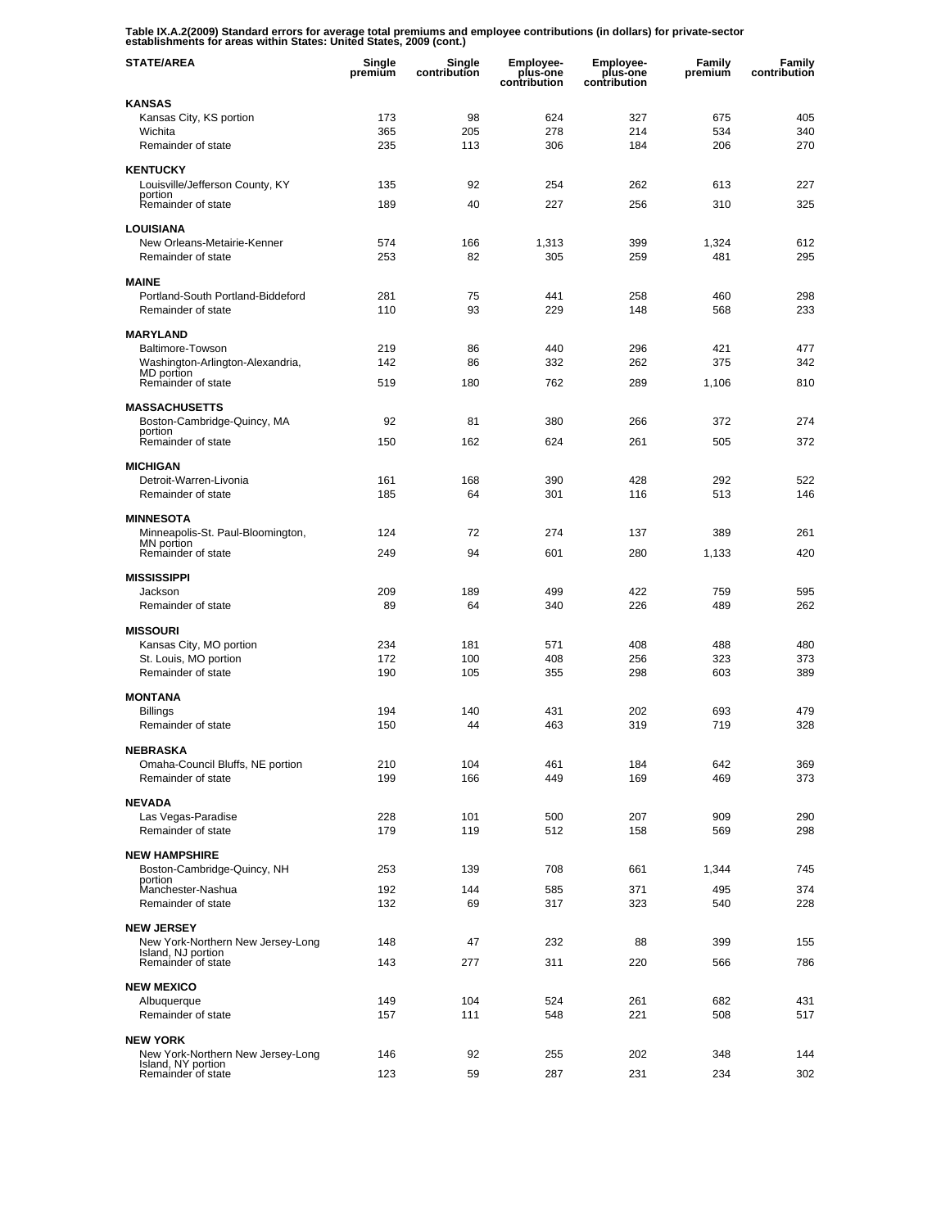**Table IX.A.2(2009) Standard errors for average total premiums and employee contributions (in dollars) for private-sector establishments for areas within States: United States, 2009 (cont.)** 

| <b>STATE/AREA</b>                                       | Single<br>premium | Single<br>contribution | <b>Employee-</b><br>plus-one<br>contribution | <b>Employee-</b><br>plus-one<br>contribution | Family<br>premium | Family<br>contribution |
|---------------------------------------------------------|-------------------|------------------------|----------------------------------------------|----------------------------------------------|-------------------|------------------------|
| KANSAS                                                  |                   |                        |                                              |                                              |                   |                        |
| Kansas City, KS portion                                 | 173               | 98                     | 624                                          | 327                                          | 675               | 405                    |
| Wichita<br>Remainder of state                           | 365<br>235        | 205<br>113             | 278<br>306                                   | 214<br>184                                   | 534<br>206        | 340<br>270             |
| <b>KENTUCKY</b>                                         |                   |                        |                                              |                                              |                   |                        |
| Louisville/Jefferson County, KY                         | 135               | 92                     | 254                                          | 262                                          | 613               | 227                    |
| portion<br>Remainder of state                           | 189               | 40                     | 227                                          | 256                                          | 310               | 325                    |
| <b>LOUISIANA</b>                                        |                   |                        |                                              |                                              |                   |                        |
| New Orleans-Metairie-Kenner                             | 574               | 166                    | 1,313                                        | 399                                          | 1,324             | 612                    |
| Remainder of state                                      | 253               | 82                     | 305                                          | 259                                          | 481               | 295                    |
| <b>MAINE</b>                                            |                   |                        |                                              |                                              |                   |                        |
| Portland-South Portland-Biddeford                       | 281               | 75                     | 441                                          | 258                                          | 460               | 298                    |
| Remainder of state                                      | 110               | 93                     | 229                                          | 148                                          | 568               | 233                    |
| <b>MARYLAND</b>                                         |                   |                        |                                              |                                              |                   |                        |
| Baltimore-Towson                                        | 219               | 86                     | 440                                          | 296                                          | 421               | 477                    |
| Washington-Arlington-Alexandria,                        | 142               | 86                     | 332                                          | 262                                          | 375               | 342                    |
| MD portion<br>Remainder of state                        | 519               | 180                    | 762                                          | 289                                          | 1,106             | 810                    |
| <b>MASSACHUSETTS</b>                                    |                   |                        |                                              |                                              |                   |                        |
| Boston-Cambridge-Quincy, MA                             | 92                | 81                     | 380                                          | 266                                          | 372               | 274                    |
| portion<br>Remainder of state                           | 150               | 162                    | 624                                          | 261                                          | 505               | 372                    |
|                                                         |                   |                        |                                              |                                              |                   |                        |
| <b>MICHIGAN</b>                                         |                   |                        |                                              |                                              |                   |                        |
| Detroit-Warren-Livonia                                  | 161               | 168                    | 390                                          | 428                                          | 292               | 522                    |
| Remainder of state                                      | 185               | 64                     | 301                                          | 116                                          | 513               | 146                    |
| <b>MINNESOTA</b>                                        |                   |                        |                                              |                                              |                   |                        |
| Minneapolis-St. Paul-Bloomington,<br>MN portion         | 124               | 72                     | 274                                          | 137                                          | 389               | 261                    |
| Remainder of state                                      | 249               | 94                     | 601                                          | 280                                          | 1,133             | 420                    |
| <b>MISSISSIPPI</b>                                      |                   |                        |                                              |                                              |                   |                        |
| Jackson                                                 | 209               | 189                    | 499                                          | 422                                          | 759               | 595                    |
| Remainder of state                                      | 89                | 64                     | 340                                          | 226                                          | 489               | 262                    |
| <b>MISSOURI</b>                                         |                   |                        |                                              |                                              |                   |                        |
| Kansas City, MO portion                                 | 234               | 181                    | 571                                          | 408                                          | 488               | 480                    |
| St. Louis, MO portion<br>Remainder of state             | 172<br>190        | 100                    | 408                                          | 256                                          | 323               | 373                    |
|                                                         |                   | 105                    | 355                                          | 298                                          | 603               | 389                    |
| <b>MONTANA</b>                                          |                   |                        |                                              |                                              |                   |                        |
| <b>Billings</b><br>Remainder of state                   | 194<br>150        | 140<br>44              | 431<br>463                                   | 202<br>319                                   | 693<br>719        | 479<br>328             |
|                                                         |                   |                        |                                              |                                              |                   |                        |
| NEBRASKA                                                |                   |                        |                                              |                                              |                   |                        |
| Omaha-Council Bluffs, NE portion<br>Remainder of state  | 210<br>199        | 104<br>166             | 461<br>449                                   | 184<br>169                                   | 642<br>469        | 369<br>373             |
|                                                         |                   |                        |                                              |                                              |                   |                        |
| <b>NEVADA</b>                                           |                   |                        |                                              |                                              |                   |                        |
| Las Vegas-Paradise<br>Remainder of state                | 228<br>179        | 101<br>119             | 500<br>512                                   | 207<br>158                                   | 909<br>569        | 290<br>298             |
|                                                         |                   |                        |                                              |                                              |                   |                        |
| <b>NEW HAMPSHIRE</b><br>Boston-Cambridge-Quincy, NH     | 253               | 139                    | 708                                          | 661                                          | 1,344             | 745                    |
| portion                                                 |                   |                        |                                              |                                              |                   |                        |
| Manchester-Nashua<br>Remainder of state                 | 192               | 144                    | 585                                          | 371                                          | 495               | 374                    |
|                                                         | 132               | 69                     | 317                                          | 323                                          | 540               | 228                    |
| <b>NEW JERSEY</b>                                       |                   |                        |                                              |                                              |                   |                        |
| New York-Northern New Jersey-Long<br>Island, NJ portion | 148               | 47                     | 232                                          | 88                                           | 399               | 155                    |
| Remainder of state                                      | 143               | 277                    | 311                                          | 220                                          | 566               | 786                    |
| <b>NEW MEXICO</b>                                       |                   |                        |                                              |                                              |                   |                        |
| Albuquerque                                             | 149               | 104                    | 524                                          | 261                                          | 682               | 431                    |
| Remainder of state                                      | 157               | 111                    | 548                                          | 221                                          | 508               | 517                    |
| <b>NEW YORK</b>                                         |                   |                        |                                              |                                              |                   |                        |
| New York-Northern New Jersey-Long                       | 146               | 92                     | 255                                          | 202                                          | 348               | 144                    |
| Island, NY portion<br>Remainder of state                | 123               | 59                     | 287                                          | 231                                          | 234               | 302                    |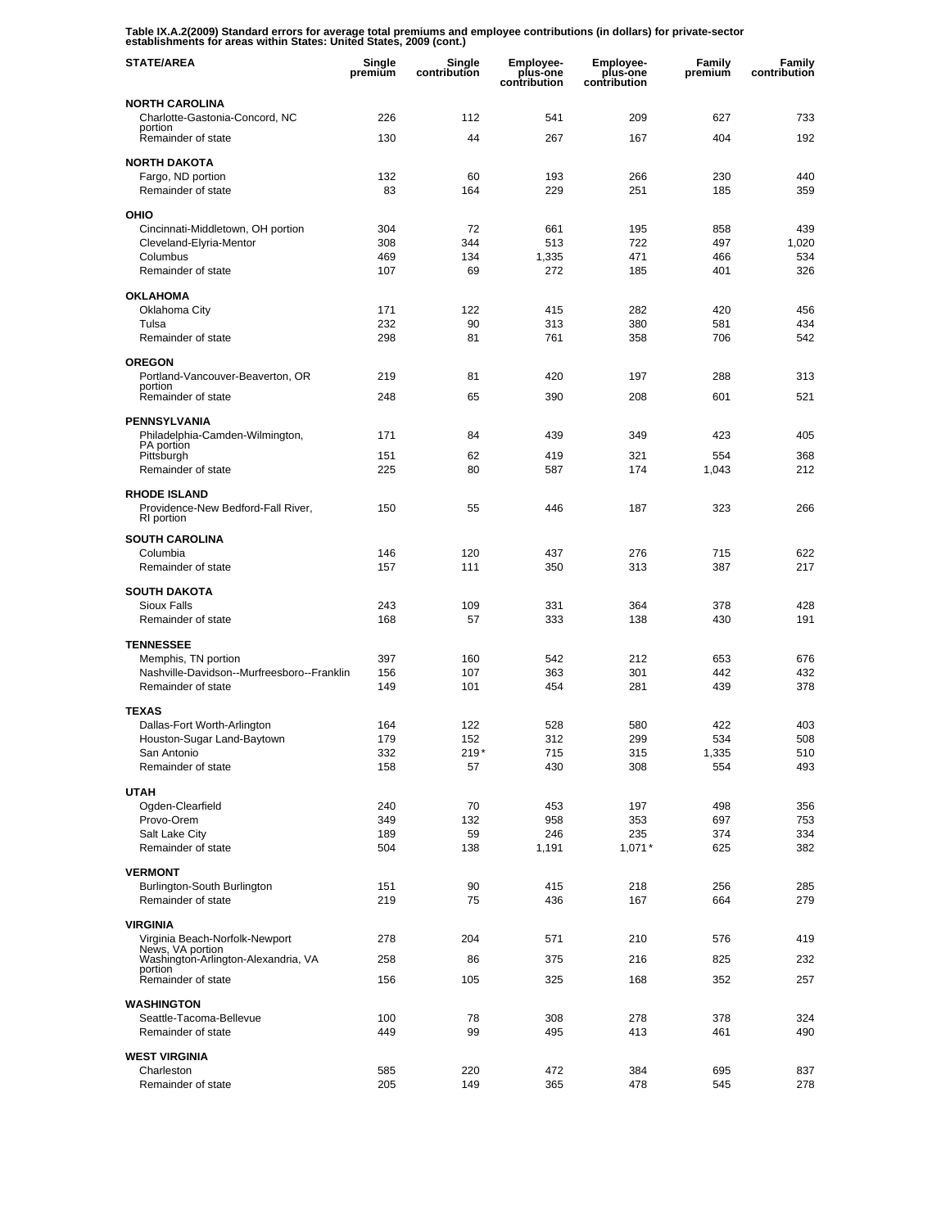**Table IX.A.2(2009) Standard errors for average total premiums and employee contributions (in dollars) for private-sector establishments for areas within States: United States, 2009 (cont.)** 

| <b>STATE/AREA</b>                                                       | Single<br>premium | Single<br>contribution | <b>Employee-</b><br>plus-one<br>contribution | <b>Employee-</b><br>plus-one<br>contribution | Family<br>premium | Family<br>contribution |
|-------------------------------------------------------------------------|-------------------|------------------------|----------------------------------------------|----------------------------------------------|-------------------|------------------------|
| <b>NORTH CAROLINA</b>                                                   |                   |                        |                                              |                                              |                   |                        |
| Charlotte-Gastonia-Concord, NC                                          | 226               | 112                    | 541                                          | 209                                          | 627               | 733                    |
| portion<br>Remainder of state                                           | 130               | 44                     | 267                                          | 167                                          | 404               | 192                    |
| <b>NORTH DAKOTA</b>                                                     |                   |                        |                                              |                                              |                   |                        |
| Fargo, ND portion                                                       | 132               | 60                     | 193                                          | 266                                          | 230               | 440                    |
| Remainder of state                                                      | 83                | 164                    | 229                                          | 251                                          | 185               | 359                    |
| OHIO                                                                    |                   |                        |                                              |                                              |                   |                        |
| Cincinnati-Middletown, OH portion                                       | 304               | 72                     | 661                                          | 195                                          | 858               | 439                    |
| Cleveland-Elyria-Mentor                                                 | 308               | 344                    | 513                                          | 722                                          | 497               | 1,020                  |
| Columbus                                                                | 469               | 134                    | 1,335                                        | 471                                          | 466               | 534                    |
| Remainder of state                                                      | 107               | 69                     | 272                                          | 185                                          | 401               | 326                    |
| <b>OKLAHOMA</b>                                                         |                   |                        |                                              |                                              |                   |                        |
| Oklahoma City                                                           | 171               | 122                    | 415                                          | 282                                          | 420               | 456                    |
| Tulsa                                                                   | 232               | 90                     | 313                                          | 380                                          | 581               | 434                    |
| Remainder of state                                                      | 298               | 81                     | 761                                          | 358                                          | 706               | 542                    |
| <b>OREGON</b>                                                           |                   |                        |                                              |                                              |                   |                        |
| Portland-Vancouver-Beaverton, OR                                        | 219               | 81                     | 420                                          | 197                                          | 288               | 313                    |
| portion<br>Remainder of state                                           | 248               | 65                     | 390                                          | 208                                          | 601               | 521                    |
|                                                                         |                   |                        |                                              |                                              |                   |                        |
| <b>PENNSYLVANIA</b>                                                     |                   |                        |                                              |                                              |                   |                        |
| Philadelphia-Camden-Wilmington,<br>PA portion                           | 171               | 84                     | 439                                          | 349                                          | 423               | 405                    |
| Pittsburgh                                                              | 151               | 62                     | 419                                          | 321                                          | 554               | 368                    |
| Remainder of state                                                      | 225               | 80                     | 587                                          | 174                                          | 1,043             | 212                    |
| <b>RHODE ISLAND</b><br>Providence-New Bedford-Fall River,<br>RI portion | 150               | 55                     | 446                                          | 187                                          | 323               | 266                    |
| <b>SOUTH CAROLINA</b>                                                   |                   |                        |                                              |                                              |                   |                        |
| Columbia                                                                | 146               | 120                    | 437                                          | 276                                          | 715               | 622                    |
| Remainder of state                                                      | 157               | 111                    | 350                                          | 313                                          | 387               | 217                    |
|                                                                         |                   |                        |                                              |                                              |                   |                        |
| <b>SOUTH DAKOTA</b><br><b>Sioux Falls</b>                               |                   | 109                    |                                              | 364                                          | 378               | 428                    |
| Remainder of state                                                      | 243<br>168        | 57                     | 331<br>333                                   | 138                                          | 430               | 191                    |
|                                                                         |                   |                        |                                              |                                              |                   |                        |
| <b>TENNESSEE</b>                                                        |                   |                        |                                              |                                              |                   |                        |
| Memphis, TN portion                                                     | 397               | 160                    | 542                                          | 212                                          | 653               | 676                    |
| Nashville-Davidson--Murfreesboro--Franklin<br>Remainder of state        | 156<br>149        | 107<br>101             | 363<br>454                                   | 301<br>281                                   | 442<br>439        | 432<br>378             |
|                                                                         |                   |                        |                                              |                                              |                   |                        |
| <b>TEXAS</b>                                                            |                   |                        |                                              |                                              |                   |                        |
| Dallas-Fort Worth-Arlington                                             | 164               | 122                    | 528                                          | 580                                          | 422               | 403                    |
| Houston-Sugar Land-Baytown                                              | 179               | 152                    | 312                                          | 299                                          | 534               | 508                    |
| San Antonio<br>Remainder of state                                       | 332<br>158        | $219*$<br>57           | 715<br>430                                   | 315<br>308                                   | 1,335<br>554      | 510<br>493             |
|                                                                         |                   |                        |                                              |                                              |                   |                        |
| <b>UTAH</b>                                                             |                   |                        |                                              |                                              |                   |                        |
| Ogden-Clearfield                                                        | 240               | 70                     | 453                                          | 197                                          | 498               | 356                    |
| Provo-Orem<br>Salt Lake City                                            | 349<br>189        | 132<br>59              | 958<br>246                                   | 353<br>235                                   | 697<br>374        | 753<br>334             |
| Remainder of state                                                      | 504               | 138                    | 1,191                                        | $1,071*$                                     | 625               | 382                    |
|                                                                         |                   |                        |                                              |                                              |                   |                        |
| <b>VERMONT</b>                                                          |                   |                        |                                              |                                              |                   |                        |
| Burlington-South Burlington<br>Remainder of state                       | 151<br>219        | 90<br>75               | 415<br>436                                   | 218<br>167                                   | 256<br>664        | 285<br>279             |
|                                                                         |                   |                        |                                              |                                              |                   |                        |
| <b>VIRGINIA</b>                                                         |                   |                        |                                              |                                              |                   |                        |
| Virginia Beach-Norfolk-Newport<br>News, VA portion                      | 278               | 204                    | 571                                          | 210                                          | 576               | 419                    |
| Washington-Arlington-Alexandria, VA                                     | 258               | 86                     | 375                                          | 216                                          | 825               | 232                    |
| portion<br>Remainder of state                                           | 156               | 105                    | 325                                          | 168                                          | 352               | 257                    |
|                                                                         |                   |                        |                                              |                                              |                   |                        |
| <b>WASHINGTON</b>                                                       |                   |                        |                                              |                                              |                   |                        |
| Seattle-Tacoma-Bellevue<br>Remainder of state                           | 100<br>449        | 78<br>99               | 308<br>495                                   | 278<br>413                                   | 378<br>461        | 324<br>490             |
|                                                                         |                   |                        |                                              |                                              |                   |                        |
| <b>WEST VIRGINIA</b>                                                    |                   |                        |                                              |                                              |                   |                        |
| Charleston                                                              | 585               | 220                    | 472                                          | 384                                          | 695               | 837                    |
| Remainder of state                                                      | 205               | 149                    | 365                                          | 478                                          | 545               | 278                    |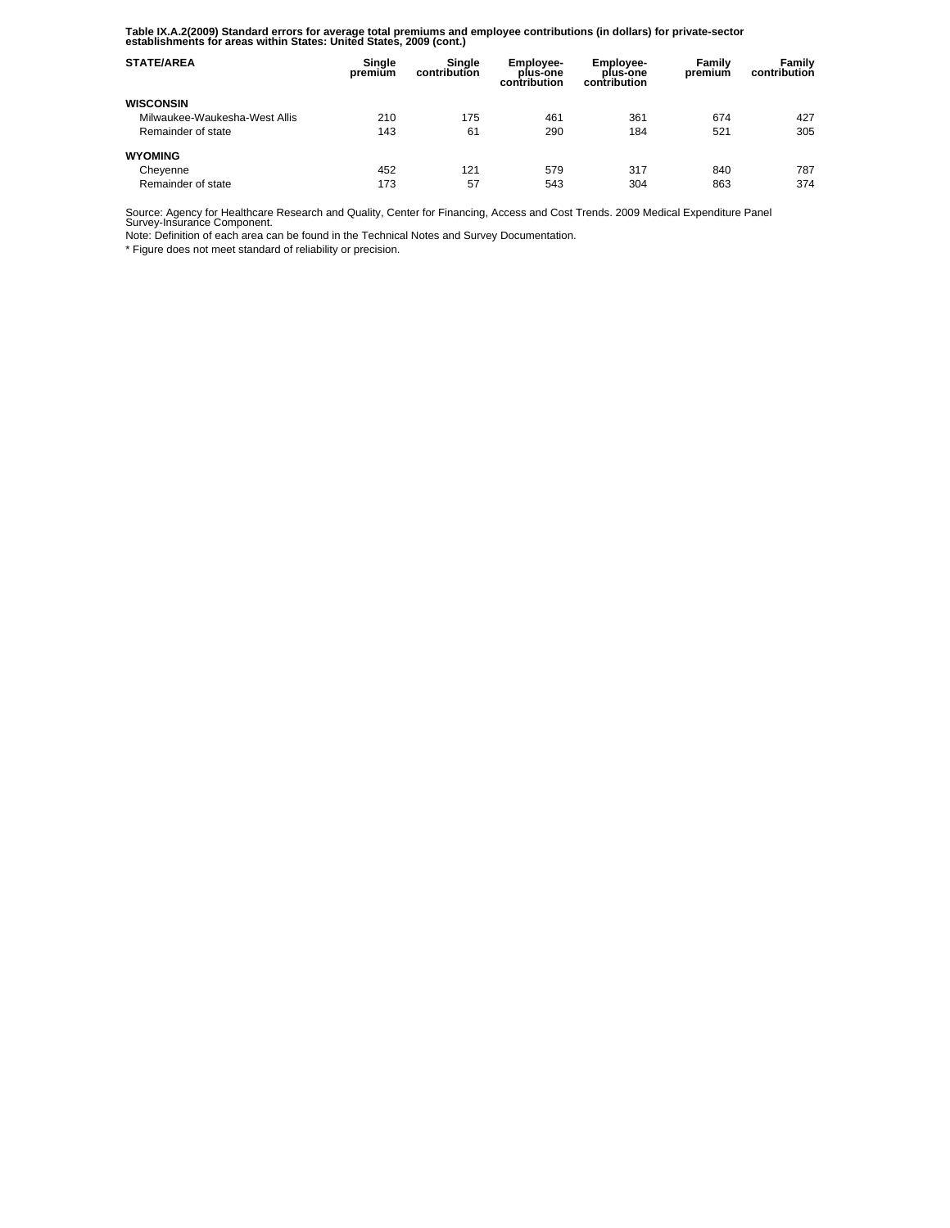**Table IX.A.2(2009) Standard errors for average total premiums and employee contributions (in dollars) for private-sector establishments for areas within States: United States, 2009 (cont.)** 

| <b>STATE/AREA</b>             | Single<br>premium | Single<br>contribution | <b>Employee-</b><br>plus-one<br>contribution | Employee-<br>plus-one<br>contribution | Family<br>premium | Family<br>contribution |
|-------------------------------|-------------------|------------------------|----------------------------------------------|---------------------------------------|-------------------|------------------------|
| <b>WISCONSIN</b>              |                   |                        |                                              |                                       |                   |                        |
| Milwaukee-Waukesha-West Allis | 210               | 175                    | 461                                          | 361                                   | 674               | 427                    |
| Remainder of state            | 143               | 61                     | 290                                          | 184                                   | 521               | 305                    |
| <b>WYOMING</b>                |                   |                        |                                              |                                       |                   |                        |
| Cheyenne                      | 452               | 121                    | 579                                          | 317                                   | 840               | 787                    |
| Remainder of state            | 173               | 57                     | 543                                          | 304                                   | 863               | 374                    |

Source: Agency for Healthcare Research and Quality, Center for Financing, Access and Cost Trends. 2009 Medical Expenditure Panel Survey-Insurance Component.

Note: Definition of each area can be found in the Technical Notes and Survey Documentation.

\* Figure does not meet standard of reliability or precision.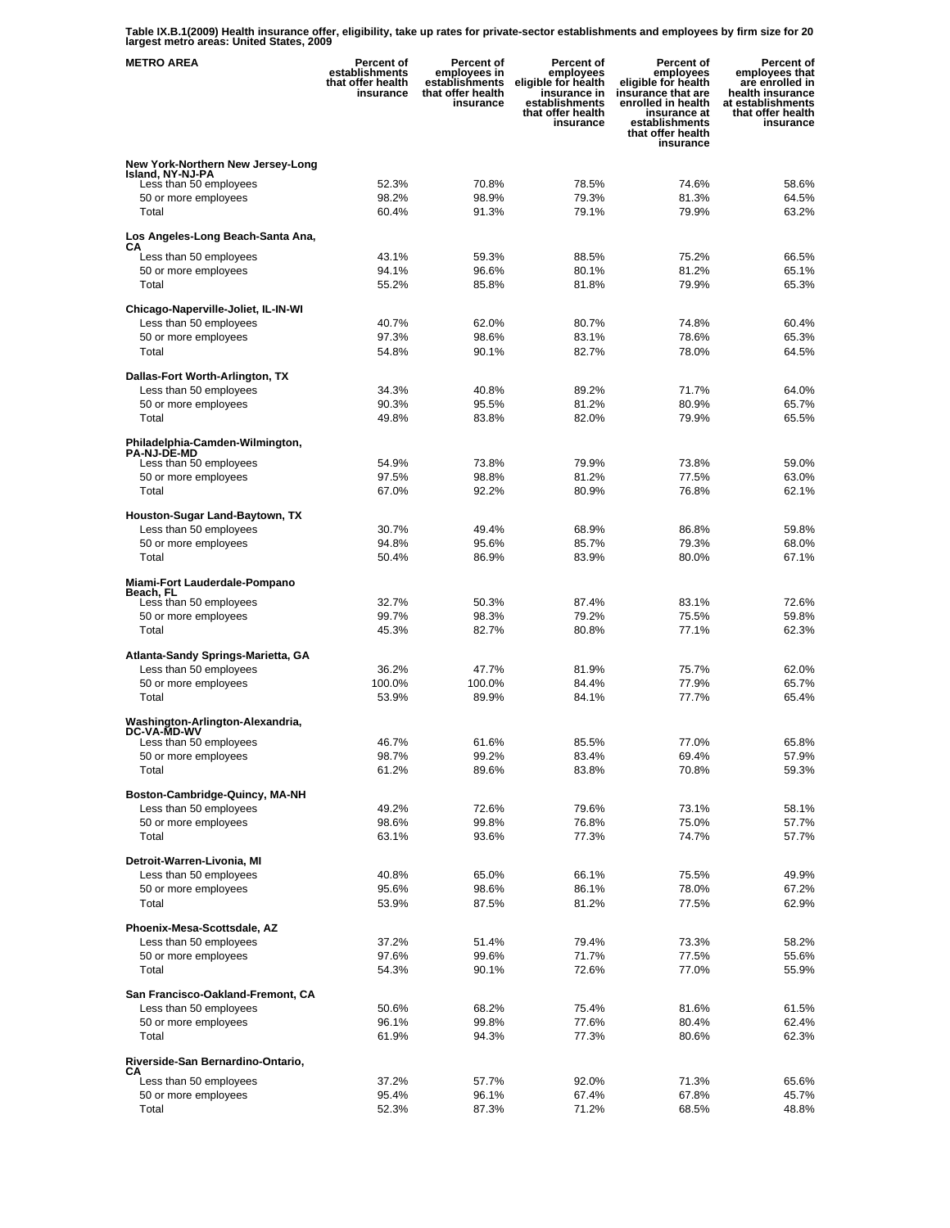**Table IX.B.1(2009) Health insurance offer, eligibility, take up rates for private-sector establishments and employees by firm size for 20 largest metro areas: United States, 2009** 

| <b>METRO AREA</b>                                           | <b>Percent of</b><br>establishments<br>that offer health<br>insurance | <b>Percent of</b><br>employees in<br>establishments<br>that offer health<br>insurance | Percent of<br>employees<br>eligible for health<br>insurance in<br>establishments<br>that offer health<br>insurance | <b>Percent of</b><br>employees<br>eligible for health<br>insurance that are<br>enrolled in health<br>insurance at<br>establishments<br>that offer health<br>insurance | Percent of<br>employees that<br>are enrolled in<br>health insurance<br>at establishments<br>that offer health<br>insurance |
|-------------------------------------------------------------|-----------------------------------------------------------------------|---------------------------------------------------------------------------------------|--------------------------------------------------------------------------------------------------------------------|-----------------------------------------------------------------------------------------------------------------------------------------------------------------------|----------------------------------------------------------------------------------------------------------------------------|
| New York-Northern New Jersey-Long<br>Island, NY-NJ-PA       |                                                                       |                                                                                       |                                                                                                                    |                                                                                                                                                                       |                                                                                                                            |
| Less than 50 employees                                      | 52.3%                                                                 | 70.8%                                                                                 | 78.5%                                                                                                              | 74.6%                                                                                                                                                                 | 58.6%                                                                                                                      |
| 50 or more employees                                        | 98.2%                                                                 | 98.9%                                                                                 | 79.3%                                                                                                              | 81.3%                                                                                                                                                                 | 64.5%                                                                                                                      |
| Total                                                       | 60.4%                                                                 | 91.3%                                                                                 | 79.1%                                                                                                              | 79.9%                                                                                                                                                                 | 63.2%                                                                                                                      |
| Los Angeles-Long Beach-Santa Ana,                           |                                                                       |                                                                                       |                                                                                                                    |                                                                                                                                                                       |                                                                                                                            |
| CА<br>Less than 50 employees                                | 43.1%                                                                 | 59.3%                                                                                 | 88.5%                                                                                                              | 75.2%                                                                                                                                                                 | 66.5%                                                                                                                      |
| 50 or more employees                                        | 94.1%                                                                 | 96.6%                                                                                 | 80.1%                                                                                                              | 81.2%                                                                                                                                                                 | 65.1%                                                                                                                      |
| Total                                                       | 55.2%                                                                 | 85.8%                                                                                 | 81.8%                                                                                                              | 79.9%                                                                                                                                                                 | 65.3%                                                                                                                      |
| Chicago-Naperville-Joliet, IL-IN-WI                         |                                                                       |                                                                                       |                                                                                                                    |                                                                                                                                                                       |                                                                                                                            |
| Less than 50 employees                                      | 40.7%                                                                 | 62.0%                                                                                 | 80.7%                                                                                                              | 74.8%                                                                                                                                                                 | 60.4%                                                                                                                      |
| 50 or more employees                                        | 97.3%                                                                 | 98.6%                                                                                 | 83.1%                                                                                                              | 78.6%                                                                                                                                                                 | 65.3%                                                                                                                      |
| Total                                                       | 54.8%                                                                 | 90.1%                                                                                 | 82.7%                                                                                                              | 78.0%                                                                                                                                                                 | 64.5%                                                                                                                      |
|                                                             |                                                                       |                                                                                       |                                                                                                                    |                                                                                                                                                                       |                                                                                                                            |
| Dallas-Fort Worth-Arlington, TX<br>Less than 50 employees   | 34.3%                                                                 | 40.8%                                                                                 | 89.2%                                                                                                              | 71.7%                                                                                                                                                                 | 64.0%                                                                                                                      |
| 50 or more employees                                        | 90.3%                                                                 | 95.5%                                                                                 | 81.2%                                                                                                              | 80.9%                                                                                                                                                                 | 65.7%                                                                                                                      |
| Total                                                       | 49.8%                                                                 | 83.8%                                                                                 | 82.0%                                                                                                              | 79.9%                                                                                                                                                                 | 65.5%                                                                                                                      |
|                                                             |                                                                       |                                                                                       |                                                                                                                    |                                                                                                                                                                       |                                                                                                                            |
| Philadelphia-Camden-Wilmington,<br><b>PA-NJ-DE-MD</b>       |                                                                       |                                                                                       |                                                                                                                    |                                                                                                                                                                       |                                                                                                                            |
| Less than 50 employees                                      | 54.9%                                                                 | 73.8%                                                                                 | 79.9%                                                                                                              | 73.8%                                                                                                                                                                 | 59.0%                                                                                                                      |
| 50 or more employees                                        | 97.5%                                                                 | 98.8%                                                                                 | 81.2%                                                                                                              | 77.5%                                                                                                                                                                 | 63.0%                                                                                                                      |
| Total                                                       | 67.0%                                                                 | 92.2%                                                                                 | 80.9%                                                                                                              | 76.8%                                                                                                                                                                 | 62.1%                                                                                                                      |
| Houston-Sugar Land-Baytown, TX                              |                                                                       |                                                                                       |                                                                                                                    |                                                                                                                                                                       |                                                                                                                            |
| Less than 50 employees                                      | 30.7%                                                                 | 49.4%                                                                                 | 68.9%                                                                                                              | 86.8%                                                                                                                                                                 | 59.8%                                                                                                                      |
| 50 or more employees                                        | 94.8%                                                                 | 95.6%                                                                                 | 85.7%                                                                                                              | 79.3%                                                                                                                                                                 | 68.0%                                                                                                                      |
| Total                                                       | 50.4%                                                                 | 86.9%                                                                                 | 83.9%                                                                                                              | 80.0%                                                                                                                                                                 | 67.1%                                                                                                                      |
| Miami-Fort Lauderdale-Pompano<br>Beach, FL                  |                                                                       |                                                                                       |                                                                                                                    |                                                                                                                                                                       |                                                                                                                            |
| Less than 50 employees                                      | 32.7%                                                                 | 50.3%                                                                                 | 87.4%<br>79.2%                                                                                                     | 83.1%                                                                                                                                                                 | 72.6%                                                                                                                      |
| 50 or more employees<br>Total                               | 99.7%<br>45.3%                                                        | 98.3%<br>82.7%                                                                        | 80.8%                                                                                                              | 75.5%<br>77.1%                                                                                                                                                        | 59.8%<br>62.3%                                                                                                             |
|                                                             |                                                                       |                                                                                       |                                                                                                                    |                                                                                                                                                                       |                                                                                                                            |
| Atlanta-Sandy Springs-Marietta, GA                          |                                                                       |                                                                                       |                                                                                                                    |                                                                                                                                                                       |                                                                                                                            |
| Less than 50 employees                                      | 36.2%                                                                 | 47.7%                                                                                 | 81.9%                                                                                                              | 75.7%                                                                                                                                                                 | 62.0%                                                                                                                      |
| 50 or more employees<br>Total                               | 100.0%<br>53.9%                                                       | 100.0%<br>89.9%                                                                       | 84.4%<br>84.1%                                                                                                     | 77.9%<br>77.7%                                                                                                                                                        | 65.7%<br>65.4%                                                                                                             |
| Washington-Arlington-Alexandria,                            |                                                                       |                                                                                       |                                                                                                                    |                                                                                                                                                                       |                                                                                                                            |
| DC-VA-MD-WV<br>Less than 50 employees                       | 46.7%                                                                 | 61.6%                                                                                 | 85.5%                                                                                                              | 77.0%                                                                                                                                                                 | 65.8%                                                                                                                      |
| 50 or more employees                                        | 98.7%                                                                 | 99.2%                                                                                 | 83.4%                                                                                                              | 69.4%                                                                                                                                                                 | 57.9%                                                                                                                      |
| Total                                                       | 61.2%                                                                 | 89.6%                                                                                 | 83.8%                                                                                                              | 70.8%                                                                                                                                                                 | 59.3%                                                                                                                      |
|                                                             |                                                                       |                                                                                       |                                                                                                                    |                                                                                                                                                                       |                                                                                                                            |
| Boston-Cambridge-Quincy, MA-NH<br>Less than 50 employees    | 49.2%                                                                 | 72.6%                                                                                 | 79.6%                                                                                                              | 73.1%                                                                                                                                                                 | 58.1%                                                                                                                      |
| 50 or more employees                                        | 98.6%                                                                 | 99.8%                                                                                 | 76.8%                                                                                                              | 75.0%                                                                                                                                                                 | 57.7%                                                                                                                      |
| Total                                                       | 63.1%                                                                 | 93.6%                                                                                 | 77.3%                                                                                                              | 74.7%                                                                                                                                                                 | 57.7%                                                                                                                      |
|                                                             |                                                                       |                                                                                       |                                                                                                                    |                                                                                                                                                                       |                                                                                                                            |
| Detroit-Warren-Livonia, MI<br>Less than 50 employees        | 40.8%                                                                 | 65.0%                                                                                 | 66.1%                                                                                                              | 75.5%                                                                                                                                                                 | 49.9%                                                                                                                      |
| 50 or more employees                                        | 95.6%                                                                 | 98.6%                                                                                 | 86.1%                                                                                                              | 78.0%                                                                                                                                                                 | 67.2%                                                                                                                      |
| Total                                                       | 53.9%                                                                 | 87.5%                                                                                 | 81.2%                                                                                                              | 77.5%                                                                                                                                                                 | 62.9%                                                                                                                      |
|                                                             |                                                                       |                                                                                       |                                                                                                                    |                                                                                                                                                                       |                                                                                                                            |
| Phoenix-Mesa-Scottsdale, AZ<br>Less than 50 employees       | 37.2%                                                                 | 51.4%                                                                                 | 79.4%                                                                                                              | 73.3%                                                                                                                                                                 | 58.2%                                                                                                                      |
| 50 or more employees                                        | 97.6%                                                                 | 99.6%                                                                                 | 71.7%                                                                                                              | 77.5%                                                                                                                                                                 | 55.6%                                                                                                                      |
| Total                                                       | 54.3%                                                                 | 90.1%                                                                                 | 72.6%                                                                                                              | 77.0%                                                                                                                                                                 | 55.9%                                                                                                                      |
|                                                             |                                                                       |                                                                                       |                                                                                                                    |                                                                                                                                                                       |                                                                                                                            |
| San Francisco-Oakland-Fremont, CA<br>Less than 50 employees | 50.6%                                                                 | 68.2%                                                                                 | 75.4%                                                                                                              | 81.6%                                                                                                                                                                 | 61.5%                                                                                                                      |
| 50 or more employees                                        | 96.1%                                                                 | 99.8%                                                                                 | 77.6%                                                                                                              | 80.4%                                                                                                                                                                 | 62.4%                                                                                                                      |
| Total                                                       | 61.9%                                                                 | 94.3%                                                                                 | 77.3%                                                                                                              | 80.6%                                                                                                                                                                 | 62.3%                                                                                                                      |
|                                                             |                                                                       |                                                                                       |                                                                                                                    |                                                                                                                                                                       |                                                                                                                            |
| Riverside-San Bernardino-Ontario,<br>СA                     |                                                                       |                                                                                       |                                                                                                                    |                                                                                                                                                                       |                                                                                                                            |
| Less than 50 employees                                      | 37.2%                                                                 | 57.7%                                                                                 | 92.0%                                                                                                              | 71.3%                                                                                                                                                                 | 65.6%                                                                                                                      |
| 50 or more employees                                        | 95.4%                                                                 | 96.1%                                                                                 | 67.4%                                                                                                              | 67.8%                                                                                                                                                                 | 45.7%                                                                                                                      |
| Total                                                       | 52.3%                                                                 | 87.3%                                                                                 | 71.2%                                                                                                              | 68.5%                                                                                                                                                                 | 48.8%                                                                                                                      |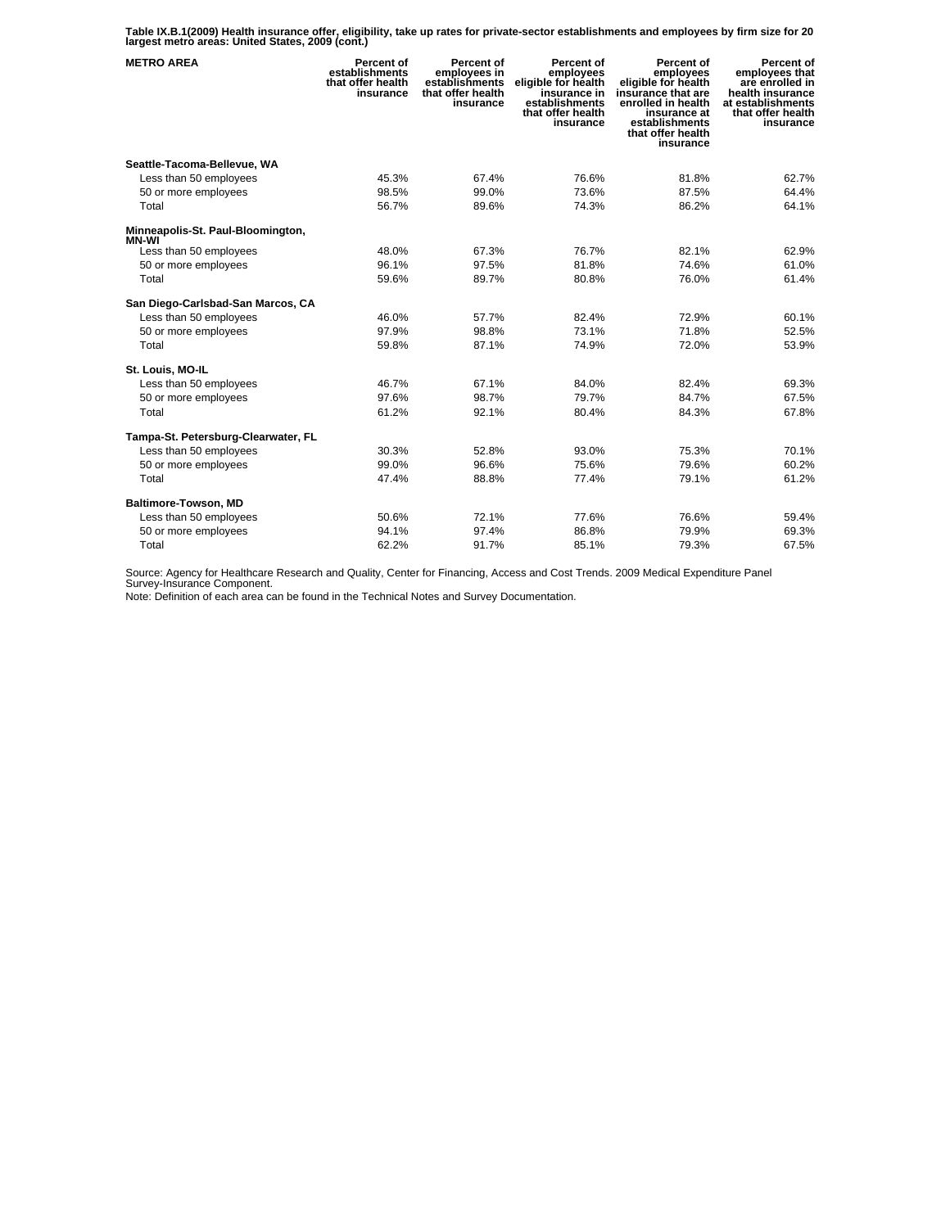**Table IX.B.1(2009) Health insurance offer, eligibility, take up rates for private-sector establishments and employees by firm size for 20 largest metro areas: United States, 2009 (cont.)** 

| <b>METRO AREA</b>                   | Percent of<br>establishments<br>that offer health<br>insurance | Percent of<br>employees in<br>establishments<br>that offer health<br>insurance | Percent of<br>employees<br>eligible for health<br>insurance in<br>establishments<br>that offer health<br>insurance | Percent of<br>employees<br>eligible for health<br>insurance that are<br>enrolled in health<br>insurance at<br>establishments<br>that offer health<br>insurance | Percent of<br>employees that<br>are enrolled in<br>health insurance<br>at establishments<br>that offer health<br>insurance |
|-------------------------------------|----------------------------------------------------------------|--------------------------------------------------------------------------------|--------------------------------------------------------------------------------------------------------------------|----------------------------------------------------------------------------------------------------------------------------------------------------------------|----------------------------------------------------------------------------------------------------------------------------|
| Seattle-Tacoma-Bellevue, WA         |                                                                |                                                                                |                                                                                                                    |                                                                                                                                                                |                                                                                                                            |
| Less than 50 employees              | 45.3%                                                          | 67.4%                                                                          | 76.6%                                                                                                              | 81.8%                                                                                                                                                          | 62.7%                                                                                                                      |
| 50 or more employees                | 98.5%                                                          | 99.0%                                                                          | 73.6%                                                                                                              | 87.5%                                                                                                                                                          | 64.4%                                                                                                                      |
| Total                               | 56.7%                                                          | 89.6%                                                                          | 74.3%                                                                                                              | 86.2%                                                                                                                                                          | 64.1%                                                                                                                      |
| Minneapolis-St. Paul-Bloomington,   |                                                                |                                                                                |                                                                                                                    |                                                                                                                                                                |                                                                                                                            |
| MN-WI<br>Less than 50 employees     | 48.0%                                                          | 67.3%                                                                          | 76.7%                                                                                                              | 82.1%                                                                                                                                                          | 62.9%                                                                                                                      |
| 50 or more employees                | 96.1%                                                          | 97.5%                                                                          | 81.8%                                                                                                              | 74.6%                                                                                                                                                          | 61.0%                                                                                                                      |
| Total                               | 59.6%                                                          | 89.7%                                                                          | 80.8%                                                                                                              | 76.0%                                                                                                                                                          | 61.4%                                                                                                                      |
| San Diego-Carlsbad-San Marcos, CA   |                                                                |                                                                                |                                                                                                                    |                                                                                                                                                                |                                                                                                                            |
| Less than 50 employees              | 46.0%                                                          | 57.7%                                                                          | 82.4%                                                                                                              | 72.9%                                                                                                                                                          | 60.1%                                                                                                                      |
| 50 or more employees                | 97.9%                                                          | 98.8%                                                                          | 73.1%                                                                                                              | 71.8%                                                                                                                                                          | 52.5%                                                                                                                      |
| Total                               | 59.8%                                                          | 87.1%                                                                          | 74.9%                                                                                                              | 72.0%                                                                                                                                                          | 53.9%                                                                                                                      |
| St. Louis, MO-IL                    |                                                                |                                                                                |                                                                                                                    |                                                                                                                                                                |                                                                                                                            |
| Less than 50 employees              | 46.7%                                                          | 67.1%                                                                          | 84.0%                                                                                                              | 82.4%                                                                                                                                                          | 69.3%                                                                                                                      |
| 50 or more employees                | 97.6%                                                          | 98.7%                                                                          | 79.7%                                                                                                              | 84.7%                                                                                                                                                          | 67.5%                                                                                                                      |
| Total                               | 61.2%                                                          | 92.1%                                                                          | 80.4%                                                                                                              | 84.3%                                                                                                                                                          | 67.8%                                                                                                                      |
| Tampa-St. Petersburg-Clearwater, FL |                                                                |                                                                                |                                                                                                                    |                                                                                                                                                                |                                                                                                                            |
| Less than 50 employees              | 30.3%                                                          | 52.8%                                                                          | 93.0%                                                                                                              | 75.3%                                                                                                                                                          | 70.1%                                                                                                                      |
| 50 or more employees                | 99.0%                                                          | 96.6%                                                                          | 75.6%                                                                                                              | 79.6%                                                                                                                                                          | 60.2%                                                                                                                      |
| Total                               | 47.4%                                                          | 88.8%                                                                          | 77.4%                                                                                                              | 79.1%                                                                                                                                                          | 61.2%                                                                                                                      |
| Baltimore-Towson, MD                |                                                                |                                                                                |                                                                                                                    |                                                                                                                                                                |                                                                                                                            |
| Less than 50 employees              | 50.6%                                                          | 72.1%                                                                          | 77.6%                                                                                                              | 76.6%                                                                                                                                                          | 59.4%                                                                                                                      |
| 50 or more employees                | 94.1%                                                          | 97.4%                                                                          | 86.8%                                                                                                              | 79.9%                                                                                                                                                          | 69.3%                                                                                                                      |
| Total                               | 62.2%                                                          | 91.7%                                                                          | 85.1%                                                                                                              | 79.3%                                                                                                                                                          | 67.5%                                                                                                                      |

Source: Agency for Healthcare Research and Quality, Center for Financing, Access and Cost Trends. 2009 Medical Expenditure Panel Survey-Insurance Component.

Note: Definition of each area can be found in the Technical Notes and Survey Documentation.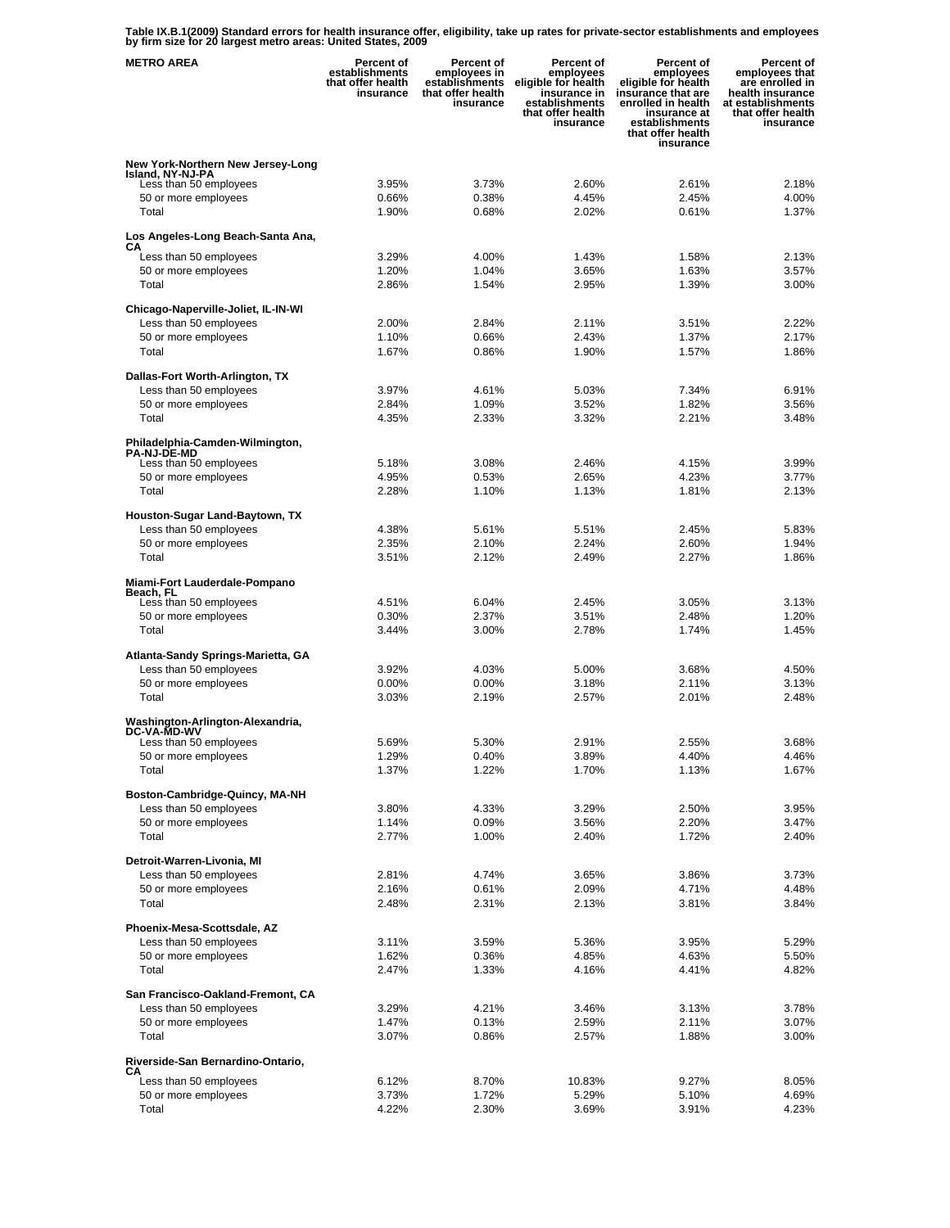**Table IX.B.1(2009) Standard errors for health insurance offer, eligibility, take up rates for private-sector establishments and employees by firm size for 20 largest metro areas: United States, 2009** 

| <b>METRO AREA</b>                                     | Percent of<br>establishments<br>that offer health<br>insurance | <b>Percent of</b><br>employees in<br>establishments<br>that offer health<br>insurance | Percent of<br>employees<br>eligible for health<br>insurance in<br>establishments<br>that offer health<br>insurance | Percent of<br>employees<br>eligible for health<br>insurance that are<br>enrolled in health<br>insurance at<br>establishments<br>that offer health<br>insurance | Percent of<br>employees that<br>are enrolled in<br>health insurance<br>at establishments<br>that offer health<br>insurance |
|-------------------------------------------------------|----------------------------------------------------------------|---------------------------------------------------------------------------------------|--------------------------------------------------------------------------------------------------------------------|----------------------------------------------------------------------------------------------------------------------------------------------------------------|----------------------------------------------------------------------------------------------------------------------------|
| New York-Northern New Jersey-Long                     |                                                                |                                                                                       |                                                                                                                    |                                                                                                                                                                |                                                                                                                            |
| Island, NY-NJ-PA<br>Less than 50 employees            | 3.95%                                                          | 3.73%                                                                                 | 2.60%                                                                                                              | 2.61%                                                                                                                                                          | 2.18%                                                                                                                      |
| 50 or more employees                                  | 0.66%                                                          | 0.38%                                                                                 | 4.45%                                                                                                              | 2.45%                                                                                                                                                          | 4.00%                                                                                                                      |
| Total                                                 | 1.90%                                                          | 0.68%                                                                                 | 2.02%                                                                                                              | 0.61%                                                                                                                                                          | 1.37%                                                                                                                      |
| Los Angeles-Long Beach-Santa Ana,                     |                                                                |                                                                                       |                                                                                                                    |                                                                                                                                                                |                                                                                                                            |
| СA<br>Less than 50 employees                          | 3.29%                                                          | 4.00%                                                                                 | 1.43%                                                                                                              | 1.58%                                                                                                                                                          | 2.13%                                                                                                                      |
| 50 or more employees                                  | 1.20%                                                          | 1.04%                                                                                 | 3.65%                                                                                                              | 1.63%                                                                                                                                                          | 3.57%                                                                                                                      |
| Total                                                 | 2.86%                                                          | 1.54%                                                                                 | 2.95%                                                                                                              | 1.39%                                                                                                                                                          | 3.00%                                                                                                                      |
| Chicago-Naperville-Joliet, IL-IN-WI                   |                                                                |                                                                                       |                                                                                                                    |                                                                                                                                                                |                                                                                                                            |
| Less than 50 employees                                | 2.00%                                                          | 2.84%                                                                                 | 2.11%                                                                                                              | 3.51%                                                                                                                                                          | 2.22%                                                                                                                      |
| 50 or more employees                                  | 1.10%                                                          | 0.66%                                                                                 | 2.43%                                                                                                              | 1.37%                                                                                                                                                          | 2.17%<br>1.86%                                                                                                             |
| Total                                                 | 1.67%                                                          | 0.86%                                                                                 | 1.90%                                                                                                              | 1.57%                                                                                                                                                          |                                                                                                                            |
| Dallas-Fort Worth-Arlington, TX                       |                                                                |                                                                                       |                                                                                                                    |                                                                                                                                                                |                                                                                                                            |
| Less than 50 employees                                | 3.97%                                                          | 4.61%                                                                                 | 5.03%                                                                                                              | 7.34%                                                                                                                                                          | 6.91%                                                                                                                      |
| 50 or more employees<br>Total                         | 2.84%<br>4.35%                                                 | 1.09%<br>2.33%                                                                        | 3.52%<br>3.32%                                                                                                     | 1.82%<br>2.21%                                                                                                                                                 | 3.56%<br>3.48%                                                                                                             |
|                                                       |                                                                |                                                                                       |                                                                                                                    |                                                                                                                                                                |                                                                                                                            |
| Philadelphia-Camden-Wilmington,<br><b>PA-NJ-DE-MD</b> |                                                                |                                                                                       |                                                                                                                    |                                                                                                                                                                |                                                                                                                            |
| Less than 50 employees                                | 5.18%                                                          | 3.08%                                                                                 | 2.46%                                                                                                              | 4.15%                                                                                                                                                          | 3.99%                                                                                                                      |
| 50 or more employees                                  | 4.95%                                                          | 0.53%                                                                                 | 2.65%                                                                                                              | 4.23%                                                                                                                                                          | 3.77%                                                                                                                      |
| Total                                                 | 2.28%                                                          | 1.10%                                                                                 | 1.13%                                                                                                              | 1.81%                                                                                                                                                          | 2.13%                                                                                                                      |
| Houston-Sugar Land-Baytown, TX                        |                                                                |                                                                                       |                                                                                                                    |                                                                                                                                                                |                                                                                                                            |
| Less than 50 employees                                | 4.38%                                                          | 5.61%                                                                                 | 5.51%                                                                                                              | 2.45%                                                                                                                                                          | 5.83%                                                                                                                      |
| 50 or more employees<br>Total                         | 2.35%<br>3.51%                                                 | 2.10%<br>2.12%                                                                        | 2.24%<br>2.49%                                                                                                     | 2.60%<br>2.27%                                                                                                                                                 | 1.94%<br>1.86%                                                                                                             |
|                                                       |                                                                |                                                                                       |                                                                                                                    |                                                                                                                                                                |                                                                                                                            |
| Miami-Fort Lauderdale-Pompano<br>Beach, FL            |                                                                |                                                                                       |                                                                                                                    |                                                                                                                                                                |                                                                                                                            |
| Less than 50 employees                                | 4.51%                                                          | 6.04%                                                                                 | 2.45%                                                                                                              | 3.05%                                                                                                                                                          | 3.13%                                                                                                                      |
| 50 or more employees                                  | 0.30%                                                          | 2.37%                                                                                 | 3.51%                                                                                                              | 2.48%                                                                                                                                                          | 1.20%                                                                                                                      |
| Total                                                 | 3.44%                                                          | 3.00%                                                                                 | 2.78%                                                                                                              | 1.74%                                                                                                                                                          | 1.45%                                                                                                                      |
| Atlanta-Sandy Springs-Marietta, GA                    |                                                                |                                                                                       |                                                                                                                    |                                                                                                                                                                |                                                                                                                            |
| Less than 50 employees                                | 3.92%                                                          | 4.03%                                                                                 | 5.00%                                                                                                              | 3.68%                                                                                                                                                          | 4.50%                                                                                                                      |
| 50 or more employees<br>Total                         | 0.00%<br>3.03%                                                 | $0.00\%$<br>2.19%                                                                     | 3.18%<br>2.57%                                                                                                     | 2.11%<br>2.01%                                                                                                                                                 | 3.13%<br>2.48%                                                                                                             |
|                                                       |                                                                |                                                                                       |                                                                                                                    |                                                                                                                                                                |                                                                                                                            |
| Washington-Arlington-Alexandria,<br>DC-VA-MD-WV       |                                                                |                                                                                       |                                                                                                                    |                                                                                                                                                                |                                                                                                                            |
| Less than 50 employees                                | 5.69%                                                          | 5.30%                                                                                 | 2.91%                                                                                                              | 2.55%                                                                                                                                                          | 3.68%                                                                                                                      |
| 50 or more employees                                  | 1.29%                                                          | 0.40%                                                                                 | 3.89%                                                                                                              | 4.40%                                                                                                                                                          | 4.46%                                                                                                                      |
| Total                                                 | 1.37%                                                          | 1.22%                                                                                 | 1.70%                                                                                                              | 1.13%                                                                                                                                                          | 1.67%                                                                                                                      |
| Boston-Cambridge-Quincy, MA-NH                        |                                                                |                                                                                       |                                                                                                                    |                                                                                                                                                                |                                                                                                                            |
| Less than 50 employees<br>50 or more employees        | 3.80%<br>1.14%                                                 | 4.33%<br>0.09%                                                                        | 3.29%<br>3.56%                                                                                                     | 2.50%<br>2.20%                                                                                                                                                 | 3.95%<br>3.47%                                                                                                             |
| Total                                                 | 2.77%                                                          | 1.00%                                                                                 | 2.40%                                                                                                              | 1.72%                                                                                                                                                          | 2.40%                                                                                                                      |
|                                                       |                                                                |                                                                                       |                                                                                                                    |                                                                                                                                                                |                                                                                                                            |
| Detroit-Warren-Livonia, MI<br>Less than 50 employees  | 2.81%                                                          | 4.74%                                                                                 | 3.65%                                                                                                              | 3.86%                                                                                                                                                          | 3.73%                                                                                                                      |
| 50 or more employees                                  | 2.16%                                                          | 0.61%                                                                                 | 2.09%                                                                                                              | 4.71%                                                                                                                                                          | 4.48%                                                                                                                      |
| Total                                                 | 2.48%                                                          | 2.31%                                                                                 | 2.13%                                                                                                              | 3.81%                                                                                                                                                          | 3.84%                                                                                                                      |
| Phoenix-Mesa-Scottsdale, AZ                           |                                                                |                                                                                       |                                                                                                                    |                                                                                                                                                                |                                                                                                                            |
| Less than 50 employees                                | 3.11%                                                          | 3.59%                                                                                 | 5.36%                                                                                                              | 3.95%                                                                                                                                                          | 5.29%                                                                                                                      |
| 50 or more employees                                  | 1.62%                                                          | 0.36%                                                                                 | 4.85%                                                                                                              | 4.63%                                                                                                                                                          | 5.50%                                                                                                                      |
| Total                                                 | 2.47%                                                          | 1.33%                                                                                 | 4.16%                                                                                                              | 4.41%                                                                                                                                                          | 4.82%                                                                                                                      |
| San Francisco-Oakland-Fremont, CA                     |                                                                |                                                                                       |                                                                                                                    |                                                                                                                                                                |                                                                                                                            |
| Less than 50 employees                                | 3.29%                                                          | 4.21%                                                                                 | 3.46%                                                                                                              | 3.13%                                                                                                                                                          | 3.78%                                                                                                                      |
| 50 or more employees                                  | 1.47%                                                          | 0.13%                                                                                 | 2.59%                                                                                                              | 2.11%                                                                                                                                                          | 3.07%                                                                                                                      |
| Total                                                 | 3.07%                                                          | 0.86%                                                                                 | 2.57%                                                                                                              | 1.88%                                                                                                                                                          | 3.00%                                                                                                                      |
| Riverside-San Bernardino-Ontario,<br>CА               |                                                                |                                                                                       |                                                                                                                    |                                                                                                                                                                |                                                                                                                            |
| Less than 50 employees                                | 6.12%                                                          | 8.70%                                                                                 | 10.83%                                                                                                             | 9.27%                                                                                                                                                          | 8.05%                                                                                                                      |
| 50 or more employees                                  | 3.73%                                                          | 1.72%                                                                                 | 5.29%                                                                                                              | 5.10%                                                                                                                                                          | 4.69%                                                                                                                      |
| Total                                                 | 4.22%                                                          | 2.30%                                                                                 | 3.69%                                                                                                              | 3.91%                                                                                                                                                          | 4.23%                                                                                                                      |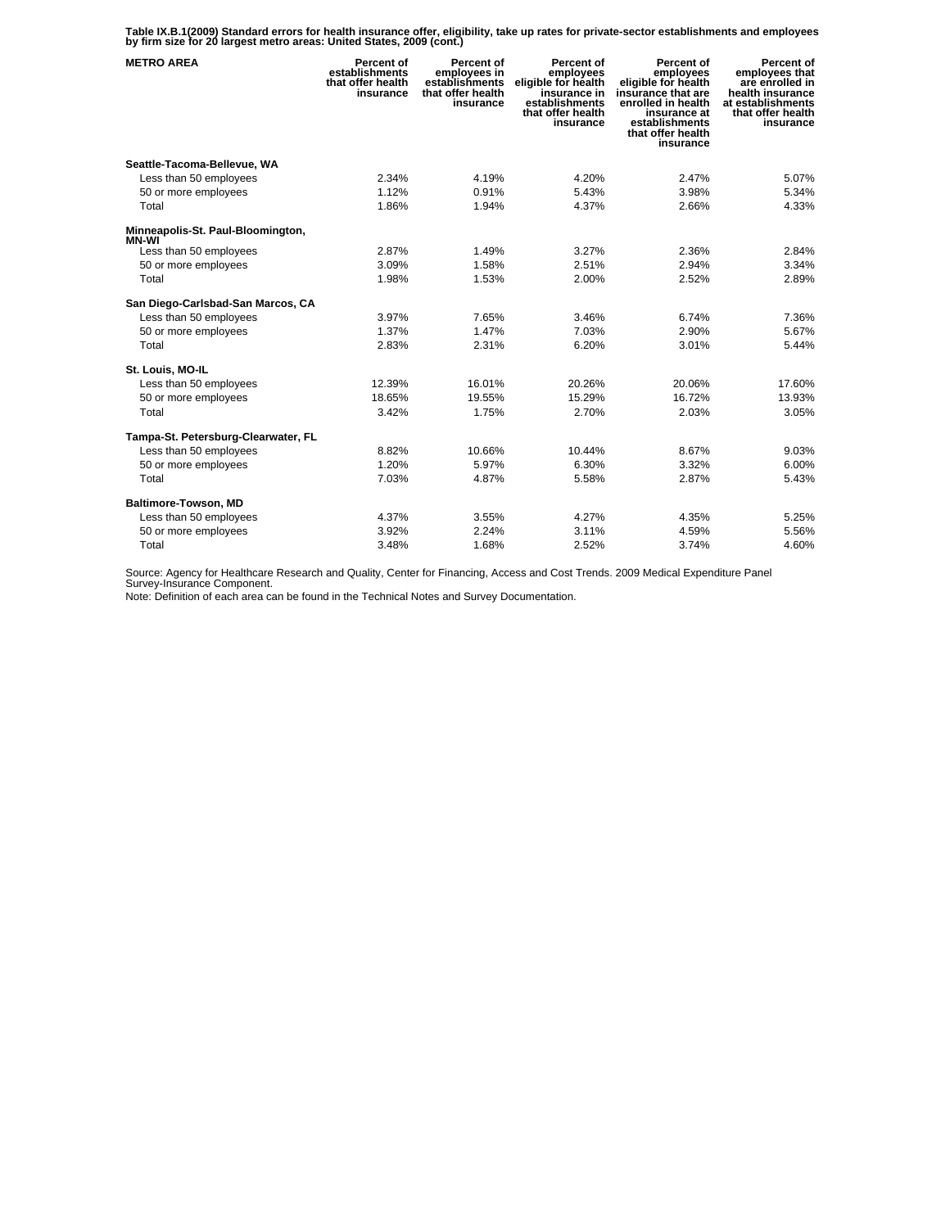**Table IX.B.1(2009) Standard errors for health insurance offer, eligibility, take up rates for private-sector establishments and employees by firm size for 20 largest metro areas: United States, 2009 (cont.)** 

| <b>METRO AREA</b>                      | Percent of<br>establishments<br>that offer health<br>insurance | Percent of<br>employees in<br>establishments<br>that offer health<br>insurance | Percent of<br>employees<br>eligible for health<br>insurance in<br>establishments<br>that offer health<br>insurance | Percent of<br>employees<br>eligible for health<br>insurance that are<br>enrolled in health<br>insurance at<br>establishments<br>that offer health<br>insurance | Percent of<br>employees that<br>are enrolled in<br>health insurance<br>at establishments<br>that offer health<br>insurance |
|----------------------------------------|----------------------------------------------------------------|--------------------------------------------------------------------------------|--------------------------------------------------------------------------------------------------------------------|----------------------------------------------------------------------------------------------------------------------------------------------------------------|----------------------------------------------------------------------------------------------------------------------------|
| Seattle-Tacoma-Bellevue, WA            |                                                                |                                                                                |                                                                                                                    |                                                                                                                                                                |                                                                                                                            |
| Less than 50 employees                 | 2.34%                                                          | 4.19%                                                                          | 4.20%                                                                                                              | 2.47%                                                                                                                                                          | 5.07%                                                                                                                      |
| 50 or more employees                   | 1.12%                                                          | 0.91%                                                                          | 5.43%                                                                                                              | 3.98%                                                                                                                                                          | 5.34%                                                                                                                      |
| Total                                  | 1.86%                                                          | 1.94%                                                                          | 4.37%                                                                                                              | 2.66%                                                                                                                                                          | 4.33%                                                                                                                      |
| Minneapolis-St. Paul-Bloomington,      |                                                                |                                                                                |                                                                                                                    |                                                                                                                                                                |                                                                                                                            |
| <b>MN-WI</b><br>Less than 50 employees | 2.87%                                                          | 1.49%                                                                          | 3.27%                                                                                                              | 2.36%                                                                                                                                                          | 2.84%                                                                                                                      |
| 50 or more employees                   | 3.09%                                                          | 1.58%                                                                          | 2.51%                                                                                                              | 2.94%                                                                                                                                                          | 3.34%                                                                                                                      |
| Total                                  | 1.98%                                                          | 1.53%                                                                          | 2.00%                                                                                                              | 2.52%                                                                                                                                                          | 2.89%                                                                                                                      |
| San Diego-Carlsbad-San Marcos, CA      |                                                                |                                                                                |                                                                                                                    |                                                                                                                                                                |                                                                                                                            |
| Less than 50 employees                 | 3.97%                                                          | 7.65%                                                                          | 3.46%                                                                                                              | 6.74%                                                                                                                                                          | 7.36%                                                                                                                      |
| 50 or more employees                   | 1.37%                                                          | 1.47%                                                                          | 7.03%                                                                                                              | 2.90%                                                                                                                                                          | 5.67%                                                                                                                      |
| Total                                  | 2.83%                                                          | 2.31%                                                                          | 6.20%                                                                                                              | 3.01%                                                                                                                                                          | 5.44%                                                                                                                      |
|                                        |                                                                |                                                                                |                                                                                                                    |                                                                                                                                                                |                                                                                                                            |
| St. Louis, MO-IL                       |                                                                |                                                                                |                                                                                                                    |                                                                                                                                                                |                                                                                                                            |
| Less than 50 employees                 | 12.39%                                                         | 16.01%                                                                         | 20.26%                                                                                                             | 20.06%                                                                                                                                                         | 17.60%                                                                                                                     |
| 50 or more employees                   | 18.65%                                                         | 19.55%                                                                         | 15.29%                                                                                                             | 16.72%                                                                                                                                                         | 13.93%                                                                                                                     |
| Total                                  | 3.42%                                                          | 1.75%                                                                          | 2.70%                                                                                                              | 2.03%                                                                                                                                                          | 3.05%                                                                                                                      |
| Tampa-St. Petersburg-Clearwater, FL    |                                                                |                                                                                |                                                                                                                    |                                                                                                                                                                |                                                                                                                            |
| Less than 50 employees                 | 8.82%                                                          | 10.66%                                                                         | 10.44%                                                                                                             | 8.67%                                                                                                                                                          | 9.03%                                                                                                                      |
| 50 or more employees                   | 1.20%                                                          | 5.97%                                                                          | 6.30%                                                                                                              | 3.32%                                                                                                                                                          | 6.00%                                                                                                                      |
| Total                                  | 7.03%                                                          | 4.87%                                                                          | 5.58%                                                                                                              | 2.87%                                                                                                                                                          | 5.43%                                                                                                                      |
| Baltimore-Towson, MD                   |                                                                |                                                                                |                                                                                                                    |                                                                                                                                                                |                                                                                                                            |
| Less than 50 employees                 | 4.37%                                                          | 3.55%                                                                          | 4.27%                                                                                                              | 4.35%                                                                                                                                                          | 5.25%                                                                                                                      |
| 50 or more employees                   | 3.92%                                                          | 2.24%                                                                          | 3.11%                                                                                                              | 4.59%                                                                                                                                                          | 5.56%                                                                                                                      |
| Total                                  | 3.48%                                                          | 1.68%                                                                          | 2.52%                                                                                                              | 3.74%                                                                                                                                                          | 4.60%                                                                                                                      |

Source: Agency for Healthcare Research and Quality, Center for Financing, Access and Cost Trends. 2009 Medical Expenditure Panel Survey-Insurance Component.

Note: Definition of each area can be found in the Technical Notes and Survey Documentation.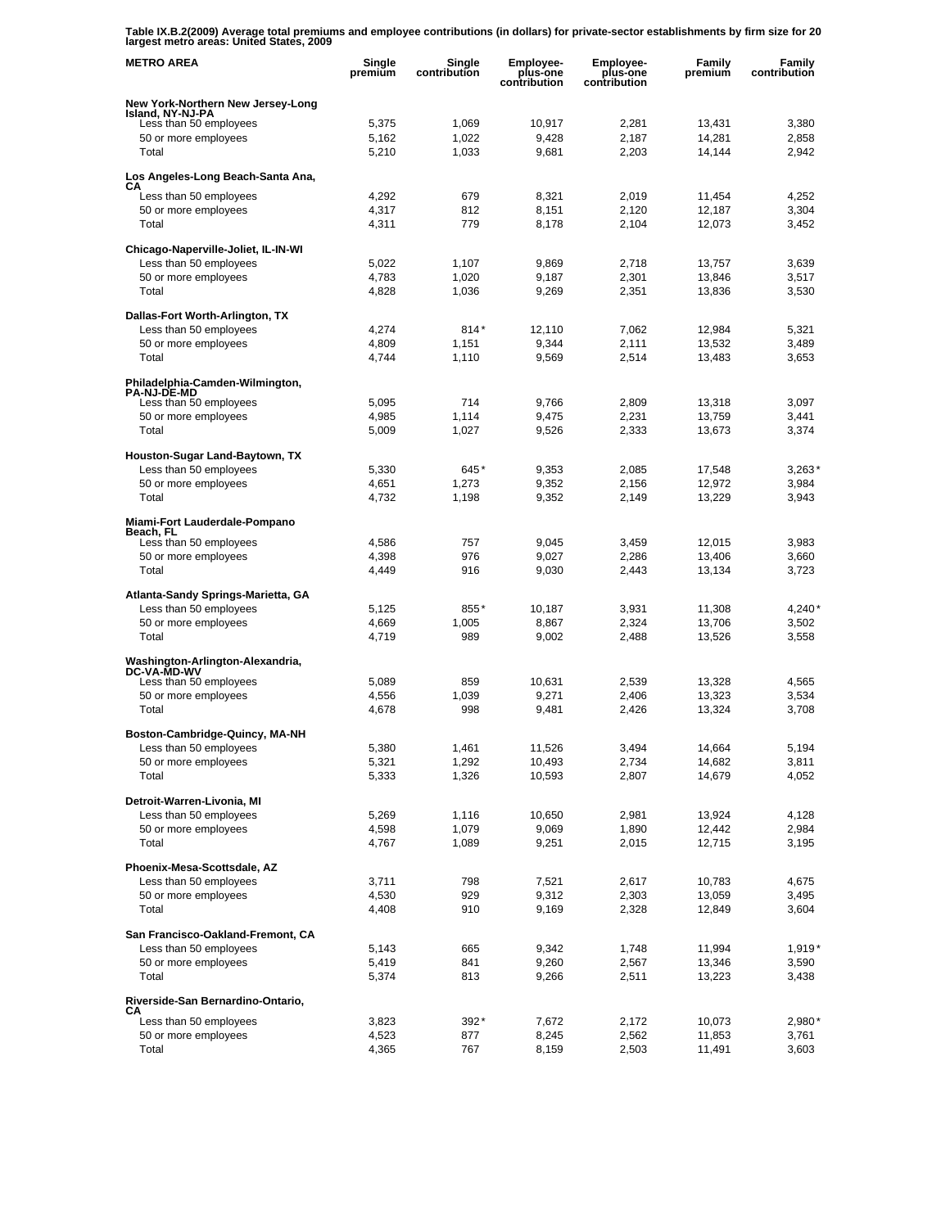**Table IX.B.2(2009) Average total premiums and employee contributions (in dollars) for private-sector establishments by firm size for 20 largest metro areas: United States, 2009** 

| <b>METRO AREA</b>                                      | Single<br>premium | Single<br>contribution | <b>Employee-</b><br>plus-one<br>contribution | Employee-<br>plus-one<br>contribution | Family<br>premium | Family<br>contribution |
|--------------------------------------------------------|-------------------|------------------------|----------------------------------------------|---------------------------------------|-------------------|------------------------|
| New York-Northern New Jersey-Long                      |                   |                        |                                              |                                       |                   |                        |
| Island, NY-NJ-PA<br>Less than 50 employees             | 5,375             | 1,069                  | 10,917                                       | 2,281                                 | 13,431            | 3,380                  |
| 50 or more employees                                   | 5,162             | 1,022                  | 9,428                                        | 2,187                                 | 14,281            | 2,858                  |
| Total                                                  | 5,210             | 1,033                  | 9,681                                        | 2,203                                 | 14,144            | 2,942                  |
| Los Angeles-Long Beach-Santa Ana,                      |                   |                        |                                              |                                       |                   |                        |
| CА<br>Less than 50 employees                           | 4,292             | 679                    | 8,321                                        | 2,019                                 | 11,454            | 4,252                  |
| 50 or more employees                                   | 4,317             | 812                    | 8,151                                        | 2,120                                 | 12,187            | 3,304                  |
| Total                                                  | 4,311             | 779                    | 8,178                                        | 2,104                                 | 12,073            | 3,452                  |
| Chicago-Naperville-Joliet, IL-IN-WI                    |                   |                        |                                              |                                       |                   |                        |
| Less than 50 employees                                 | 5,022             | 1,107                  | 9,869                                        | 2,718                                 | 13,757            | 3,639                  |
| 50 or more employees                                   | 4,783             | 1,020                  | 9,187                                        | 2,301                                 | 13,846            | 3,517                  |
| Total                                                  | 4,828             | 1,036                  | 9,269                                        | 2,351                                 | 13,836            | 3,530                  |
| Dallas-Fort Worth-Arlington, TX                        |                   |                        |                                              |                                       |                   |                        |
| Less than 50 employees                                 | 4,274             | $814*$                 | 12,110                                       | 7,062                                 | 12,984            | 5,321                  |
| 50 or more employees                                   | 4,809             | 1,151                  | 9,344                                        | 2,111                                 | 13,532            | 3,489                  |
| Total                                                  | 4,744             | 1,110                  | 9,569                                        | 2,514                                 | 13,483            | 3,653                  |
| Philadelphia-Camden-Wilmington,<br><b>PA-NJ-DE-MD</b>  |                   |                        |                                              |                                       |                   |                        |
| Less than 50 employees                                 | 5,095             | 714                    | 9,766                                        | 2,809                                 | 13,318            | 3,097                  |
| 50 or more employees                                   | 4,985             | 1,114                  | 9,475                                        | 2,231                                 | 13.759            | 3,441                  |
| Total                                                  | 5,009             | 1,027                  | 9,526                                        | 2,333                                 | 13,673            | 3,374                  |
| Houston-Sugar Land-Baytown, TX                         |                   |                        |                                              |                                       |                   |                        |
| Less than 50 employees                                 | 5,330             | 645*                   | 9,353                                        | 2,085                                 | 17,548            | $3,263*$               |
| 50 or more employees                                   | 4,651             | 1,273                  | 9,352                                        | 2,156                                 | 12,972            | 3,984                  |
| Total                                                  | 4,732             | 1,198                  | 9,352                                        | 2,149                                 | 13,229            | 3,943                  |
| Miami-Fort Lauderdale-Pompano<br>Beach, FL             |                   |                        |                                              |                                       |                   |                        |
| Less than 50 employees                                 | 4,586             | 757                    | 9,045                                        | 3,459                                 | 12,015            | 3,983                  |
| 50 or more employees                                   | 4,398             | 976                    | 9,027                                        | 2,286                                 | 13,406            | 3,660                  |
| Total                                                  | 4,449             | 916                    | 9,030                                        | 2,443                                 | 13,134            | 3,723                  |
| Atlanta-Sandy Springs-Marietta, GA                     |                   |                        |                                              |                                       |                   |                        |
| Less than 50 employees                                 | 5,125             | 855*                   | 10,187                                       | 3,931                                 | 11,308            | $4,240*$               |
| 50 or more employees                                   | 4,669             | 1,005                  | 8,867                                        | 2,324                                 | 13,706            | 3,502                  |
| Total                                                  | 4,719             | 989                    | 9,002                                        | 2,488                                 | 13,526            | 3,558                  |
| Washington-Arlington-Alexandria,<br><b>DC-VA-MD-WV</b> |                   |                        |                                              |                                       |                   |                        |
| Less than 50 employees                                 | 5,089             | 859                    | 10,631                                       | 2,539                                 | 13,328            | 4,565                  |
| 50 or more employees                                   | 4,556             | 1,039                  | 9,271                                        | 2,406                                 | 13,323            | 3,534                  |
| Total                                                  | 4,678             | 998                    | 9,481                                        | 2,426                                 | 13,324            | 3,708                  |
| Boston-Cambridge-Quincy, MA-NH                         |                   |                        |                                              |                                       |                   |                        |
| Less than 50 employees                                 | 5,380             | 1,461                  | 11,526                                       | 3,494                                 | 14,664            | 5,194                  |
| 50 or more employees                                   | 5,321             | 1,292                  | 10,493                                       | 2,734                                 | 14,682            | 3,811                  |
| Total                                                  | 5,333             | 1,326                  | 10,593                                       | 2,807                                 | 14,679            | 4,052                  |
| Detroit-Warren-Livonia, MI                             |                   |                        |                                              |                                       |                   |                        |
| Less than 50 employees                                 | 5,269             | 1,116                  | 10,650                                       | 2,981                                 | 13,924            | 4,128                  |
| 50 or more employees<br>Total                          | 4,598<br>4,767    | 1,079<br>1,089         | 9,069<br>9,251                               | 1,890<br>2,015                        | 12,442<br>12,715  | 2,984<br>3,195         |
|                                                        |                   |                        |                                              |                                       |                   |                        |
| Phoenix-Mesa-Scottsdale, AZ<br>Less than 50 employees  | 3,711             | 798                    | 7,521                                        | 2,617                                 | 10,783            | 4,675                  |
| 50 or more employees                                   | 4,530             | 929                    | 9,312                                        | 2,303                                 | 13,059            | 3,495                  |
| Total                                                  | 4,408             | 910                    | 9,169                                        | 2,328                                 | 12,849            | 3,604                  |
| San Francisco-Oakland-Fremont, CA                      |                   |                        |                                              |                                       |                   |                        |
| Less than 50 employees                                 | 5,143             | 665                    | 9,342                                        | 1,748                                 | 11,994            | $1,919*$               |
| 50 or more employees                                   | 5,419             | 841                    | 9,260                                        | 2,567                                 | 13,346            | 3,590                  |
| Total                                                  | 5,374             | 813                    | 9,266                                        | 2,511                                 | 13,223            | 3,438                  |
| Riverside-San Bernardino-Ontario,                      |                   |                        |                                              |                                       |                   |                        |
| СA<br>Less than 50 employees                           | 3,823             | 392*                   | 7,672                                        | 2,172                                 | 10,073            | 2,980*                 |
| 50 or more employees                                   | 4,523             | 877                    | 8,245                                        | 2,562                                 | 11,853            | 3,761                  |
| Total                                                  | 4,365             | 767                    | 8,159                                        | 2,503                                 | 11,491            | 3,603                  |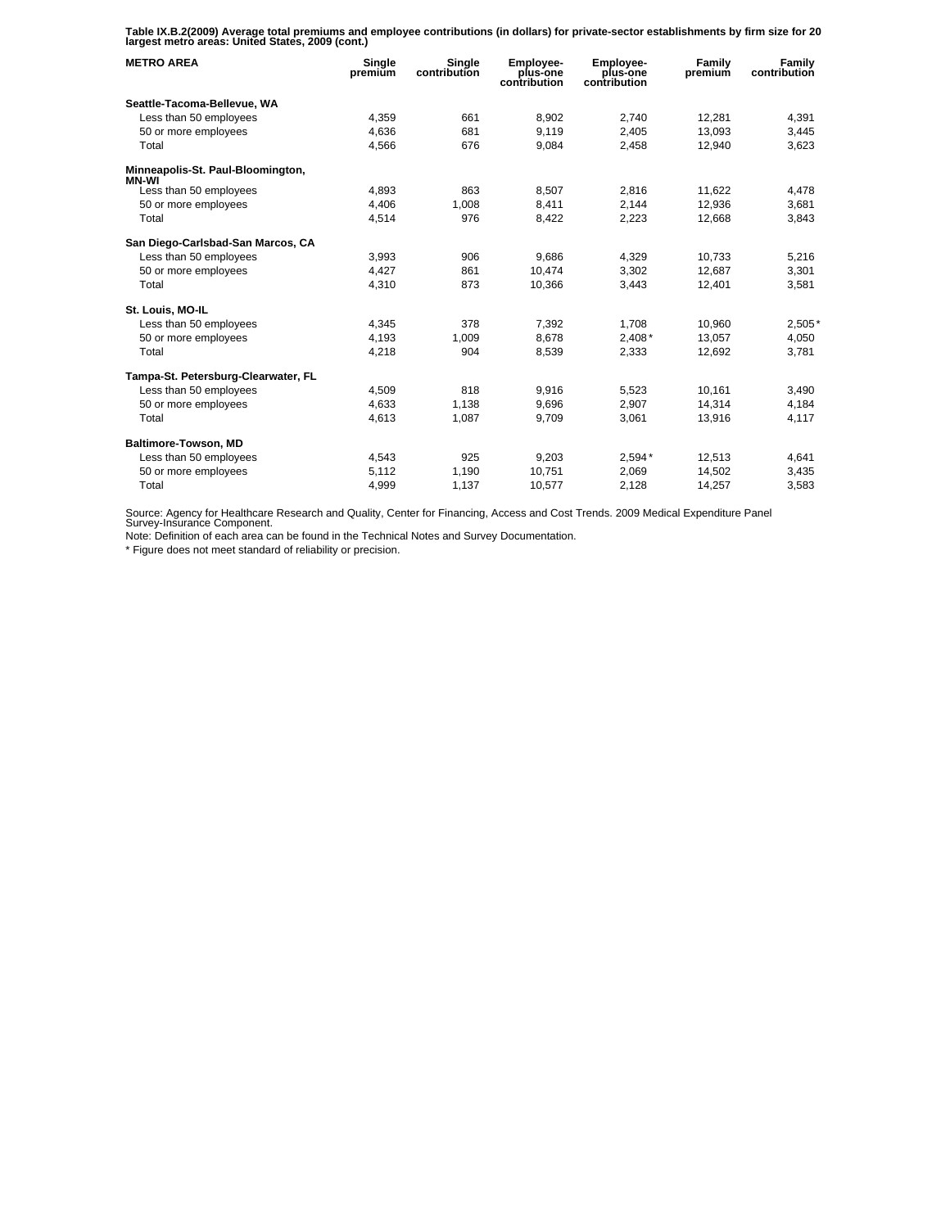**Table IX.B.2(2009) Average total premiums and employee contributions (in dollars) for private-sector establishments by firm size for 20 largest metro areas: United States, 2009 (cont.)** 

| <b>METRO AREA</b>                          | Single<br>premium | Single<br>contribution | Employee-<br>plus-one<br>contribution | Employee-<br>plus-one<br>contribution | Family<br>premium | Family<br>contribution |
|--------------------------------------------|-------------------|------------------------|---------------------------------------|---------------------------------------|-------------------|------------------------|
| Seattle-Tacoma-Bellevue, WA                |                   |                        |                                       |                                       |                   |                        |
| Less than 50 employees                     | 4.359             | 661                    | 8.902                                 | 2.740                                 | 12,281            | 4.391                  |
| 50 or more employees                       | 4,636             | 681                    | 9,119                                 | 2,405                                 | 13,093            | 3,445                  |
| Total                                      | 4,566             | 676                    | 9,084                                 | 2,458                                 | 12,940            | 3,623                  |
| Minneapolis-St. Paul-Bloomington,<br>MN-WI |                   |                        |                                       |                                       |                   |                        |
| Less than 50 employees                     | 4,893             | 863                    | 8,507                                 | 2,816                                 | 11,622            | 4,478                  |
| 50 or more employees                       | 4,406             | 1,008                  | 8,411                                 | 2,144                                 | 12,936            | 3,681                  |
| Total                                      | 4,514             | 976                    | 8.422                                 | 2,223                                 | 12,668            | 3.843                  |
| San Diego-Carlsbad-San Marcos, CA          |                   |                        |                                       |                                       |                   |                        |
| Less than 50 employees                     | 3.993             | 906                    | 9.686                                 | 4.329                                 | 10.733            | 5,216                  |
| 50 or more employees                       | 4,427             | 861                    | 10,474                                | 3,302                                 | 12,687            | 3,301                  |
| Total                                      | 4,310             | 873                    | 10,366                                | 3.443                                 | 12,401            | 3,581                  |
| St. Louis, MO-IL                           |                   |                        |                                       |                                       |                   |                        |
| Less than 50 employees                     | 4.345             | 378                    | 7.392                                 | 1.708                                 | 10,960            | $2,505*$               |
| 50 or more employees                       | 4,193             | 1,009                  | 8,678                                 | $2,408*$                              | 13,057            | 4,050                  |
| Total                                      | 4,218             | 904                    | 8,539                                 | 2,333                                 | 12,692            | 3.781                  |
| Tampa-St. Petersburg-Clearwater, FL        |                   |                        |                                       |                                       |                   |                        |
| Less than 50 employees                     | 4,509             | 818                    | 9,916                                 | 5,523                                 | 10,161            | 3,490                  |
| 50 or more employees                       | 4.633             | 1.138                  | 9.696                                 | 2,907                                 | 14,314            | 4,184                  |
| Total                                      | 4,613             | 1,087                  | 9,709                                 | 3,061                                 | 13,916            | 4,117                  |
| Baltimore-Towson, MD                       |                   |                        |                                       |                                       |                   |                        |
| Less than 50 employees                     | 4.543             | 925                    | 9.203                                 | $2.594*$                              | 12.513            | 4.641                  |
| 50 or more employees                       | 5,112             | 1,190                  | 10,751                                | 2.069                                 | 14,502            | 3,435                  |
| Total                                      | 4,999             | 1,137                  | 10,577                                | 2,128                                 | 14,257            | 3,583                  |

Source: Agency for Healthcare Research and Quality, Center for Financing, Access and Cost Trends. 2009 Medical Expenditure Panel Survey-Insurance Component.

Note: Definition of each area can be found in the Technical Notes and Survey Documentation.

\* Figure does not meet standard of reliability or precision.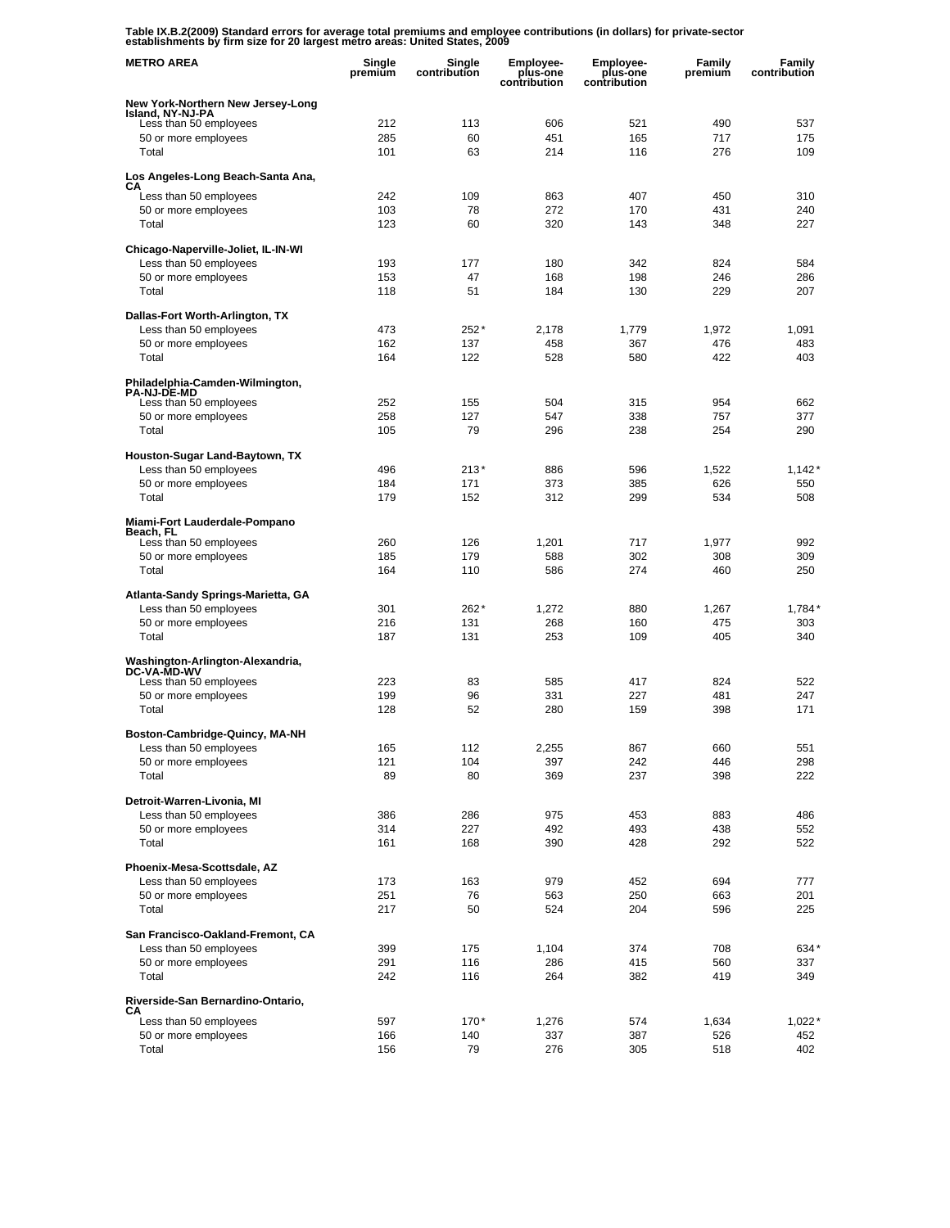**Table IX.B.2(2009) Standard errors for average total premiums and employee contributions (in dollars) for private-sector establishments by firm size for 20 largest metro areas: United States, 2009** 

| <b>METRO AREA</b>                                     | Single<br>premium | Single<br>contribution | <b>Employee-</b><br>plus-one<br>contribution | <b>Employee-</b><br>plus-one<br>contribution | Family<br>premium | Family<br>contribution |
|-------------------------------------------------------|-------------------|------------------------|----------------------------------------------|----------------------------------------------|-------------------|------------------------|
| New York-Northern New Jersey-Long<br>Island, NY-NJ-PA |                   |                        |                                              |                                              |                   |                        |
| Less than 50 employees                                | 212               | 113                    | 606                                          | 521                                          | 490               | 537                    |
| 50 or more employees                                  | 285               | 60                     | 451                                          | 165                                          | 717               | 175                    |
| Total                                                 | 101               | 63                     | 214                                          | 116                                          | 276               | 109                    |
| Los Angeles-Long Beach-Santa Ana,                     |                   |                        |                                              |                                              |                   |                        |
| CА<br>Less than 50 employees                          | 242               | 109                    | 863                                          | 407                                          | 450               | 310                    |
| 50 or more employees                                  | 103               | 78                     | 272                                          | 170                                          | 431               | 240                    |
| Total                                                 | 123               | 60                     | 320                                          | 143                                          | 348               | 227                    |
| Chicago-Naperville-Joliet, IL-IN-WI                   |                   |                        |                                              |                                              |                   |                        |
| Less than 50 employees                                | 193               | 177                    | 180                                          | 342                                          | 824               | 584                    |
| 50 or more employees                                  | 153               | 47                     | 168                                          | 198                                          | 246               | 286                    |
| Total                                                 | 118               | 51                     | 184                                          | 130                                          | 229               | 207                    |
| Dallas-Fort Worth-Arlington, TX                       |                   |                        |                                              |                                              |                   |                        |
| Less than 50 employees                                | 473               | 252*<br>137            | 2,178                                        | 1,779                                        | 1,972<br>476      | 1,091                  |
| 50 or more employees<br>Total                         | 162<br>164        | 122                    | 458<br>528                                   | 367<br>580                                   | 422               | 483<br>403             |
|                                                       |                   |                        |                                              |                                              |                   |                        |
| Philadelphia-Camden-Wilmington,<br><b>PA-NJ-DE-MD</b> |                   |                        |                                              |                                              |                   |                        |
| Less than 50 employees                                | 252               | 155                    | 504                                          | 315                                          | 954               | 662                    |
| 50 or more employees<br>Total                         | 258               | 127<br>79              | 547                                          | 338<br>238                                   | 757<br>254        | 377                    |
|                                                       | 105               |                        | 296                                          |                                              |                   | 290                    |
| Houston-Sugar Land-Baytown, TX                        |                   |                        |                                              |                                              |                   |                        |
| Less than 50 employees<br>50 or more employees        | 496<br>184        | 213*<br>171            | 886<br>373                                   | 596<br>385                                   | 1,522<br>626      | $1,142*$<br>550        |
| Total                                                 | 179               | 152                    | 312                                          | 299                                          | 534               | 508                    |
| Miami-Fort Lauderdale-Pompano                         |                   |                        |                                              |                                              |                   |                        |
| Beach, FL                                             |                   |                        |                                              |                                              |                   |                        |
| Less than 50 employees<br>50 or more employees        | 260<br>185        | 126<br>179             | 1,201<br>588                                 | 717<br>302                                   | 1,977<br>308      | 992<br>309             |
| Total                                                 | 164               | 110                    | 586                                          | 274                                          | 460               | 250                    |
|                                                       |                   |                        |                                              |                                              |                   |                        |
| Atlanta-Sandy Springs-Marietta, GA                    |                   |                        |                                              |                                              |                   |                        |
| Less than 50 employees<br>50 or more employees        | 301<br>216        | 262*<br>131            | 1,272<br>268                                 | 880<br>160                                   | 1,267<br>475      | $1,784*$<br>303        |
| Total                                                 | 187               | 131                    | 253                                          | 109                                          | 405               | 340                    |
| Washington-Arlington-Alexandria,                      |                   |                        |                                              |                                              |                   |                        |
| <b>DC-VA-MD-WV</b>                                    | 223               |                        |                                              | 417                                          | 824               | 522                    |
| Less than 50 employees<br>50 or more employees        | 199               | 83<br>96               | 585<br>331                                   | 227                                          | 481               | 247                    |
| Total                                                 | 128               | 52                     | 280                                          | 159                                          | 398               | 171                    |
| Boston-Cambridge-Quincy, MA-NH                        |                   |                        |                                              |                                              |                   |                        |
| Less than 50 employees                                | 165               | 112                    | 2,255                                        | 867                                          | 660               | 551                    |
| 50 or more employees                                  | 121               | 104                    | 397                                          | 242                                          | 446               | 298                    |
| Total                                                 | 89                | 80                     | 369                                          | 237                                          | 398               | 222                    |
| Detroit-Warren-Livonia, MI                            |                   |                        |                                              |                                              |                   |                        |
| Less than 50 employees                                | 386               | 286                    | 975                                          | 453                                          | 883               | 486                    |
| 50 or more employees                                  | 314               | 227                    | 492                                          | 493                                          | 438               | 552                    |
| Total                                                 | 161               | 168                    | 390                                          | 428                                          | 292               | 522                    |
| Phoenix-Mesa-Scottsdale, AZ                           |                   |                        |                                              |                                              |                   |                        |
| Less than 50 employees                                | 173               | 163                    | 979                                          | 452                                          | 694               | 777                    |
| 50 or more employees                                  | 251               | 76                     | 563                                          | 250                                          | 663               | 201                    |
| Total                                                 | 217               | 50                     | 524                                          | 204                                          | 596               | 225                    |
| San Francisco-Oakland-Fremont, CA                     |                   |                        |                                              |                                              |                   |                        |
| Less than 50 employees                                | 399               | 175                    | 1,104                                        | 374                                          | 708               | 634*                   |
| 50 or more employees<br>Total                         | 291<br>242        | 116<br>116             | 286<br>264                                   | 415<br>382                                   | 560<br>419        | 337<br>349             |
| Riverside-San Bernardino-Ontario,                     |                   |                        |                                              |                                              |                   |                        |
| CА                                                    |                   |                        |                                              |                                              |                   |                        |
| Less than 50 employees<br>50 or more employees        | 597<br>166        | 170*<br>140            | 1,276<br>337                                 | 574<br>387                                   | 1,634<br>526      | $1,022*$<br>452        |
| Total                                                 | 156               | 79                     | 276                                          | 305                                          | 518               | 402                    |
|                                                       |                   |                        |                                              |                                              |                   |                        |